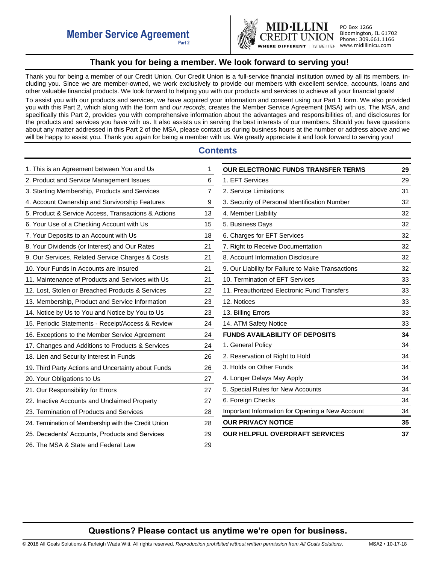

PO Box 1266 Bloomington, IL 61702 Phone: 309.661.1166

# **Thank you for being a member. We look forward to serving you!**

<span id="page-0-0"></span>Thank you for being a member of our Credit Union. Our Credit Union is a full-service financial institution owned by all its members, including you. Since we are member-owned, we work exclusively to provide our members with excellent service, accounts, loans and other valuable financial products. We look forward to helping you with our products and services to achieve all your financial goals!

To assist you with our products and services, we have acquired your information and consent using our Part 1 form. We also provided you with this Part 2, which along with the form and *our records*, creates the Member Service Agreement (MSA) with us. The MSA, and specifically this Part 2, provides you with comprehensive information about the advantages and responsibilities of, and disclosures for the products and services you have with us. It also assists us in serving the best interests of our members. Should you have questions about any matter addressed in this Part 2 of the MSA, please contact us during business hours at the number or address above and we will be happy to assist you. Thank you again for being a member with us. We greatly appreciate it and look forward to serving you!

# **Contents**

| 1. This is an Agreement between You and Us          | 1  |
|-----------------------------------------------------|----|
| 2. Product and Service Management Issues            | 6  |
| 3. Starting Membership, Products and Services       | 7  |
| 4. Account Ownership and Survivorship Features      | 9  |
| 5. Product & Service Access, Transactions & Actions | 13 |
| 6. Your Use of a Checking Account with Us           | 15 |
| 7. Your Deposits to an Account with Us              | 18 |
| 8. Your Dividends (or Interest) and Our Rates       | 21 |
| 9. Our Services, Related Service Charges & Costs    | 21 |
| 10. Your Funds in Accounts are Insured              | 21 |
| 11. Maintenance of Products and Services with Us    | 21 |
| 12. Lost, Stolen or Breached Products & Services    | 22 |
| 13. Membership, Product and Service Information     | 23 |
| 14. Notice by Us to You and Notice by You to Us     | 23 |
| 15. Periodic Statements - Receipt/Access & Review   | 24 |
| 16. Exceptions to the Member Service Agreement      | 24 |
| 17. Changes and Additions to Products & Services    | 24 |
| 18. Lien and Security Interest in Funds             | 26 |
| 19. Third Party Actions and Uncertainty about Funds | 26 |
| 20. Your Obligations to Us                          | 27 |
| 21. Our Responsibility for Errors                   | 27 |
| 22. Inactive Accounts and Unclaimed Property        | 27 |
| 23. Termination of Products and Services            | 28 |
| 24. Termination of Membership with the Credit Union | 28 |
| 25. Decedents' Accounts, Products and Services      | 29 |
| 26. The MSA & State and Federal Law                 | 29 |

| <b>OUR ELECTRONIC FUNDS TRANSFER TERMS</b>        | 29 |
|---------------------------------------------------|----|
| 1. EFT Services                                   | 29 |
| 2. Service Limitations                            | 31 |
| 3. Security of Personal Identification Number     | 32 |
| 4. Member Liability                               | 32 |
| 5. Business Days                                  | 32 |
| 6. Charges for EFT Services                       | 32 |
| 7. Right to Receive Documentation                 | 32 |
| 8. Account Information Disclosure                 | 32 |
| 9. Our Liability for Failure to Make Transactions | 32 |
| 10. Termination of EFT Services                   | 33 |
| 11. Preauthorized Electronic Fund Transfers       | 33 |
| 12. Notices                                       | 33 |
| 13. Billing Errors                                | 33 |
| 14. ATM Safety Notice                             | 33 |
| <b>FUNDS AVAILABILITY OF DEPOSITS</b>             | 34 |
| 1. General Policy                                 | 34 |
| 2. Reservation of Right to Hold                   | 34 |
| 3. Holds on Other Funds                           | 34 |
| 4. Longer Delays May Apply                        | 34 |
| 5. Special Rules for New Accounts                 | 34 |
| 6. Foreign Checks                                 | 34 |
| Important Information for Opening a New Account   | 34 |
| <b>OUR PRIVACY NOTICE</b>                         | 35 |
| <b>OUR HELPFUL OVERDRAFT SERVICES</b>             | 37 |

# **Questions? Please contact us anytime we're open for business.**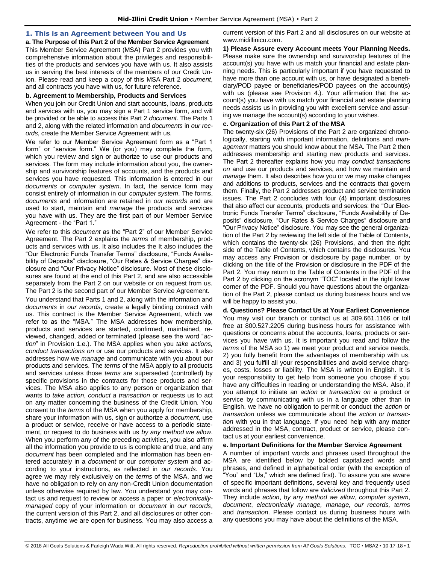## <span id="page-1-0"></span>**1. This is an Agreement between You and Us**

## **a. The Purpose of this Part 2 of the Member Service Agreement**

This Member Service Agreement (MSA) Part 2 provides you with comprehensive information about the privileges and responsibilities of the products and services you have with us. It also assists us in serving the best interests of the members of our Credit Union. Please read and keep a copy of this MSA Part 2 *document*, and all contracts you have with us, for future reference.

## **b. Agreement to Membership, Products and Services**

When you join our Credit Union and start accounts, loans, products and services with us, you may sign a Part 1 service form, and will be provided or be able to access this Part 2 *document*. The Parts 1 and 2, along with the related information and *documents* in *our records*, create the Member Service Agreement with us.

We refer to our Member Service Agreement form as a "Part 1 form" or "service form." We (or you) may complete the form, which you review and sign or authorize to use our products and services. The form may include information about you, the ownership and survivorship features of accounts, and the products and services you have requested. This information is entered in our *documents* or *computer system*. In fact, the service form may consist entirely of information in our *computer system*. The forms, *documents* and information are retained in *our records* and are used to start, maintain and *manage* the products and services you have with us. They are the first part of our Member Service Agreement - the "Part 1."

We refer to this *document* as the "Part 2" of our Member Service Agreement. The Part 2 explains the *terms* of membership, products and services with us. It also includes the It also includes the "Our Electronic Funds Transfer Terms" disclosure, "Funds Availability of Deposits" disclosure, "Our Rates & Service Charges" disclosure and "Our Privacy Notice" disclosure. Most of these disclosures are found at the end of this Part 2, and are also accessible separately from the Part 2 on our website or on request from us. The Part 2 is the second part of our Member Service Agreement.

You understand that Parts 1 and 2, along with the information and *documents* in *our records*, create a legally binding contract with us. This contract is the Member Service Agreement, which we refer to as the "MSA." The MSA addresses how membership, products and services are started, confirmed, maintained, reviewed, changed, added or terminated (please see the word "*action*" in Provision 1.e.). The MSA applies when you *take actions, conduct transactions on* or use our products and services. It also addresses how we *manage* and communicate with you about our products and services. The *terms* of the MSA apply to all products and services unless those *terms* are superseded (controlled) by specific provisions in the contracts for those products and services. The MSA also applies to any person or organization that wants to *take action*, *conduct a transaction* or requests us to act on any matter concerning the business of the Credit Union. You consent to the *terms* of the MSA when you apply for membership, share your information with us, sign or authorize a *document*, use a product or service, receive or have access to a periodic statement, or request to do business with us *by any method we allow*. When you perform any of the preceding activities, you also affirm all the information you provide to us is complete and true, and any *document* has been completed and the information has been entered accurately in a *document* or our *computer system* and according to your instructions**,** as reflected in *our records*. You agree we may rely exclusively on the *terms* of the MSA, and we have no obligation to rely on any non-Credit Union documentation unless otherwise required by law. You understand you may contact us and request to review or access a paper or *electronicallymanaged* copy of your information or *document* in *our records*, the current version of this Part 2, and all disclosures or other contracts, anytime we are open for business. You may also access a

current version of this Part 2 and all disclosures on our website at www.midillinicu.com.

**1) Please Assure every Account meets Your Planning Needs.**  Please make sure the ownership and survivorship features of the account(s) you have with us match your financial and estate planning needs. This is particularly important if you have requested to have more than one account with us, or have designated a beneficiary/POD payee or beneficiaries/POD payees on the account(s) with us (please see Provision 4.). Your affirmation that the account(s) you have with us match your financial and estate planning needs assists us in providing you with excellent service and assuring we manage the account(s) according to your wishes.

## **c. Organization of this Part 2 of the MSA**

The twenty-six (26) Provisions of the Part 2 are organized chronologically, starting with important information, definitions and *management* matters you should know about the MSA. The Part 2 then addresses membership and starting new products and services. The Part 2 thereafter explains how you may *conduct transactions on* and use our products and services, and how we maintain and *manage* them. It also describes how you or we may make changes and additions to products, services and the contracts that govern them. Finally, the Part 2 addresses product and service termination issues. The Part 2 concludes with four (4) important disclosures that also affect our accounts, products and services: the "Our Electronic Funds Transfer Terms" disclosure, "Funds Availability of Deposits" disclosure, "Our Rates & Service Charges" disclosure and "Our Privacy Notice" disclosure. You may see the general organization of the Part 2 by reviewing the left side of the Table of Contents, which contains the twenty-six (26) Provisions, and then the right side of the Table of Contents, which contains the disclosures. You may access any Provision or disclosure by page number, or by clicking on the title of the Provision or disclosure in the PDF of the Part 2. You may return to the Table of Contents in the PDF of the Part 2 by clicking on the acronym "TOC" located in the right lower corner of the PDF. Should you have questions about the organization of the Part 2, please contact us during business hours and we will be happy to assist you.

**d. Questions? Please Contact Us at Your Earliest Convenience**  You may visit our branch or contact us at 309.661.1166 or toll free at 800.527.2205 during business hours for assistance with questions or concerns about the accounts, loans, products or services you have with us. It is important you read and follow the *terms* of the MSA so 1) we meet your product and service needs, 2) you fully benefit from the advantages of membership with us, and 3) you fulfill all your responsibilities and avoid service charges, costs, losses or liability. The MSA is written in English. It is your responsibility to get help from someone you choose if you have any difficulties in reading or understanding the MSA. Also, if you attempt to initiate an *action* or *transaction on* a product or service by communicating with us in a language other than in English, we have no obligation to permit or conduct the *action* or *transaction* unless we communicate about the *action or transaction* with you in that language. If you need help with any matter addressed in the MSA, contract, product or service, please contact us at your earliest convenience.

## **e. Important Definitions for the Member Service Agreement**

A number of important words and phrases used throughout the MSA are identified below by bolded capitalized words and phrases, and defined in alphabetical order (with the exception of "You" and "Us," which are defined first). To assure you are aware of specific important definitions, several key and frequently used words and phrases that follow are *italicized* throughout this Part 2. They include *action*, *by any method we allow*, *computer system*, *document*, *electronically manage, manage, our records, terms*  and *transaction*. Please contact us during business hours with any questions you may have about the definitions of the MSA.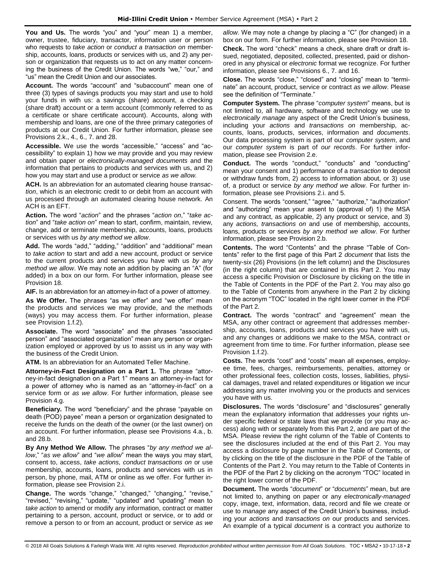**You and Us.** The words "you" and "your" mean 1) a member, owner, trustee, fiduciary, transactor, information user or person who requests to *take action* or *conduct a transaction on* membership, accounts, loans, products or services with us, and 2) any person or organization that requests us to act on any matter concerning the business of the Credit Union. The words "we," "our," and "us" mean the Credit Union and our associates.

**Account.** The words "account" and "subaccount" mean one of three (3) types of savings products you may start and use to hold your funds in with us: a savings (share) account, a checking (share draft) account or a term account (commonly referred to as a certificate or share certificate account). Accounts, along with membership and loans, are one of the three primary categories of products at our Credit Union. For further information, please see Provisions 2.k., 4., 6., 7. and 28.

**Accessible.** We use the words "accessible," "access" and "accessibility" to explain 1) how we may provide and you may review and obtain paper or *electronically-managed documents* and the information that pertains to products and services with us, and 2) how you may start and use a product or service *as we allow.* 

**ACH.** Is an abbreviation for an automated clearing house *transaction*, which is an electronic credit to or debit from an account with us processed through an automated clearing house network. An ACH is an EFT.

**Action.** The word "*action*" and the phrases "*action on*," "*take action*" and "*take action on*" mean to start, confirm, maintain, review, change, add or terminate membership, accounts, loans, products or services with us *by any method we allow*.

**Add.** The words "add," "adding," "addition" and "additional" mean to *take action* to start and add a new account, product or service to the current products and services you have with us *by any method we allow*. We may note an addition by placing an "A" (for added) in a box on our form. For further information, please see Provision 18.

**AIF.** Is an abbreviation for an attorney-in-fact of a power of attorney.

**As We Offer.** The phrases "as we offer" and "we offer" mean the products and services we may provide, and the methods (ways) you may access them. For further information, please see Provision 1.f.2).

**Associate.** The word "associate" and the phrases "associated person" and "associated organization" mean any person or organization employed or approved by us to assist us in any way with the business of the Credit Union.

**ATM.** Is an abbreviation for an Automated Teller Machine.

**Attorney-in-Fact Designation on a Part 1.** The phrase "attorney-in-fact designation on a Part 1" means an attorney-in-fact for a power of attorney who is named as an "attorney-in-fact" on a service form or *as we allow*. For further information, please see Provision 4.g.

**Beneficiary.** The word "beneficiary" and the phrase "payable on death (POD) payee" mean a person or organization designated to receive the funds on the death of the owner (or the last owner) on an account. For further information, please see Provisions 4.a., b. and 28.b.

**By Any Method We Allow.** The phrases "*by any method we allow*," "*as we allow*" and "*we allow*" mean the ways you may start, consent to, access, *take actions, conduct transactions on* or use membership, accounts, loans, products and services with us in person, by phone, mail, ATM or online as we offer. For further information, please see Provision 2.i.

**Change.** The words "change," "changed," "changing," "revise," "revised," "revising," "update," "updated" and "updating" mean to *take action* to amend or modify any information, contract or matter pertaining to a person, account, product or service, or to add or remove a person to or from an account, product or service *as we* 

*allow*. We may note a change by placing a "C" (for changed) in a box on our form. For further information, please see Provision 18.

**Check.** The word "check" means a check, share draft or draft issued, negotiated, deposited, collected, presented, paid or dishonored in any physical or *electronic* format we recognize. For further information, please see Provisions 6., 7. and 16.

**Close.** The words "close," "closed" and "closing" mean to "terminate" an account, product, service or contract *as we allow*. Please see the definition of "Terminate."

**Computer System.** The phrase "*computer system*" means, but is not limited to, all hardware, software and technology we use to *electronically manage* any aspect of the Credit Union's business, including your *actions* and *transactions on* membership, accounts, loans, products, services, information and *documents*. Our data processing system is part of our *computer system*, and our *computer system* is part of *our records*. For further information, please see Provision 2.e.

**Conduct.** The words "conduct," "conducts" and "conducting" mean your consent and 1) performance of a *transaction* to deposit or withdraw funds from, 2) access to information about, or 3) use of, a product or service *by any method we allow*. For further information, please see Provisions 2.i. and 5.

Consent. The words "consent," "agree," "authorize," "authorization" and "authorizing" mean your assent to (approval of) 1) the MSA and any contract, as applicable, 2) any product or service, and 3) any *actions, transactions on* and use of membership, accounts, loans, products or services *by any method we allow*. For further information, please see Provision 2.b.

**Contents.** The word "Contents" and the phrase "Table of Contents" refer to the first page of this Part 2 *document* that lists the twenty-six (26) Provisions (in the left column) and the Disclosures (in the right column) that are contained in this Part 2. You may access a specific Provision or Disclosure by clicking on the title in the Table of Contents in the PDF of the Part 2. You may also go to the Table of Contents from anywhere in the Part 2 by clicking on the acronym "TOC" located in the right lower corner in the PDF of the Part 2.

**Contract.** The words "contract" and "agreement" mean the MSA, any other contract or agreement that addresses membership, accounts, loans, products and services you have with us, and any changes or additions we make to the MSA, contract or agreement from time to time. For further information, please see Provision 1.f.2).

**Costs.** The words "cost" and "costs" mean all expenses, employee time, fees, charges, reimbursements, penalties, attorney or other professional fees, collection costs, losses, liabilities, physical damages, travel and related expenditures or litigation we incur addressing any matter involving you or the products and services you have with us.

**Disclosures.** The words "disclosure" and "disclosures" generally mean the explanatory information that addresses your rights under specific federal or state laws that we provide (or you may access) along with or separately from this Part 2, and are part of the MSA. Please review the right column of the Table of Contents to see the disclosures included at the end of this Part 2. You may access a disclosure by page number in the Table of Contents, or by clicking on the title of the disclosure in the PDF of the Table of Contents of the Part 2. You may return to the Table of Contents in the PDF of the Part 2 by clicking on the acronym "TOC" located in the right lower corner of the PDF.

**Document.** The words "*document*" or "*documents*" mean, but are not limited to, anything on paper or any *electronically-managed*  copy, image, text, information, data, record and file we create or use to *manage* any aspect of the Credit Union's business, including your *actions* and *transactions on* our products and services. An example of a typical *document* is a contract you authorize to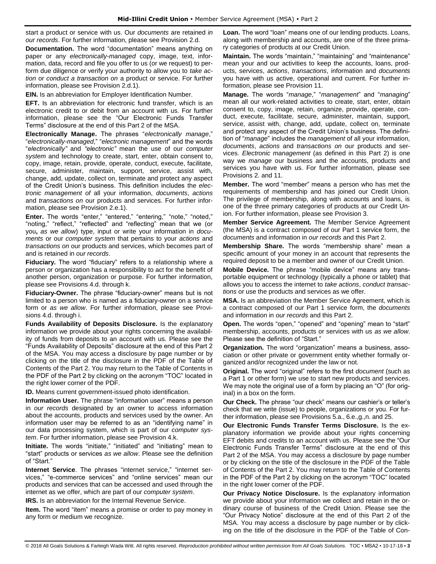start a product or service with us. Our *documents* are retained *in our records*. For further information, please see Provision 2.d.

**Documentation.** The word "documentation" means anything on paper or any *electronically-managed* copy, image, text, information, data, record and file you offer to us (or we request) to perform due diligence or verify your authority to allow you to *take action* or *conduct a transaction on* a product or service. For further information, please see Provision 2.d.1).

**EIN.** Is an abbreviation for Employer Identification Number.

**EFT.** Is an abbreviation for electronic fund transfer, which is an electronic credit to or debit from an account with us. For further information, please see the "Our Electronic Funds Transfer Terms" disclosure at the end of this Part 2 of the MSA.

**Electronically Manage.** The phrases "*electronically manage*," "*electronically-managed*," "*electronic management*" and the words "*electronically"* and *"electronic"* mean the use of our *computer system* and technology to create, start, enter, obtain consent to, copy, image, retain, provide, operate, conduct, execute, facilitate, secure, administer, maintain, support, service, assist with, change, add, update, collect on, terminate and protect any aspect of the Credit Union's business. This definition includes the *electronic management of* all your information, *documents*, *actions* and *transactions on* our products and services. For further information, please see Provision 2.e.1).

**Enter.** The words "enter," "entered," "entering," "note," "noted," "noting," "reflect," "reflected" and "reflecting" mean that we (or you**,** *as we allow*) type, input or write your information in *documents* or our *computer system* that pertains to your *actions* and *transactions on* our products and services, which becomes part of and is retained in *our records*.

**Fiduciary.** The word "fiduciary" refers to a relationship where a person or organization has a responsibility to act for the benefit of another person, organization or purpose. For further information, please see Provisions 4.d. through k.

**Fiduciary-Owner.** The phrase "fiduciary-owner" means but is not limited to a person who is named as a fiduciary-owner on a service form or *as we allow*. For further information, please see Provisions 4.d. through i.

**Funds Availability of Deposits Disclosure.** Is the explanatory information we provide about your rights concerning the availability of funds from deposits to an account with us. Please see the "Funds Availability of Deposits" disclosure at the end of this Part 2 of the MSA. You may access a disclosure by page number or by clicking on the title of the disclosure in the PDF of the Table of Contents of the Part 2. You may return to the Table of Contents in the PDF of the Part 2 by clicking on the acronym "TOC" located in the right lower corner of the PDF.

**ID.** Means current government-issued photo identification.

**Information User.** The phrase "information user" means a person in *our records* designated by an owner to access information about the accounts, products and services used by the owner. An information user may be referred to as an "identifying name" in our data processing system, which is part of our *computer system*. For further information, please see Provision 4.k.

**Initiate.** The words "initiate," "initiated" and "initiating" mean to "start" products or services *as we allow*. Please see the definition of "Start."

**Internet Service**. The phrases "internet service," "internet services," "e-commerce services" and "online services" mean our products and services that can be accessed and used through the internet as we offer, which are part of our *computer system*.

**IRS.** Is an abbreviation for the Internal Revenue Service.

**Item.** The word "item" means a promise or order to pay money in any form or medium we recognize.

**Loan.** The word "loan" means one of our lending products. Loans, along with membership and accounts, are one of the three primary categories of products at our Credit Union.

**Maintain.** The words "maintain," "maintaining" and "maintenance" mean your and our activities to keep the accounts, loans, products, services, *actions*, *transactions*, information and *documents*  you have with us active, operational and current. For further information, please see Provision 11.

**Manage.** The words "*manage*," "*management*" and "*managing*" mean all our work-related activities to create, start, enter, obtain consent to, copy, image, retain, organize, provide, operate, conduct, execute, facilitate, secure, administer, maintain, support, service, assist with, change, add, update, collect on, terminate and protect any aspect of the Credit Union's business. The definition of "*manage*" includes the *management* of all your information, *documents*, *actions* and *transactions on* our products and services. *Electronic management* (as defined in this Part 2) is one way we *manage* our business and the accounts, products and services you have with us. For further information, please see Provisions 2. and 11.

**Member.** The word "member" means a person who has met the requirements of membership and has joined our Credit Union. The privilege of membership, along with accounts and loans, is one of the three primary categories of products at our Credit Union. For further information, please see Provision 3.

**Member Service Agreement.** The Member Service Agreement (the MSA) is a contract composed of our Part 1 service form, the *documents* and information in *our records* and this Part 2.

**Membership Share.** The words "membership share" mean a specific amount of your money in an account that represents the required deposit to be a member and owner of our Credit Union.

**Mobile Device.** The phrase "mobile device" means any transportable equipment or technology (typically a phone or tablet) that allows you to access the internet to *take actions*, *conduct transactions* or use the products and services as we offer.

**MSA.** Is an abbreviation the Member Service Agreement, which is a contract composed of our Part 1 service form, the *documents* and information in *our records* and this Part 2.

**Open.** The words "open," "opened" and "opening" mean to "start" membership, accounts, products or services with us *as we allow*. Please see the definition of "Start."

**Organization.** The word "organization" means a business, association or other private or government entity whether formally organized and/or recognized under the law or not.

**Original.** The word "original" refers to the first *document* (such as a Part 1 or other form) we use to start new products and services. We may note the original use of a form by placing an "O" (for original) in a box on the form.

**Our Check.** The phrase "our check" means our cashier's or teller's check that we write (issue) to people, organizations or you. For further information, please see Provisions 5.a., 6.e.,g.,n. and 25.

**Our Electronic Funds Transfer Terms Disclosure.** Is the explanatory information we provide about your rights concerning EFT debits and credits to an account with us. Please see the "Our Electronic Funds Transfer Terms" disclosure at the end of this Part 2 of the MSA. You may access a disclosure by page number or by clicking on the title of the disclosure in the PDF of the Table of Contents of the Part 2. You may return to the Table of Contents in the PDF of the Part 2 by clicking on the acronym "TOC" located in the right lower corner of the PDF.

**Our Privacy Notice Disclosure.** Is the explanatory information we provide about your information we collect and retain in the ordinary course of business of the Credit Union. Please see the "Our Privacy Notice" disclosure at the end of this Part 2 of the MSA. You may access a disclosure by page number or by clicking on the title of the disclosure in the PDF of the Table of Con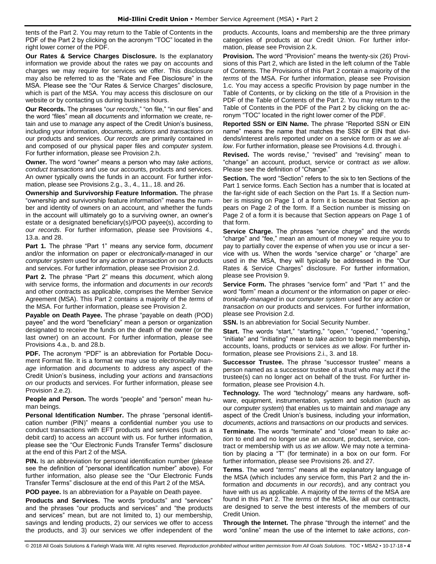tents of the Part 2. You may return to the Table of Contents in the PDF of the Part 2 by clicking on the acronym "TOC" located in the right lower corner of the PDF.

**Our Rates & Service Charges Disclosure.** Is the explanatory information we provide about the rates we pay on accounts and charges we may require for services we offer. This disclosure may also be referred to as the "Rate and Fee Disclosure" in the MSA. Please see the "Our Rates & Service Charges" disclosure, which is part of the MSA. You may access this disclosure on our website or by contacting us during business hours.

**Our Records.** The phrases "*our records*," "on file," "in our files" and the word "files" mean all *documents* and information we create, retain and use to *manage* any aspect of the Credit Union's business, including your information, *documents*, *actions* and *transactions on* our products and services. *Our records* are primarily contained in and composed of our physical paper files and *computer system*. For further information, please see Provision 2.h.

**Owner.** The word "owner" means a person who may *take actions*, *conduct transactions* and use our accounts, products and services. An owner typically owns the funds in an account. For further information, please see Provisions 2.g., 3., 4., 11., 18. and 26.

**Ownership and Survivorship Feature Information.** The phrase "ownership and survivorship feature information" means the number and identity of owners on an account, and whether the funds in the account will ultimately go to a surviving owner, an owner's estate or a designated beneficiary(s)/POD payee(s), according to *our records*. For further information, please see Provisions 4., 13.a. and 28.

**Part 1.** The phrase "Part 1" means any service form, *document* and/or the information on paper or *electronically-managed* in our *computer system* used for any *action* or *transaction on* our products and services. For further information, please see Provision 2.d.

**Part 2.** The phrase "Part 2" means this *document*, which along with service forms, the information and *documents* in *our records*  and other contracts as applicable, comprises the Member Service Agreement (MSA). This Part 2 contains a majority of the *terms* of the MSA. For further information, please see Provision 2.

**Payable on Death Payee.** The phrase "payable on death (POD) payee" and the word "beneficiary" mean a person or organization designated to receive the funds on the death of the owner (or the last owner) on an account. For further information, please see Provisions 4.a., b. and 28.b.

**PDF.** The acronym "PDF" is an abbreviation for Portable Document Format file. It is a format we may use to *electronically manage* information and *documents* to address any aspect of the Credit Union's business, including your *actions* and *transactions on* our products and services. For further information, please see Provision 2.e.2).

**People and Person.** The words "people" and "person" mean human beings.

**Personal Identification Number.** The phrase "personal identification number (PIN)" means a confidential number you use to conduct transactions with EFT products and services (such as a debit card) to access an account with us. For further information, please see the "Our Electronic Funds Transfer Terms" disclosure at the end of this Part 2 of the MSA.

**PIN.** Is an abbreviation for personal identification number (please) see the definition of "personal identification number" above). For further information, also please see the "Our Electronic Funds Transfer Terms" disclosure at the end of this Part 2 of the MSA.

**POD payee.** Is an abbreviation for a Payable on Death payee.

**Products and Services.** The words "products" and "services" and the phrases "our products and services" and "the products and services" mean, but are not limited to, 1) our membership, savings and lending products, 2) our services we offer to access the products, and 3) our services we offer independent of the products. Accounts, loans and membership are the three primary categories of products at our Credit Union. For further information, please see Provision 2.k.

**Provision.** The word "Provision" means the twenty-six (26) Provisions of this Part 2, which are listed in the left column of the Table of Contents. The Provisions of this Part 2 contain a majority of the *terms* of the MSA. For further information, please see Provision 1.c. You may access a specific Provision by page number in the Table of Contents, or by clicking on the title of a Provision in the PDF of the Table of Contents of the Part 2. You may return to the Table of Contents in the PDF of the Part 2 by clicking on the acronym "TOC" located in the right lower corner of the PDF.

**Reported SSN or EIN Name.** The phrase "Reported SSN or EIN name" means the name that matches the SSN or EIN that dividends/interest are/is reported under on a service form or *as we allow*. For further information, please see Provisions 4.d. through i.

**Revised.** The words revise," "revised" and "revising" mean to "change" an account, product, service or contract *as we allow*. Please see the definition of "Change."

**Section.** The word "Section" refers to the six to ten Sections of the Part 1 service forms. Each Section has a number that is located at the far-right side of each Section on the Part 1s. If a Section number is missing on Page 1 of a form it is because that Section appears on Page 2 of the form. If a Section number is missing on Page 2 of a form it is because that Section appears on Page 1 of that form.

**Service Charge.** The phrases "service charge" and the words "charge" and "fee," mean an amount of money we require you to pay to partially cover the expense of when you use or incur a service with us. When the words "service charge" or "charge" are used in the MSA, they will typically be addressed in the "Our Rates & Service Charges" disclosure. For further information, please see Provision 9.

**Service Form.** The phrases "service form" and "Part 1" and the word "form" mean a *document* or the information on paper or *electronically-managed* in our *computer system* used for any *action* or *transaction on* our products and services. For further information, please see Provision 2.d.

**SSN.** Is an abbreviation for Social Security Number.

**Start.** The words "start," "starting," "open," "opened," "opening," "initiate" and "initiating" mean to *take action* to begin membership**,** accounts, loans, products or services *as we allow*. For further information, please see Provisions 2.i., 3. and 18.

**Successor Trustee.** The phrase "successor trustee" means a person named as a successor trustee of a trust who may act if the trustee(s) can no longer act on behalf of the trust. For further information, please see Provision 4.h.

**Technology.** The word "technology" means any hardware, software, equipment, instrumentation, system and solution (such as our *computer system*) that enables us to maintain and *manage* any aspect of the Credit Union's business, including your information, *documents*, *actions* and *transactions on* our products and services.

**Terminate.** The words "terminate" and "close" mean to *take action* to end and no longer use an account, product, service, contract or membership with us *as we allow*. We may note a termination by placing a "T" (for terminate) in a box on our form. For further information, please see Provisions 26. and 27.

**Terms**. The word "*terms*" means all the explanatory language of the MSA (which includes any service form, this Part 2 and the information and *documents* in *our records*), and any contract you have with us as applicable. A majority of the *terms* of the MSA are found in this Part 2. The *terms* of the MSA, like all our contracts, are designed to serve the best interests of the members of our Credit Union.

**Through the Internet.** The phrase "through the internet" and the word "online" mean the use of the internet to *take actions*, *con-*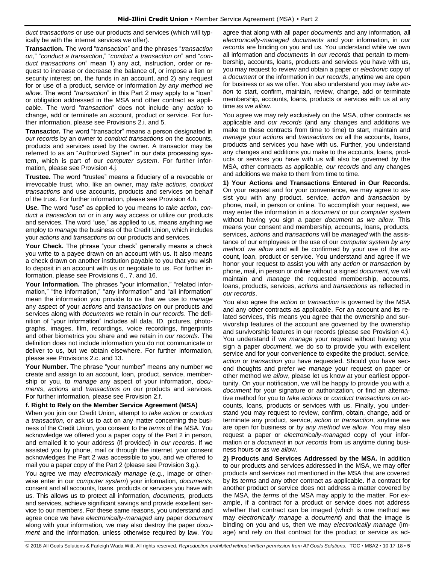*duct transactions* or use our products and services (which will typically be with the internet services we offer).

**Transaction.** The word "*transaction*" and the phrases "*transaction on*," "*conduct a transaction*," "*conduct a transaction on*" and "*conduct transactions on*" mean 1) any act, instruction, order or request to increase or decrease the balance of, or impose a lien or security interest on, the funds in an account, and 2) any request for or use of a product, service or information *by any method we allow*. The word "*transaction*" in this Part 2 may apply to a "loan" or obligation addressed in the MSA and other contract as applicable. The word "*transaction*" does not include any *action* to change, add or terminate an account, product or service. For further information, please see Provisions 2.i. and 5.

**Transactor.** The word "transactor" means a person designated in *our records* by an owner to *conduct transactions on* the accounts, products and services used by the owner. A transactor may be referred to as an "Authorized Signer" in our data processing system, which is part of our *computer system*. For further information, please see Provision 4.j.

**Trustee.** The word "trustee" means a fiduciary of a revocable or irrevocable trust, who, like an owner, may *take actions*, *conduct transactions* and use accounts, products and services on behalf of the trust. For further information, please see Provision 4.h.

**Use.** The word "use" as applied to you means to *take action*, *conduct a transaction on* or in any way access or utilize our products and services. The word "use," as applied to us, means anything we employ to *manage* the business of the Credit Union, which includes your *actions* and *transactions on* our products and services.

**Your Check.** The phrase "your check" generally means a check you write to a payee drawn on an account with us. It also means a check drawn on another institution payable to you that you wish to deposit in an account with us or negotiate to us. For further information, please see Provisions 6., 7. and 16.

Your Information. The phrases "your information," "related information," "the information," "any information" and "all information" mean the information you provide to us that we use to *manage* any aspect of your *actions* and *transactions on* our products and services along with *documents* we retain in *our records*. The definition of "your information" includes all data, ID, pictures, photographs, images, film, recordings, voice recordings, fingerprints and other biometrics you share and we retain in *our records*. The definition does not include information you do not communicate or deliver to us, but we obtain elsewhere. For further information, please see Provisions 2.c. and 13.

**Your Number.** The phrase "your number" means any number we create and assign to an account, loan, product, service, membership or you, to *manage* any aspect of your information, *documents*, *actions* and *transactions on* our products and services. For further information, please see Provision 2.f.

## **f. Right to Rely on the Member Service Agreement (MSA)**

When you join our Credit Union, attempt to *take action* or *conduct a transaction,* or ask us to act on any matter concerning the business of the Credit Union, you consent to the *terms* of the MSA. You acknowledge we offered you a paper copy of the Part 2 in person, and emailed it to your address (if provided) in *our records*. If we assisted you by phone, mail or through the internet, your consent acknowledges the Part 2 was accessible to you, and we offered to mail you a paper copy of the Part 2 (please see Provision 3.g.).

You agree we may *electronically manage* (e.g., image or otherwise enter in our *computer system*) your information, *documents*, consent and all accounts, loans, products or services you have with us. This allows us to protect all information, *documents,* products and services, achieve significant savings and provide excellent service to our members. For these same reasons, you understand and agree once we have *electronically-managed* any paper *document*  along with your information*,* we may also destroy the paper *document* and the information, unless otherwise required by law. You agree that along with all paper *documents* and any information*,* all *electronically-managed documents* and your information, in *our records* are binding on you and us. You understand while we own all information and *documents* in *our records* that pertain to membership, accounts, loans, products and services you have with us, you may request to review and obtain a paper or *electronic* copy of a *document* or the information in *our records*, anytime we are open for business or as we offer. You also understand you may *take action* to start, confirm, maintain, review, change, add or terminate membership, accounts, loans, products or services with us at any time *as we allow*.

You agree we may rely exclusively on the MSA, other contracts as applicable and *our records* (and any changes and additions we make to these contracts from time to time) to start, maintain and *manage* your *actions* and *transactions on* all the accounts, loans, products and services you have with us. Further, you understand any changes and additions you make to the accounts, loans, products or services you have with us will also be governed by the MSA, other contracts as applicable, *our records* and any changes and additions we make to them from time to time.

**1) Your Actions and Transactions Entered in Our Records.** On your request and for your convenience, we may agree to assist you with any product, service, *action* and *transaction* by phone, mail, in person or online. To accomplish your request, we may enter the information in a *document* or our *computer system*  without having you sign a paper *document as we allow*. This means your consent and membership, accounts, loans, products, services, *actions* and *transactions* will be *managed* with the assistance of our employees or the use of our *computer system by any method we allow* and will be confirmed by your use of the account, loan, product or service. You understand and agree if we honor your request to assist you with any *action* or *transaction* by phone, mail, in person or online without a signed *document*, we will maintain and *manage* the requested membership, accounts, loans, products, services, *actions* and *transactions* as reflected in *our records*.

You also agree the *action* or *transaction* is governed by the MSA and any other contracts as applicable. For an account and its related services, this means you agree that the ownership and survivorship features of the account are governed by the ownership and survivorship features in our records (please see Provision 4.). You understand if we *manage* your request without having you sign a paper *document*, we do so to provide you with excellent service and for your convenience to expedite the product, service, *action* or *transaction* you have requested. Should you have second thoughts and prefer we *manage* your request on paper or other method *we allow*, please let us know at your earliest opportunity. On your notification, we will be happy to provide you with a *document* for your signature or authorization, or find an alternative method for you to *take actions* or *conduct transactions on* accounts, loans, products or services with us. Finally, you understand you may request to review, confirm, obtain, change, add or terminate any product, service, *action* or *transaction*, anytime we are open for business or *by any method we allow*. You may also request a paper or *electronically-managed* copy of your information or a *document* in *our records* from us anytime during business hours or *as we allow*.

**2) Products and Services Addressed by the MSA.** In addition to our products and services addressed in the MSA, we may offer products and services not mentioned in the MSA that are covered by its *terms* and any other contract as applicable. If a contract for another product or service does not address a matter covered by the MSA, the *terms* of the MSA may apply to the matter. For example, if a contract for a product or service does not address whether that contract can be imaged (which is one method we may *electronically manage* a *document*) and that the image is binding on you and us, then we may *electronically manage* (image) and rely on that contract for the product or service as ad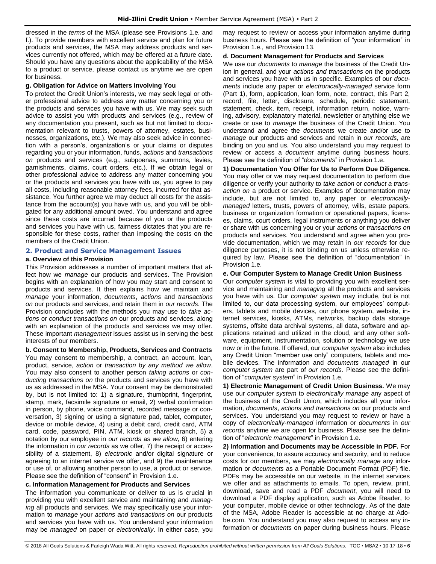dressed in the *terms* of the MSA (please see Provisions 1.e. and f.). To provide members with excellent service and plan for future products and services, the MSA may address products and services currently not offered, which may be offered at a future date. Should you have any questions about the applicability of the MSA to a product or service, please contact us anytime we are open for business.

## **g. Obligation for Advice on Matters Involving You**

To protect the Credit Union's interests, we may seek legal or other professional advice to address any matter concerning you or the products and services you have with us. We may seek such advice to assist you with products and services (e.g., review of any documentation you present, such as but not limited to documentation relevant to trusts, powers of attorney, estates, businesses, organizations, etc.). We may also seek advice in connection with a person's, organization's or your claims or disputes regarding you or your information, funds, *actions* and *transactions on* products and services (e.g., subpoenas, summons, levies, garnishments, claims, court orders, etc.). If we obtain legal or other professional advice to address any matter concerning you or the products and services you have with us, you agree to pay all costs, including reasonable attorney fees, incurred for that assistance. You further agree we may deduct all costs for the assistance from the account(s) you have with us, and you will be obligated for any additional amount owed. You understand and agree since these costs are incurred because of you or the products and services you have with us, fairness dictates that you are responsible for these costs, rather than imposing the costs on the members of the Credit Union.

## <span id="page-6-0"></span>**2. Product and Service Management Issues**

## **a. Overview of this Provision**

This Provision addresses a number of important matters that affect how we *manage* our products and services. The Provision begins with an explanation of how you may start and consent to products and services. It then explains how we maintain and *manage* your information, *documents*, *actions* and *transactions on* our products and services, and retain them in *our records*. The Provision concludes with the methods you may use to *take actions* or *conduct transactions on* our products and services, along with an explanation of the products and services we may offer. These important *management* issues assist us in serving the best interests of our members.

**b. Consent to Membership, Products, Services and Contracts** You may consent to membership, a contract, an account, loan, product, service, *action* or *transaction by any method we allow*. You may also consent to another person *taking actions* or *conducting transactions on* the products and services you have with us as addressed in the MSA. Your consent may be demonstrated by, but is not limited to: 1) a signature, thumbprint, fingerprint, stamp, mark, facsimile signature or email, 2) verbal confirmation in person, by phone, voice command, recorded message or conversation, 3) signing or using a signature pad, tablet, computer, device or mobile device, 4) using a debit card, credit card, ATM card, code, password, PIN, ATM, kiosk or shared branch, 5) a notation by our employee in *our records* as *we allow*, 6) entering the information in *our records* as we offer, 7) the receipt or accessibility of a statement, 8) *electronic* and/or digital signature or agreeing to an internet service we offer, and 9) the maintenance or use of, or allowing another person to use, a product or service. Please see the definition of "consent" in Provision 1.e.

## **c. Information Management for Products and Services**

The information you communicate or deliver to us is crucial in providing you with excellent service and maintaining and *managing* all products and services. We may specifically use your information to *manage* your *actions and transactions on* our products and services you have with us. You understand your information may be *managed* on paper or *electronically*. In either case, you may request to review or access your information anytime during business hours. Please see the definition of "your information" in Provision 1.e., and Provision 13.

## **d. Document Management for Products and Services**

We use our *documents* to *manage* the business of the Credit Union in general, and your *actions and transactions on* the products and services you have with us in specific. Examples of our *documents* include any paper or *electronically-managed* service form (Part 1), form, application, loan form, note, contract, this Part 2, record, file, letter, disclosure, schedule, periodic statement, statement, check, item, receipt, information return, notice, warning, advisory, explanatory material, newsletter or anything else we create or use to *manage* the business of the Credit Union. You understand and agree the *documents* we create and/or use to *manage* our products and services and retain in *our records,* are binding on you and us. You also understand you may request to review or access a *document* anytime during business hours. Please see the definition of "*documents*" in Provision 1.e.

**1) Documentation You Offer for Us to Perform Due Diligence.** You may offer or we may request documentation to perform due diligence or verify your authority to *take action* or *conduct a transaction on* a product or service. Examples of documentation may include, but are not limited to, any paper or *electronicallymanaged* letters, trusts, powers of attorney, wills, estate papers, business or organization formation or operational papers, licenses, claims, court orders, legal instruments or anything you deliver or share with us concerning you or your *actions* or *transactions on* products and services. You understand and agree when you provide documentation, which we may retain in *our records* for due diligence purposes, it is not binding on us unless otherwise required by law. Please see the definition of "documentation" in Provision 1.e.

## **e. Our Computer System to Manage Credit Union Business**

Our *computer system* is vital to providing you with excellent service and maintaining and *managing* all the products and services you have with us. Our *computer system* may include, but is not limited to, our data processing system, our employees' computers, tablets and mobile devices, our phone system, website, internet services, kiosks, ATMs, networks, backup data storage systems, offsite data archival systems, all data, software and applications retained and utilized in the cloud, and any other software, equipment, instrumentation, solution or technology we use now or in the future. If offered, our *computer system* also includes any Credit Union "member use only" computers, tablets and mobile devices. The information and *documents managed* in our *computer system* are part of *our records*. Please see the definition of "*computer system*" in Provision 1.e.

**1) Electronic Management of Credit Union Business.** We may use our *computer system* to *electronically manage* any aspect of the business of the Credit Union, which includes all your information, *documents*, *actions and transactions on* our products and services. You understand you may request to review or have a copy of *electronically-managed* information or *documents* in *our records* anytime we are open for business. Please see the definition of "*electronic management*" in Provision 1.e.

**2) Information and Documents may be Accessible in PDF.** For your convenience, to assure accuracy and security, and to reduce costs for our members, we may *electronically manage* any information or *documents* as a Portable Document Format (PDF) file. PDFs may be accessible on our website, in the internet services we offer and as attachments to emails. To open, review, print, download, save and read a PDF *document*, you will need to download a PDF display application, such as Adobe Reader, to your computer, mobile device or other technology. As of the date of the MSA, Adobe Reader is accessible at no charge at Adobe.com. You understand you may also request to access any information or *documents* on paper during business hours. Please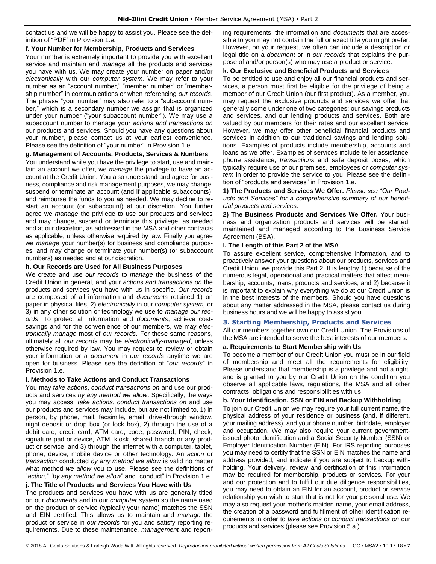contact us and we will be happy to assist you. Please see the definition of "PDF" in Provision 1.e.

## **f. Your Number for Membership, Products and Services**

Your number is extremely important to provide you with excellent service and maintain and *manage* all the products and services you have with us. We may create your number on paper and/or *electronically* with our *computer system*. We may refer to your number as an "account number," "member number" or "membership number" in communications or when referencing *our records*. The phrase "your number" may also refer to a "subaccount number," which is a secondary number we assign that is organized under your number ("your subaccount number"). We may use a subaccount number to manage your *actions and transactions on*  our products and services. Should you have any questions about your number, please contact us at your earliest convenience. Please see the definition of "your number" in Provision 1.e.

## **g. Management of Accounts, Products, Services & Numbers**

You understand while you have the privilege to start, use and maintain an account we offer, we *manage* the privilege to have an account at the Credit Union. You also understand and agree for business, compliance and risk management purposes, we may change, suspend or terminate an account (and if applicable subaccounts), and reimburse the funds to you as needed. We may decline to restart an account (or subaccount) at our discretion. You further agree we *manage* the privilege to use our products and services and may change, suspend or terminate this privilege, as needed and at our discretion, as addressed in the MSA and other contracts as applicable, unless otherwise required by law. Finally you agree we *manage* your number(s) for business and compliance purposes, and may change or terminate your number(s) (or subaccount numbers) as needed and at our discretion.

## **h. Our Records are Used for All Business Purposes**

We create and use *our records* to *manage* the business of the Credit Union in general, and your *actions and transactions on* the products and services you have with us in specific. *Our records* are composed of all information and *documents* retained 1) on paper in physical files, 2) *electronically* in our *computer system,* or 3) in any other solution or technology we use to *manage our records*. To protect all information and *documents*, achieve costsavings and for the convenience of our members, we may *electronically manage* most of *our records*. For these same reasons, ultimately all *our records* may be *electronically-managed*, unless otherwise required by law. You may request to review or obtain your information or a *document* in *our records* anytime we are open for business. Please see the definition of "*our records*" in Provision 1.e.

## **i. Methods to Take Actions and Conduct Transactions**

You may *take actions*, *conduct transactions on* and use our products and services *by any method we allow*. Specifically, the ways you may access, *take actions*, *conduct transactions on* and use our products and services may include, but are not limited to, 1) in person, by phone, mail, facsimile, email, drive-through window, night deposit or drop box (or lock box), 2) through the use of a debit card, credit card, ATM card, code, password, PIN, check, signature pad or device, ATM, kiosk, shared branch or any product or service, and 3) through the internet with a computer, tablet, phone, device, mobile device or other technology. An *action* or *transaction* conducted *by any method we allow* is valid no matter what method *we allow* you to use. Please see the definitions of "*action*," "*by any method we allow*" and "conduct" in Provision 1.e.

## **j. The Title of Products and Services You Have with Us**

The products and services you have with us are generally titled on our *documents* and in our *computer system* so the name used on the product or service (typically your name) matches the SSN and EIN certified. This allows us to maintain and *manage* the product or service in *our records* for you and satisfy reporting requirements. Due to these maintenance, *management* and reporting requirements, the information and *documents* that are accessible to you may not contain the full or exact title you might prefer. However, on your request, we often can include a description or legal title on a *document* or in *our records* that explains the purpose of and/or person(s) who may use a product or service.

## **k. Our Exclusive and Beneficial Products and Services**

To be entitled to use and enjoy all our financial products and services, a person must first be eligible for the privilege of being a member of our Credit Union (our first product). As a member, you may request the exclusive products and services we offer that generally come under one of two categories: our savings products and services, and our lending products and services. Both are valued by our members for their rates and our excellent service. However, we may offer other beneficial financial products and services in addition to our traditional savings and lending solutions. Examples of products include membership, accounts and loans as we offer. Examples of services include teller assistance, phone assistance, *transactions* and safe deposit boxes, which typically require use of our premises, employees or *computer system* in order to provide the service to you. Please see the definition of "products and services" in Provision 1.e.

**1) The Products and Services We Offer.** *Please see "Our Products and Services" for a comprehensive summary of our beneficial products and services.*

**2) The Business Products and Services We Offer.** Your business and organization products and services will be started, maintained and managed according to the Business Service Agreement (BSA).

## **l. The Length of this Part 2 of the MSA**

To assure excellent service, comprehensive information, and to proactively answer your questions about our products, services and Credit Union, we provide this Part 2. It is lengthy 1) because of the numerous legal, operational and practical matters that affect membership, accounts, loans, products and services, and 2) because it is important to explain why everything we do at our Credit Union is in the best interests of the members. Should you have questions about any matter addressed in the MSA, please contact us during business hours and we will be happy to assist you.

## <span id="page-7-0"></span>**3. Starting Membership, Products and Services**

All our members together own our Credit Union. The Provisions of the MSA are intended to serve the best interests of our members.

## **a. Requirements to Start Membership with Us**

To become a member of our Credit Union you must be in our field of membership and meet all the requirements for eligibility. Please understand that membership is a privilege and not a right, and is granted to you by our Credit Union on the condition you observe all applicable laws, regulations, the MSA and all other contracts, obligations and responsibilities with us.

## **b. Your Identification, SSN or EIN and Backup Withholding**

To join our Credit Union we may require your full current name, the physical address of your residence or business (and, if different, your mailing address), and your phone number, birthdate, employer and occupation. We may also require your current governmentissued photo identification and a Social Security Number (SSN) or Employer Identification Number (EIN). For IRS reporting purposes you may need to certify that the SSN or EIN matches the name and address provided, and indicate if you are subject to backup withholding. Your delivery, review and certification of this information may be required for membership, products or services. For your and our protection and to fulfill our due diligence responsibilities, you may need to obtain an EIN for an account, product or service relationship you wish to start that is not for your personal use. We may also request your mother's maiden name, your email address, the creation of a password and fulfillment of other identification requirements in order to *take actions* or *conduct transactions on* our products and services (please see Provision 5.a.).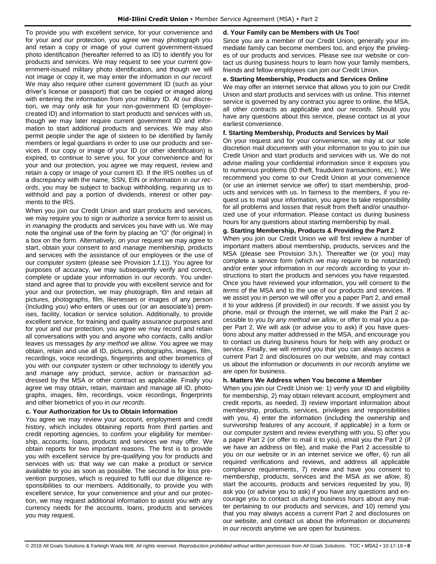To provide you with excellent service, for your convenience and for your and our protection, you agree we may photograph you and retain a copy or image of your current government-issued photo identification (hereafter referred to as ID) to identify you for products and services. We may request to see your current government-issued military photo identification, and though we will not image or copy it, we may enter the information in *our record*. We may also require other current government ID (such as your driver's license or passport) that can be copied or imaged along with entering the information from your military ID. At our discretion, we may only ask for your non-government ID (employercreated ID) and information to start products and services with us, though we may later require current government ID and information to start additional products and services. We may also permit people under the age of sixteen to be identified by family members or legal guardians in order to use our products and services. If our copy or image of your ID (or other identification) is expired, to continue to serve you, for your convenience and for your and our protection, you agree we may request, review and retain a copy or image of your current ID. If the IRS notifies us of a discrepancy with the name, SSN, EIN or information in *our records*, you may be subject to backup withholding, requiring us to withhold and pay a portion of dividends, interest or other payments to the IRS.

When you join our Credit Union and start products and services, we may require you to sign or authorize a service form to assist us in *managing* the products and services you have with us. We may note the original use of the form by placing an "O" (for original) in a box on the form. Alternatively, on your request we may agree to start, obtain your consent to and *manage* membership, products and services with the assistance of our employees or the use of our *computer system* (please see Provision 1.f.1)). You agree for purposes of accuracy, we may subsequently verify and correct, complete or update your information in *our records*. You understand and agree that to provide you with excellent service and for your and our protection, we may photograph, film and retain all pictures, photographs, film, likenesses or images of any person (including you) who enters or uses our (or an associate's) premises, facility, location or service solution. Additionally, to provide excellent service, for training and quality assurance purposes and for your and our protection, you agree we may record and retain all conversations with you and anyone who contacts, calls and/or leaves us messages *by any method we allow*. You agree we may obtain, retain and use all ID, pictures, photographs, images, film, recordings, voice recordings, fingerprints and other biometrics of you with our *computer system* or other technology to identify you and *manage* any product, service, *action* or *transaction* addressed by the MSA or other contract as applicable. Finally you agree we may obtain, retain, maintain and *manage* all ID, photographs, images, film, recordings, voice recordings, fingerprints and other biometrics of you in *our records*.

## **c. Your Authorization for Us to Obtain Information**

You agree we may review your account, employment and credit history, which includes obtaining reports from third parties and credit reporting agencies, to confirm your eligibility for membership, accounts, loans, products and services we may offer. We obtain reports for two important reasons. The first is to provide you with excellent service by pre-qualifying you for products and services with us: that way we can make a product or service available to you as soon as possible. The second is for loss prevention purposes, which is required to fulfil our due diligence responsibilities to our members. Additionally, to provide you with excellent service, for your convenience and your and our protection, we may request additional information to assist you with any currency needs for the accounts, loans, products and services you may request.

## **d. Your Family can be Members with Us Too!**

Since you are a member of our Credit Union, generally your immediate family can become members too, and enjoy the privileges of our products and services. Please see our website or contact us during business hours to learn how your family members, friends and fellow employees can join our Credit Union.

## **e. Starting Membership, Products and Services Online**

We may offer an internet service that allows you to join our Credit Union and start products and services with us online. This internet service is governed by any contract you agree to online, the MSA, all other contracts as applicable and *our records*. Should you have any questions about this service, please contact us at your earliest convenience.

## **f. Starting Membership, Products and Services by Mail**

On your request and for your convenience, we may at our sole discretion mail *documents* with your information to you to join our Credit Union and start products and services with us. We do not advise mailing your confidential information since it exposes you to numerous problems (ID theft, fraudulent *transactions*, etc.). We recommend you come to our Credit Union at your convenience (or use an internet service we offer) to start membership, products and services with us. In fairness to the members, if you request us to mail your information, you agree to take responsibility for all problems and losses that result from theft and/or unauthorized use of your information. Please contact us during business hours for any questions about starting membership by mail.

## **g. Starting Membership, Products & Providing the Part 2**

When you join our Credit Union we will first review a number of important matters about membership, products, services and the MSA (please see Provision 3.h.). Thereafter we (or you) may complete a service form (which we may require to be notarized) and/or enter your information in *our records* according to your instructions to start the products and services you have requested. Once you have reviewed your information, you will consent to the *terms* of the MSA and to the use of our products and services. If we assist you in person we will offer you a paper Part 2, and email it to your address (if provided) in *our records*. If we assist you by phone, mail or through the internet, we will make the Part 2 accessible to you *by any method we allow*, or offer to mail you a paper Part 2. We will ask (or advise you to ask) if you have questions about any matter addressed in the MSA, and encourage you to contact us during business hours for help with any product or service. Finally, we will remind you that you can always access a current Part 2 and disclosures on our website, and may contact us about the information or *documents* in *our records* anytime we are open for business.

## **h. Matters We Address when You become a Member**

When you join our Credit Union we: 1) verify your ID and eligibility for membership, 2) may obtain relevant account, employment and credit reports, as needed, 3) review important information about membership, products, services, privileges and responsibilities with you, 4) enter the information (including the ownership and survivorship features of any account, if applicable) in a form or our *computer system* and review everything with you, 5) offer you a paper Part 2 (or offer to mail it to you), email you the Part 2 (if we have an address on file), and make the Part 2 accessible to you on our website or in an internet service we offer, 6) run all required verifications and reviews, and address all applicable compliance requirements, 7) review and have you consent to membership, products, services and the MSA *as we allow*, 8) start the accounts, products and services requested by you, 9) ask you (or advise you to ask) if you have any questions and encourage you to contact us during business hours about any matter pertaining to our products and services, *and* 10) remind you that you may always access a current Part 2 and disclosures on our website, and contact us about the information or *documents*  in *our records* anytime we are open for business.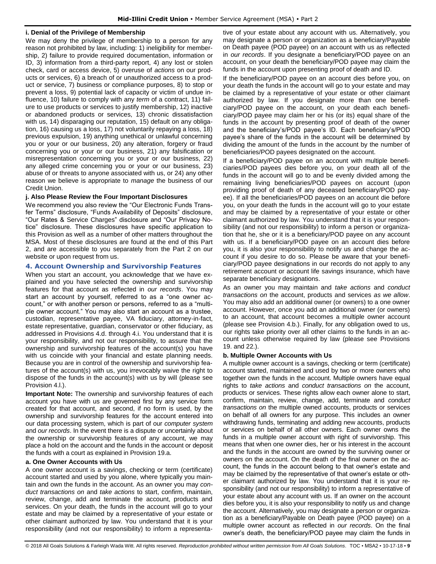## **i. Denial of the Privilege of Membership**

We may deny the privilege of membership to a person for any reason not prohibited by law, including: 1) ineligibility for membership, 2) failure to provide required documentation, information or ID, 3) information from a third-party report, 4) any lost or stolen check, card or access device, 5) overuse of *actions* on our products or services, 6) a breach of or unauthorized access to a product or service, 7) business or compliance purposes, 8) to stop or prevent a loss, 9) potential lack of capacity or victim of undue influence, 10) failure to comply with any *term* of a contract, 11) failure to use products or services to justify membership, 12) inactive or abandoned products or services, 13) chronic dissatisfaction with us, 14) disparaging our reputation, 15) default on any obligation, 16) causing us a loss, 17) not voluntarily repaying a loss, 18) previous expulsion, 19) anything unethical or unlawful concerning you or your or our business, 20) any alteration, forgery or fraud concerning you or your or our business, 21) any falsification or misrepresentation concerning you or your or our business, 22) any alleged crime concerning you or your or our business, 23) abuse of or threats to anyone associated with us, or 24) any other reason we believe is appropriate to *manage* the business of our Credit Union.

## **j. Also Please Review the Four Important Disclosures**

We recommend you also review the "Our Electronic Funds Transfer Terms" disclosure, "Funds Availability of Deposits" disclosure, "Our Rates & Service Charges" disclosure and "Our Privacy Notice" disclosure. These disclosures have specific application to this Provision as well as a number of other matters throughout the MSA. Most of these disclosures are found at the end of this Part 2, and are accessible to you separately from the Part 2 on our website or upon request from us.

## <span id="page-9-0"></span>**4. Account Ownership and Survivorship Features**

When you start an account, you acknowledge that we have explained and you have selected the ownership and survivorship features for that account as reflected in *our records*. You may start an account by yourself, referred to as a "one owner account," or with another person or persons, referred to as a "multiple owner account." You may also start an account as a trustee, custodian, representative payee, VA fiduciary, attorney-in-fact, estate representative, guardian, conservator or other fiduciary, as addressed in Provisions 4.d. through 4.i. You understand that it is your responsibility, and not our responsibility, to assure that the ownership and survivorship features of the account(s) you have with us coincide with your financial and estate planning needs. Because you are in control of the ownership and survivorship features of the account(s) with us, you irrevocably waive the right to dispose of the funds in the account(s) with us by will (please see Provision 4.l.).

**Important Note:** The ownership and survivorship features of each account you have with us are governed first by any service form created for that account, and second, if no form is used, by the ownership and survivorship features for the account entered into our data processing system, which is part of our *computer system* and *our records*. In the event there is a dispute or uncertainly about the ownership or survivorship features of any account, we may place a hold on the account and the funds in the account or deposit the funds with a court as explained in Provision 19.a.

## **a. One Owner Accounts with Us**

A one owner account is a savings, checking or term (certificate) account started and used by you alone, where typically you maintain and own the funds in the account. As an owner you may *conduct transactions on* and *take actions* to start, confirm, maintain, review, change, add and terminate the account, products and services. On your death, the funds in the account will go to your estate and may be claimed by a representative of your estate or other claimant authorized by law. You understand that it is your responsibility (and not our responsibility) to inform a representative of your estate about any account with us. Alternatively, you may designate a person or organization as a beneficiary/Payable on Death payee (POD payee) on an account with us as reflected in *our records*. If you designate a beneficiary/POD payee on an account, on your death the beneficiary/POD payee may claim the funds in the account upon presenting proof of death and ID.

If the beneficiary/POD payee on an account dies before you, on your death the funds in the account will go to your estate and may be claimed by a representative of your estate or other claimant authorized by law. If you designate more than one beneficiary/POD payee on the account, on your death each beneficiary/POD payee may claim her or his (or its) equal share of the funds in the account by presenting proof of death of the owner and the beneficiary's/POD payee's ID. Each beneficiary's/POD payee's share of the funds in the account will be determined by dividing the amount of the funds in the account by the number of beneficiaries/POD payees designated on the account.

If a beneficiary/POD payee on an account with multiple beneficiaries/POD payees dies before you, on your death all of the funds in the account will go to and be evenly divided among the remaining living beneficiaries/POD payees on account (upon providing proof of death of any deceased beneficiary/POD payee). If all the beneficiaries/POD payees on an account die before you, on your death the funds in the account will go to your estate and may be claimed by a representative of your estate or other claimant authorized by law. You understand that it is your responsibility (and not our responsibility) to inform a person or organization that he, she or it is a beneficiary/POD payee on any account with us. If a beneficiary/POD payee on an account dies before you, it is also your responsibility to notify us and change the account if you desire to do so. Please be aware that your beneficiary/POD payee designations in our records do not apply to any retirement account or account life savings insurance, which have separate beneficiary designations.

As an owner you may maintain and *take actions* and *conduct transactions on* the account, products and services *as we allow*. You may also add an additional owner (or owners) to a one owner account. However, once you add an additional owner (or owners) to an account, that account becomes a multiple owner account (please see Provision 4.b.). Finally, for any obligation owed to us, our rights take priority over all other claims to the funds in an account unless otherwise required by law (please see Provisions 19. and 22.).

## **b. Multiple Owner Accounts with Us**

A multiple owner account is a savings, checking or term (certificate) account started, maintained and used by two or more owners who together own the funds in the account. Multiple owners have equal rights to *take actions* and *conduct transactions on* the account, products or services. These rights allow each owner alone to start, confirm, maintain, review, change, add, terminate and *conduct transactions on* the multiple owned accounts, products or services on behalf of all owners for any purpose. This includes an owner withdrawing funds, terminating and adding new accounts, products or services on behalf of all other owners. Each owner owns the funds in a multiple owner account with right of survivorship. This means that when one owner dies, her or his interest in the account and the funds in the account are owned by the surviving owner or owners on the account. On the death of the final owner on the account, the funds in the account belong to that owner's estate and may be claimed by the representative of that owner's estate or other claimant authorized by law. You understand that it is your responsibility (and not our responsibility) to inform a representative of your estate about any account with us. If an owner on the account dies before you, it is also your responsibility to notify us and change the account. Alternatively, you may designate a person or organization as a beneficiary/Payable on Death payee (POD payee) on a multiple owner account as reflected in *our records*. On the final owner's death, the beneficiary/POD payee may claim the funds in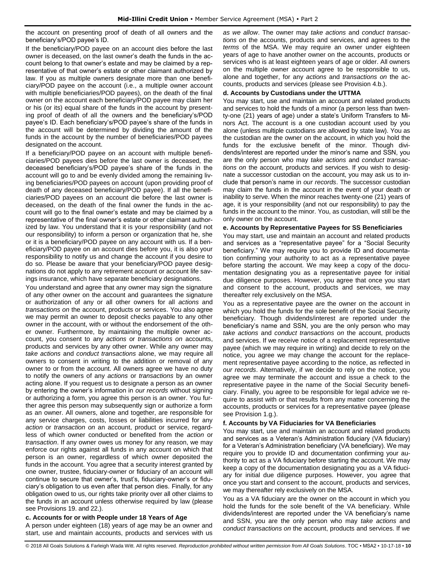the account on presenting proof of death of all owners and the beneficiary's/POD payee's ID.

If the beneficiary/POD payee on an account dies before the last owner is deceased, on the last owner's death the funds in the account belong to that owner's estate and may be claimed by a representative of that owner's estate or other claimant authorized by law. If you as multiple owners designate more than one beneficiary/POD payee on the account (i.e., a multiple owner account with multiple beneficiaries/POD payees), on the death of the final owner on the account each beneficiary/POD payee may claim her or his (or its) equal share of the funds in the account by presenting proof of death of all the owners and the beneficiary's/POD payee's ID. Each beneficiary's/POD payee's share of the funds in the account will be determined by dividing the amount of the funds in the account by the number of beneficiaries/POD payees designated on the account.

If a beneficiary/POD payee on an account with multiple beneficiaries/POD payees dies before the last owner is deceased, the deceased beneficiary's/POD payee's share of the funds in the account will go to and be evenly divided among the remaining living beneficiaries/POD payees on account (upon providing proof of death of any deceased beneficiary/POD payee). If all the beneficiaries/POD payees on an account die before the last owner is deceased, on the death of the final owner the funds in the account will go to the final owner's estate and may be claimed by a representative of the final owner's estate or other claimant authorized by law. You understand that it is your responsibility (and not our responsibility) to inform a person or organization that he, she or it is a beneficiary/POD payee on any account with us. If a beneficiary/POD payee on an account dies before you, it is also your responsibility to notify us and change the account if you desire to do so. Please be aware that your beneficiary/POD payee designations do not apply to any retirement account or account life savings insurance, which have separate beneficiary designations.

You understand and agree that any owner may sign the signature of any other owner on the account and guarantees the signature or authorization of any or all other owners for all *actions* and *transactions on* the account, products or services. You also agree we may permit an owner to deposit checks payable to any other owner in the account, with or without the endorsement of the other owner. Furthermore, by maintaining the multiple owner account, you consent to any *actions* or *transactions on* accounts, products and services by any other owner. While any owner may *take actions* and *conduct transactions* alone, we may require all owners to consent in writing to the addition or removal of any owner to or from the account. All owners agree we have no duty to notify the owners of any *actions* or *transactions* by an owner acting alone. If you request us to designate a person as an owner by entering the owner's information in *our records* without signing or authorizing a form, you agree this person is an owner. You further agree this person may subsequently sign or authorize a form as an owner. All owners, alone and together, are responsible for any service charges, costs, losses or liabilities incurred for any *action* or *transaction on* an account, product or service, regardless of which owner conducted or benefited from the *action* or *transaction*. If any owner owes us money for any reason, we may enforce our rights against all funds in any account on which that person is an owner, regardless of which owner deposited the funds in the account. You agree that a security interest granted by one owner, trustee, fiduciary-owner or fiduciary of an account will continue to secure that owner's, trust's, fiduciary-owner's or fiduciary's obligation to us even after that person dies. Finally, for any obligation owed to us, our rights take priority over all other claims to the funds in an account unless otherwise required by law (please see Provisions 19. and 22.).

## **c. Accounts for or with People under 18 Years of Age**

A person under eighteen (18) years of age may be an owner and start, use and maintain accounts, products and services with us

*as we allow*. The owner may *take actions* and *conduct transactions on* the accounts, products and services, and agrees to the *terms* of the MSA. We may require an owner under eighteen years of age to have another owner on the accounts, products or services who is at least eighteen years of age or older. All owners on the multiple owner account agree to be responsible to us, alone and together, for any *actions* and *transactions on* the accounts, products and services (please see Provision 4.b.).

## **d. Accounts by Custodians under the UTTMA**

You may start, use and maintain an account and related products and services to hold the funds of a minor (a person less than twenty-one (21) years of age) under a state's Uniform Transfers to Minors Act. The account is a one custodian account used by you alone (unless multiple custodians are allowed by state law). You as the custodian are the owner on the account, in which you hold the funds for the exclusive benefit of the minor. Though dividends/interest are reported under the minor's name and SSN, you are the only person who may *take actions* and *conduct transactions on* the account, products and services. If you wish to designate a successor custodian on the account, you may ask us to include that person's name in *our records*. The successor custodian may claim the funds in the account in the event of your death or inability to serve. When the minor reaches twenty-one (21) years of age, it is your responsibility (and not our responsibility) to pay the funds in the account to the minor. You, as custodian, will still be the only owner on the account.

## **e. Accounts by Representative Payees for SS Beneficiaries**

You may start, use and maintain an account and related products and services as a "representative payee" for a "Social Security beneficiary." We may require you to provide ID and documentation confirming your authority to act as a representative payee before starting the account. We may keep a copy of the documentation designating you as a representative payee for initial due diligence purposes. However, you agree that once you start and consent to the account, products and services, we may thereafter rely exclusively on the MSA.

You as a representative payee are the owner on the account in which you hold the funds for the sole benefit of the Social Security beneficiary. Though dividends/interest are reported under the beneficiary's name and SSN, you are the only person who may *take actions* and *conduct transactions on* the account, products and services. If we receive notice of a replacement representative payee (which we may require in writing) and decide to rely on the notice, you agree we may change the account for the replacement representative payee according to the notice, as reflected in *our records*. Alternatively, if we decide to rely on the notice, you agree we may terminate the account and issue a check to the representative payee in the name of the Social Security beneficiary. Finally, you agree to be responsible for legal advice we require to assist with or that results from any matter concerning the accounts, products or services for a representative payee (please see Provision 1.g.).

## **f. Accounts by VA Fiduciaries for VA Beneficiaries**

You may start, use and maintain an account and related products and services as a Veteran's Administration fiduciary (VA fiduciary) for a Veteran's Administration beneficiary (VA beneficiary). We may require you to provide ID and documentation confirming your authority to act as a VA fiduciary before starting the account. We may keep a copy of the documentation designating you as a VA fiduciary for initial due diligence purposes. However, you agree that once you start and consent to the account, products and services, we may thereafter rely exclusively on the MSA.

You as a VA fiduciary are the owner on the account in which you hold the funds for the sole benefit of the VA beneficiary. While dividends/interest are reported under the VA beneficiary's name and SSN, you are the only person who may *take actions* and *conduct transactions on* the account, products and services. If we

© 2018 All Goals Solutions & Farleigh Wada Witt. All rights reserved. *Reproduction prohibited without written permission from All Goals Solutions*[. TOC](#page-0-0) ▪ MSA2 ▪ 10-17-18 ▪ **10**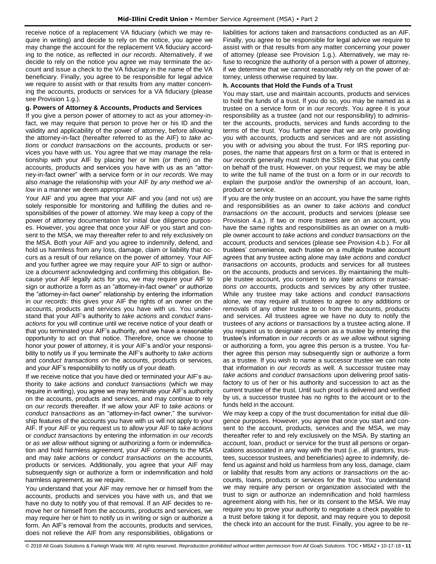receive notice of a replacement VA fiduciary (which we may require in writing) and decide to rely on the notice, you agree we may change the account for the replacement VA fiduciary according to the notice, as reflected in *our records*. Alternatively, if we decide to rely on the notice you agree we may terminate the account and issue a check to the VA fiduciary in the name of the VA beneficiary. Finally, you agree to be responsible for legal advice we require to assist with or that results from any matter concerning the accounts, products or services for a VA fiduciary (please see Provision 1.g.).

## **g. Powers of Attorney & Accounts, Products and Services**

If you give a person power of attorney to act as your attorney-infact, we may require that person to prove her or his ID and the validity and applicability of the power of attorney, before allowing the attorney-in-fact (hereafter referred to as the AIF) to *take actions* or *conduct transactions on* the accounts, products or services you have with us. You agree that we may *manage* the relationship with your AIF by placing her or him (or them) on the accounts, products and services you have with us as an "attorney-in-fact owner" with a service form or in *our records.* We may also *manage* the relationship with your AIF *by any method we allow* in a manner we deem appropriate.

Your AIF and you agree that your AIF and you (and not us) are solely responsible for monitoring and fulfilling the duties and responsibilities of the power of attorney. We may keep a copy of the power of attorney documentation for initial due diligence purposes. However, you agree that once your AIF or you start and consent to the MSA, we may thereafter refer to and rely exclusively on the MSA. Both your AIF and you agree to indemnify, defend, and hold us harmless from any loss, damage, claim or liability that occurs as a result of our reliance on the power of attorney. Your AIF and you further agree we may require your AIF to sign or authorize a *document* acknowledging and confirming this obligation. Because your AIF legally acts for you, we may require your AIF to sign or authorize a form as an "attorney-in-fact owner" or authorize the "attorney-in-fact owner" relationship by entering the information in *our records*: this gives your AIF the rights of an owner on the accounts, products and services you have with us. You understand that your AIF's authority to *take actions* and *conduct transactions* for you will continue until we receive notice of your death or that you terminated your AIF's authority, and we have a reasonable opportunity to act on that notice. Therefore, once we choose to honor your power of attorney, it is your AIF's and/or your responsibility to notify us if you terminate the AIF's authority to *take actions* and *conduct transactions on* the accounts, products or services, and your AIF's responsibility to notify us of your death.

If we receive notice that you have died or terminated your AIF's authority to *take actions* and *conduct transactions* (which we may require in writing), you agree we may terminate your AIF's authority on the accounts, products and services, and may continue to rely on *our records* thereafter. If we allow your AIF to *take actions* or *conduct transactions* as an "attorney-in-fact owner," the survivorship features of the accounts you have with us will not apply to your AIF. If your AIF or you request us to allow your AIF to *take actions* or *conduct transactions* by entering the information in *our records* or *as we allow* without signing or authorizing a form or indemnification and hold harmless agreement, your AIF consents to the MSA and may *take actions* or *conduct transactions on* the accounts, products or services. Additionally, you agree that your AIF may subsequently sign or authorize a form or indemnification and hold harmless agreement, as we require.

You understand that your AIF may remove her or himself from the accounts, products and services you have with us, and that we have no duty to notify you of that removal. If an AIF decides to remove her or himself from the accounts, products and services, we may require her or him to notify us in writing or sign or authorize a form. An AIF's removal from the accounts, products and services, does not relieve the AIF from any responsibilities, obligations or

liabilities for *actions* taken and *transactions* conducted as an AIF. Finally, you agree to be responsible for legal advice we require to assist with or that results from any matter concerning your power of attorney (please see Provision 1.g.). Alternatively, we may refuse to recognize the authority of a person with a power of attorney, if we determine that we cannot reasonably rely on the power of attorney, unless otherwise required by law.

## **h. Accounts that Hold the Funds of a Trust**

You may start, use and maintain accounts, products and services to hold the funds of a trust. If you do so, you may be named as a trustee on a service form or in *our records*. You agree it is your responsibility as a trustee (and not our responsibility) to administer the accounts, products, services and funds according to the terms of the trust. You further agree that we are only providing you with accounts, products and services and are not assisting you with or advising you about the trust. For IRS reporting purposes, the name that appears first on a form or that is entered in *our records* generally must match the SSN or EIN that you certify on behalf of the trust. However, on your request, we may be able to write the full name of the trust on a form or in *our records* to explain the purpose and/or the ownership of an account, loan, product or service.

If you are the only trustee on an account, you have the same rights and responsibilities as an owner to *take actions* and *conduct transactions on* the account, products and services (please see Provision 4.a.). If two or more trustees are on an account, you have the same rights and responsibilities as an owner on a multiple owner account to *take actions* and *conduct transactions on* the account, products and services (please see Provision 4.b.). For all trustees' convenience, each trustee on a multiple trustee account agrees that any trustee acting alone may *take actions* and *conduct transactions on* accounts, products and services for all trustees on the accounts, products and services. By maintaining the multiple trustee account, you consent to any later *actions* or *transactions on* accounts, products and services by any other trustee. While any trustee may take actions and *conduct transactions*  alone, we may require all trustees to agree to any additions or removals of any other trustee to or from the accounts, products and services. All trustees agree we have no duty to notify the trustees of any *actions* or *transactions* by a trustee acting alone. If you request us to designate a person as a trustee by entering the trustee's information in *our records* or *as we allow* without signing or authorizing a form, you agree this person is a trustee. You further agree this person may subsequently sign or authorize a form as a trustee. If you wish to name a successor trustee we can note that information in *our records* as well. A successor trustee may *take actions* and *conduct transactions* upon delivering proof satisfactory to us of her or his authority and succession to act as the current trustee of the trust. Until such proof is delivered and verified by us, a successor trustee has no rights to the account or to the funds held in the account.

We may keep a copy of the trust documentation for initial due diligence purposes. However, you agree that once you start and consent to the account, products, services and the MSA, we may thereafter refer to and rely exclusively on the MSA. By starting an account, loan, product or service for the trust all persons or organizations associated in any way with the trust (i.e., all grantors, trustees, successor trustees, and beneficiaries) agree to indemnify, defend us against and hold us harmless from any loss, damage, claim or liability that results from any *actions* or *transactions on* the accounts, loans, products or services for the trust. You understand we may require any person or organization associated with the trust to sign or authorize an indemnification and hold harmless agreement along with his, her or its consent to the MSA. We may require you to prove your authority to negotiate a check payable to a trust before taking it for deposit, and may require you to deposit the check into an account for the trust. Finally, you agree to be re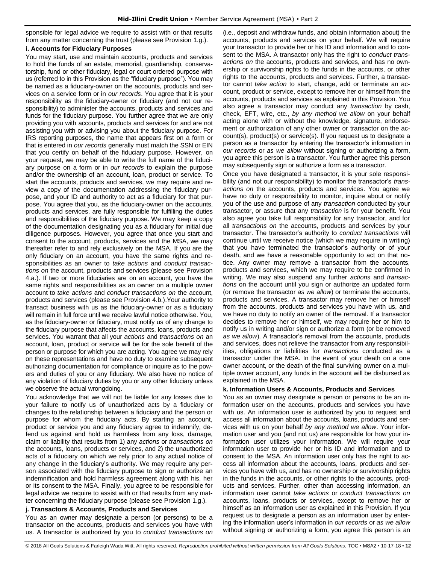sponsible for legal advice we require to assist with or that results from any matter concerning the trust (please see Provision 1.g.).

## **i. Accounts for Fiduciary Purposes**

You may start, use and maintain accounts, products and services to hold the funds of an estate, memorial, guardianship, conservatorship, fund or other fiduciary, legal or court ordered purpose with us (referred to in this Provision as the "fiduciary purpose"). You may be named as a fiduciary-owner on the accounts, products and services on a service form or in *our records*. You agree that it is your responsibility as the fiduciary-owner or fiduciary (and not our responsibility) to administer the accounts, products and services and funds for the fiduciary purpose. You further agree that we are only providing you with accounts, products and services for and are not assisting you with or advising you about the fiduciary purpose. For IRS reporting purposes, the name that appears first on a form or that is entered in *our records* generally must match the SSN or EIN that you certify on behalf of the fiduciary purpose. However, on your request, we may be able to write the full name of the fiduciary purpose on a form or in *our records* to explain the purpose and/or the ownership of an account, loan, product or service. To start the accounts, products and services, we may require and review a copy of the documentation addressing the fiduciary purpose, and your ID and authority to act as a fiduciary for that purpose. You agree that you, as the fiduciary-owner on the accounts, products and services, are fully responsible for fulfilling the duties and responsibilities of the fiduciary purpose. We may keep a copy of the documentation designating you as a fiduciary for initial due diligence purposes. However, you agree that once you start and consent to the account, products, services and the MSA, we may thereafter refer to and rely exclusively on the MSA. If you are the only fiduciary on an account, you have the same rights and responsibilities as an owner to *take actions* and *conduct transactions on* the account, products and services (please see Provision 4.a.). If two or more fiduciaries are on an account, you have the same rights and responsibilities as an owner on a multiple owner account to *take actions* and *conduct transactions on* the account, products and services (please see Provision 4.b.).Your authority to transact business with us as the fiduciary-owner or as a fiduciary will remain in full force until we receive lawful notice otherwise. You, as the fiduciary-owner or fiduciary, must notify us of any change to the fiduciary purpose that affects the accounts, loans, products and services. You warrant that all your *actions* and *transactions on* an account, loan, product or service will be for the sole benefit of the person or purpose for which you are acting. You agree we may rely on these representations and have no duty to examine subsequent authorizing documentation for compliance or inquire as to the powers and duties of you or any fiduciary. We also have no notice of any violation of fiduciary duties by you or any other fiduciary unless we observe the actual wrongdoing.

You acknowledge that we will not be liable for any losses due to your failure to notify us of unauthorized acts by a fiduciary or changes to the relationship between a fiduciary and the person or purpose for whom the fiduciary acts. By starting an account, product or service you and any fiduciary agree to indemnify, defend us against and hold us harmless from any loss, damage, claim or liability that results from 1) any *actions* or *transactions on*  the accounts, loans, products or services, and 2) the unauthorized acts of a fiduciary on which we rely prior to any actual notice of any change in the fiduciary's authority. We may require any person associated with the fiduciary purpose to sign or authorize an indemnification and hold harmless agreement along with his, her or its consent to the MSA. Finally, you agree to be responsible for legal advice we require to assist with or that results from any matter concerning the fiduciary purpose (please see Provision 1.g.).

## **j. Transactors & Accounts, Products and Services**

You as an owner may designate a person (or persons) to be a transactor on the accounts, products and services you have with us. A transactor is authorized by you to *conduct transactions on* (i.e., deposit and withdraw funds, and obtain information about) the accounts, products and services on your behalf. We will require your transactor to provide her or his ID and information and to consent to the MSA. A transactor only has the right to *conduct transactions on* the accounts, products and services, and has no ownership or survivorship rights to the funds in the accounts, or other rights to the accounts, products and services. Further, a transactor cannot *take action* to start, change, add or terminate an account, product or service, except to remove her or himself from the accounts, products and services as explained in this Provision. You also agree a transactor may conduct any *transaction* by cash, check, EFT, wire, etc., *by any method we allow* on your behalf acting alone with or without the knowledge, signature, endorsement or authorization of any other owner or transactor on the account(s), product(s) or service(s). If you request us to designate a person as a transactor by entering the transactor's information in *our records* or *as we allow* without signing or authorizing a form, you agree this person is a transactor. You further agree this person may subsequently sign or authorize a form as a transactor.

Once you have designated a transactor, it is your sole responsibility (and not our responsibility) to monitor the transactor's *transactions on* the accounts, products and services. You agree we have no duty or responsibility to monitor, inquire about or notify you of the use and purpose of any *transaction* conducted by your transactor, or assure that any *transaction* is for your benefit. You also agree you take full responsibility for any transactor, and for all *transactions on* the accounts, products and services by your transactor. The transactor's authority to *conduct transactions* will continue until we receive notice (which we may require in writing) that you have terminated the transactor's authority or of your death, and we have a reasonable opportunity to act on that notice. Any owner may remove a transactor from the accounts, products and services, which we may require to be confirmed in writing. We may also suspend any further *actions* and *transactions* on the account until you sign or authorize an updated form (or remove the transactor *as we allow*) or terminate the accounts, products and services. A transactor may remove her or himself from the accounts, products and services you have with us, and we have no duty to notify an owner of the removal. If a transactor decides to remove her or himself, we may require her or him to notify us in writing and/or sign or authorize a form (or be removed *as we allow*). A transactor's removal from the accounts, products and services, does not relieve the transactor from any responsibilities, obligations or liabilities for *transactions* conducted as a transactor under the MSA. In the event of your death on a one owner account, or the death of the final surviving owner on a multiple owner account, any funds in the account will be disbursed as explained in the MSA.

## **k. Information Users & Accounts, Products and Services**

You as an owner may designate a person or persons to be an information user on the accounts, products and services you have with us. An information user is authorized by you to request and access all information about the accounts, loans, products and services with us on your behalf *by any method we allow*. Your information user and you (and not us) are responsible for how your information user utilizes your information. We will require your information user to provide her or his ID and information and to consent to the MSA. An information user only has the right to access all information about the accounts, loans, products and services you have with us, and has no ownership or survivorship rights in the funds in the accounts, or other rights to the accounts, products and services. Further, other than accessing information, an information user cannot *take actions* or *conduct transactions on* accounts, loans, products or services, except to remove her or himself as an information user as explained in this Provision. If you request us to designate a person as an information user by entering the information user's information in *our records* or *as we allow*  without signing or authorizing a form, you agree this person is an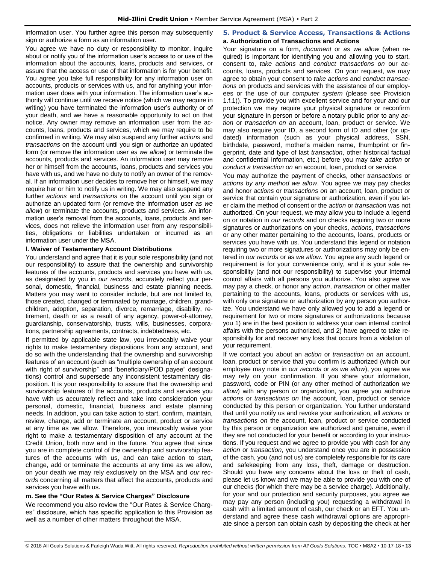information user. You further agree this person may subsequently sign or authorize a form as an information user.

You agree we have no duty or responsibility to monitor, inquire about or notify you of the information user's access to or use of the information about the accounts, loans, products and services, or assure that the access or use of that information is for your benefit. You agree you take full responsibility for any information user on accounts, products or services with us, and for anything your information user does with your information. The information user's authority will continue until we receive notice (which we may require in writing) you have terminated the information user's authority or of your death, and we have a reasonable opportunity to act on that notice. Any owner may remove an information user from the accounts, loans, products and services, which we may require to be confirmed in writing. We may also suspend any further *actions* and *transactions* on the account until you sign or authorize an updated form (or remove the information user *as we allow*) or terminate the accounts, products and services. An information user may remove her or himself from the accounts, loans, products and services you have with us, and we have no duty to notify an owner of the removal. If an information user decides to remove her or himself, we may require her or him to notify us in writing. We may also suspend any further *actions* and *transactions* on the account until you sign or authorize an updated form (or remove the information user *as we allow*) or terminate the accounts, products and services. An information user's removal from the accounts, loans, products and services, does not relieve the information user from any responsibilities, obligations or liabilities undertaken or incurred as an information user under the MSA.

## **l. Waiver of Testamentary Account Distributions**

You understand and agree that it is your sole responsibility (and not our responsibility) to assure that the ownership and survivorship features of the accounts, products and services you have with us, as designated by you in *our records*, accurately reflect your personal, domestic, financial, business and estate planning needs. Matters you may want to consider include, but are not limited to, those created, changed or terminated by marriage, children, grandchildren, adoption, separation, divorce, remarriage, disability, retirement, death or as a result of any agency, power-of-attorney, guardianship, conservatorship, trusts, wills, businesses, corporations, partnership agreements, contracts, indebtedness, etc.

If permitted by applicable state law, you irrevocably waive your rights to make testamentary dispositions from any account, and do so with the understanding that the ownership and survivorship features of an account (such as "multiple ownership of an account with right of survivorship" and "beneficiary/POD payee" designations) control and supersede any inconsistent testamentary disposition. It is your responsibility to assure that the ownership and survivorship features of the accounts, products and services you have with us accurately reflect and take into consideration your personal, domestic, financial, business and estate planning needs. In addition, you can take action to start, confirm, maintain, review, change, add or terminate an account, product or service at any time as we allow. Therefore, you irrevocably waive your right to make a testamentary disposition of any account at the Credit Union, both now and in the future. You agree that since you are in complete control of the ownership and survivorship features of the accounts with us, and can take action to start, change, add or terminate the accounts at any time as we allow, on your death we may rely exclusively on the MSA and *our records* concerning all matters that affect the accounts, products and services you have with us.

## **m. See the "Our Rates & Service Charges" Disclosure**

We recommend you also review the "Our Rates & Service Charges" disclosure, which has specific application to this Provision as well as a number of other matters throughout the MSA.

## <span id="page-13-0"></span>**5. Product & Service Access, Transactions & Actions a. Authorization of Transactions and Actions**

Your signature on a form, *document* or *as we allow* (when required) is important for identifying you and allowing you to start, consent to, *take actions* and *conduct transactions on* our accounts, loans, products and services. On your request, we may agree to obtain your consent to *take actions* and *conduct transactions* on products and services with the assistance of our employees or the use of our *computer system* (please see Provision 1.f.1)). To provide you with excellent service and for your and our protection we may require your physical signature or reconfirm your signature in person or before a notary public prior to any *action* or *transaction on* an account, loan, product or service. We may also require your ID, a second form of ID and other (or updated) information (such as your physical address, SSN, birthdate, password, mother's maiden name, thumbprint or fingerprint, date and type of last *transaction*, other historical factual and confidential information, etc.) before you may *take action* or *conduct a transaction on* an account, loan, product or service.

You may authorize the payment of checks, other *transactions* or *actions by any method we allow*. You agree we may pay checks and honor *actions* or *transactions on* an account, loan, product or service that contain your signature or authorization, even if you later claim the method of consent or the *action* or *transaction* was not authorized. On your request, we may allow you to include a legend on or notation in *our records* and on checks requiring two or more signatures or authorizations on your checks, *actions*, *transactions* or any other matter pertaining to the accounts, loans, products or services you have with us. You understand this legend or notation requiring two or more signatures or authorizations may only be entered in *our records* or as *we allow*. You agree any such legend or requirement is for your convenience only, and it is your sole responsibility (and not our responsibility) to supervise your internal control affairs with all persons you authorize. You also agree we may pay a check, or honor any *action*, *transaction* or other matter pertaining to the accounts, loans, products or services with us, with only one signature or authorization by any person you authorize. You understand we have only allowed you to add a legend or requirement for two or more signatures or authorizations because you 1) are in the best position to address your own internal control affairs with the persons authorized, and 2) have agreed to take responsibility for and recover any loss that occurs from a violation of your requirement.

If we contact you about an *action* or *transaction on* an account, loan, product or service that you confirm is authorized (which our employee may note in *our records* or *as we allow*), you agree we may rely on your confirmation. If you share your information, password, code or PIN (or any other method of authorization *we allow*) with any person or organization, you agree you authorize *actions* or *transactions on* the account, loan, product or service conducted by this person or organization. You further understand that until you notify us and revoke your authorization, all *actions* or *transactions on* the account, loan, product or service conducted by this person or organization are authorized and genuine, even if they are not conducted for your benefit or according to your instructions. If you request and we agree to provide you with cash for any *action* or *transaction*, you understand once you are in possession of the cash, you (and not us) are completely responsible for its care and safekeeping from any loss, theft, damage or destruction. Should you have any concerns about the loss or theft of cash, please let us know and we may be able to provide you with one of our checks (for which there may be a service charge). Additionally, for your and our protection and security purposes, you agree we may pay any person (including you) requesting a withdrawal in cash with a limited amount of cash, our check or an EFT. You understand and agree these cash withdrawal options are appropriate since a person can obtain cash by depositing the check at her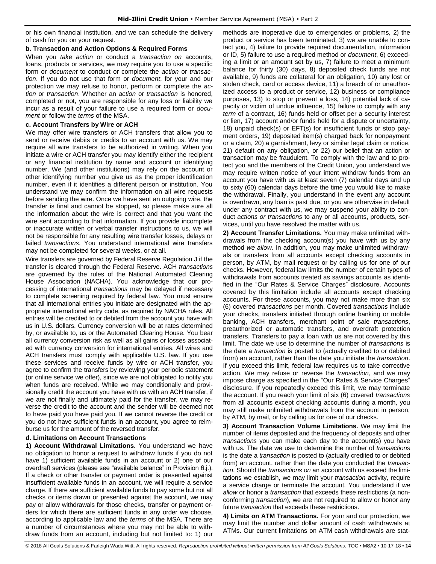or his own financial institution, and we can schedule the delivery of cash for you on your request.

## **b. Transaction and Action Options & Required Forms**

When you *take action* or conduct a *transaction on* accounts, loans, products or services, we may require you to use a specific form or *document* to conduct or complete the *action* or *transaction*. If you do not use that form or *document*, for your and our protection we may refuse to honor, perform or complete the *action* or *transaction*. Whether an *action* or *transaction* is honored, completed or not, you are responsible for any loss or liability we incur as a result of your failure to use a required form or *document* or follow the *terms* of the MSA.

## **c. Account Transfers by Wire or ACH**

We may offer wire transfers or ACH transfers that allow you to send or receive debits or credits to an account with us. We may require all wire transfers to be authorized in writing. When you initiate a wire or ACH transfer you may identify either the recipient or any financial institution by name and account or identifying number. We (and other institutions) may rely on the account or other identifying number you give us as the proper identification number, even if it identifies a different person or institution. You understand we may confirm the information on all wire requests before sending the wire. Once we have sent an outgoing wire, the transfer is final and cannot be stopped, so please make sure all the information about the wire is correct and that you want the wire sent according to that information. If you provide incomplete or inaccurate written or verbal transfer instructions to us, we will not be responsible for any resulting wire transfer losses, delays or failed *transactions*. You understand international wire transfers may not be completed for several weeks, or at all.

Wire transfers are governed by Federal Reserve Regulation J if the transfer is cleared through the Federal Reserve. ACH *transactions* are governed by the rules of the National Automated Clearing House Association (NACHA). You acknowledge that our processing of international *transactions* may be delayed if necessary to complete screening required by federal law. You must ensure that all international entries you initiate are designated with the appropriate international entry code, as required by NACHA rules. All entries will be credited to or debited from the account you have with us in U.S. dollars. Currency conversion will be at rates determined by, or available to, us or the Automated Clearing House. You bear all currency conversion risk as well as all gains or losses associated with currency conversion for international entries. All wires and ACH transfers must comply with applicable U.S. law. If you use these services and receive funds by wire or ACH transfer, you agree to confirm the transfers by reviewing your periodic statement (or online service we offer), since we are not obligated to notify you when funds are received. While we may conditionally and provisionally credit the account you have with us with an ACH transfer, if we are not finally and ultimately paid for the transfer, we may reverse the credit to the account and the sender will be deemed not to have paid you have paid you. If we cannot reverse the credit or you do not have sufficient funds in an account, you agree to reimburse us for the amount of the reversed transfer.

## **d. Limitations on Account Transactions**

**1) Account Withdrawal Limitations.** You understand we have no obligation to honor a request to withdraw funds if you do not have 1) sufficient available funds in an account or 2) one of our overdraft services (please see "available balance" in Provision 6.j.). If a check or other transfer or payment order is presented against insufficient available funds in an account, we will require a service charge. If there are sufficient available funds to pay some but not all checks or items drawn or presented against the account, we may pay or allow withdrawals for those checks, transfer or payment orders for which there are sufficient funds in any order we choose, according to applicable law and the *terms* of the MSA. There are a number of circumstances where you may not be able to withdraw funds from an account, including but not limited to: 1) our

methods are inoperative due to emergencies or problems, 2) the product or service has been terminated, 3) we are unable to contact you, 4) failure to provide required documentation, information or ID, 5) failure to use a required method or *document*, 6) exceeding a limit or an amount set by us, 7) failure to meet a minimum balance for thirty (30) days, 8) deposited check funds are not available, 9) funds are collateral for an obligation, 10) any lost or stolen check, card or access device, 11) a breach of or unauthorized access to a product or service, 12) business or compliance purposes, 13) to stop or prevent a loss, 14) potential lack of capacity or victim of undue influence, 15) failure to comply with any *term* of a contract, 16) funds held or offset per a security interest or lien, 17) account and/or funds held for a dispute or uncertainty, 18) unpaid check(s) or EFT(s) for insufficient funds or stop payment orders, 19) deposited item(s) charged back for nonpayment or a claim, 20) a garnishment, levy or similar legal claim or notice, 21) default on any obligation, or 22) our belief that an action or transaction may be fraudulent. To comply with the law and to protect you and the members of the Credit Union, you understand we may require written notice of your intent withdraw funds from an account you have with us at least seven (7) calendar days and up to sixty (60) calendar days before the time you would like to make the withdrawal. Finally, you understand in the event any account is overdrawn, any loan is past due, or you are otherwise in default under any contract with us, we may suspend your ability to conduct *actions or transactions* to any or all accounts, products, services, until you have resolved the matter with us.

**2) Account Transfer Limitations.** You may make unlimited withdrawals from the checking account(s) you have with us by any method *we allow*. In addition, you may make unlimited withdrawals or transfers from all accounts except checking accounts in person, by ATM, by mail request or by calling us for one of our checks. However, federal law limits the number of certain types of withdrawals from accounts treated as savings accounts as identified in the "Our Rates & Service Charges" disclosure. Accounts covered by this limitation include all accounts except checking accounts. For these accounts, you may not make more than six (6) covered *transactions* per month. Covered *transactions* include your checks, transfers initiated through online banking or mobile banking, ACH transfers, merchant point of sale *transactions*, preauthorized or automatic transfers, and overdraft protection transfers. Transfers to pay a loan with us are not covered by this limit. The date we use to determine the number of *transactions* is the date a *transaction* is posted to (actually credited to or debited from) an account, rather than the date you initiate the *transaction*. If you exceed this limit, federal law requires us to take corrective action. We may refuse or reverse the *transaction*, and we may impose charge as specified in the "Our Rates & Service Charges" disclosure. If you repeatedly exceed this limit, we may terminate the account. If you reach your limit of six (6) covered *transactions* from all accounts except checking accounts during a month, you may still make unlimited withdrawals from the account in person, by ATM, by mail, or by calling us for one of our checks.

**3) Account Transaction Volume Limitations.** We may limit the number of items deposited and the frequency of deposits and other *transactions* you can make each day to the account(s) you have with us. The date we use to determine the number of *transactions* is the date a *transaction* is posted to (actually credited to or debited from) an account, rather than the date you conducted the *transaction*. Should the *transactions on* an account with us exceed the limitations we establish, we may limit your *transaction* activity, require a service charge or terminate the account. You understand if *we allow* or honor a *transaction* that exceeds these restrictions (a nonconforming *transaction*), we are not required to allow or honor any future *transaction* that exceeds these restrictions.

**4) Limits on ATM Transactions.** For your and our protection, we may limit the number and dollar amount of cash withdrawals at ATMs. Our current limitations on ATM cash withdrawals are stat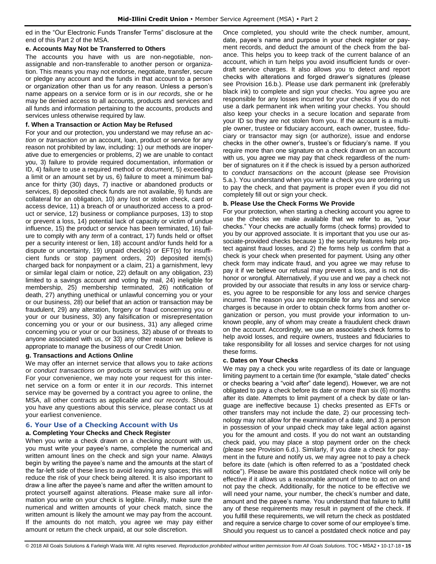ed in the "Our Electronic Funds Transfer Terms" disclosure at the end of this Part 2 of the MSA.

## **e. Accounts May Not be Transferred to Others**

The accounts you have with us are non-negotiable, nonassignable and non-transferable to another person or organization. This means you may not endorse, negotiate, transfer, secure or pledge any account and the funds in that account to a person or organization other than us for any reason. Unless a person's name appears on a service form or is in *our records*, she or he may be denied access to all accounts, products and services and all funds and information pertaining to the accounts, products and services unless otherwise required by law.

## **f. When a Transaction or Action May be Refused**

For your and our protection, you understand we may refuse an *action* or *transaction on* an account, loan, product or service for any reason not prohibited by law, including: 1) our methods are inoperative due to emergencies or problems, 2) we are unable to contact you, 3) failure to provide required documentation, information or ID, 4) failure to use a required method or *document*, 5) exceeding a limit or an amount set by us, 6) failure to meet a minimum balance for thirty (30) days, 7) inactive or abandoned products or services, 8) deposited check funds are not available, 9) funds are collateral for an obligation, 10) any lost or stolen check, card or access device, 11) a breach of or unauthorized access to a product or service, 12) business or compliance purposes, 13) to stop or prevent a loss, 14) potential lack of capacity or victim of undue influence, 15) the product or service has been terminated, 16) failure to comply with any *term* of a contract, 17) funds held or offset per a security interest or lien, 18) account and/or funds held for a dispute or uncertainty, 19) unpaid check(s) or EFT(s) for insufficient funds or stop payment orders, 20) deposited item(s) charged back for nonpayment or a claim, 21) a garnishment, levy or similar legal claim or notice, 22) default on any obligation, 23) limited to a savings account and voting by mail, 24) ineligible for membership, 25) membership terminated, 26) notification of death, 27) anything unethical or unlawful concerning you or your or our business, 28) our belief that an action or transaction may be fraudulent, 29) any alteration, forgery or fraud concerning you or your or our business, 30) any falsification or misrepresentation concerning you or your or our business, 31) any alleged crime concerning you or your or our business, 32) abuse of or threats to anyone associated with us, or 33) any other reason we believe is appropriate to *manage* the business of our Credit Union.

## **g. Transactions and Actions Online**

We may offer an internet service that allows you to *take actions* or *conduct transactions on* products or services with us online. For your convenience, we may note your request for this internet service on a form or enter it in *our records*. This internet service may be governed by a contract you agree to online, the MSA, all other contracts as applicable and *our records*. Should you have any questions about this service, please contact us at your earliest convenience.

## <span id="page-15-0"></span>**6. Your Use of a Checking Account with Us a. Completing Your Checks and Check Register**

When you write a check drawn on a checking account with us, you must write your payee's name, complete the numerical and written amount lines on the check and sign your name. Always begin by writing the payee's name and the amounts at the start of the far-left side of these lines to avoid leaving any spaces; this will reduce the risk of your check being altered. It is also important to draw a line after the payee's name and after the written amount to protect yourself against alterations. Please make sure all information you write on your check is legible. Finally, make sure the numerical and written amounts of your check match, since the written amount is likely the amount we may pay from the account. If the amounts do not match, you agree we may pay either amount or return the check unpaid, at our sole discretion.

Once completed, you should write the check number, amount, date, payee's name and purpose in your check register or payment records, and deduct the amount of the check from the balance. This helps you to keep track of the current balance of an account, which in turn helps you avoid insufficient funds or overdraft service charges. It also allows you to detect and report checks with alterations and forged drawer's signatures (please see Provision 16.b.). Please use dark permanent ink (preferably black ink) to complete and sign your checks. You agree you are responsible for any losses incurred for your checks if you do not use a dark permanent ink when writing your checks. You should also keep your checks in a secure location and separate from your ID so they are not stolen from you. If the account is a multiple owner, trustee or fiduciary account, each owner, trustee, fiduciary or transactor may sign (or authorize), issue and endorse checks in the other owner's, trustee's or fiduciary's name. If you require more than one signature on a check drawn on an account with us, you agree we may pay that check regardless of the number of signatures on it if the check is issued by a person authorized to *conduct transactions on* the account (please see Provision 5.a.). You understand when you write a check you are ordering us to pay the check, and that payment is proper even if you did not completely fill out or sign your check.

## **b. Please Use the Check Forms We Provide**

For your protection, when starting a checking account you agree to use the checks we make available that we refer to as, "your checks." Your checks are actually forms (check forms) provided to you by our approved associate. It is important that you use our associate-provided checks because 1) the security features help protect against fraud losses, and 2) the forms help us confirm that a check is your check when presented for payment. Using any other check form may indicate fraud, and you agree we may refuse to pay it if we believe our refusal may prevent a loss, and is not dishonor or wrongful. Alternatively, if you use and we pay a check not provided by our associate that results in any loss or service charges, you agree to be responsible for any loss and service charges incurred. The reason you are responsible for any loss and service charges is because in order to obtain check forms from another organization or person, you must provide your information to unknown people, any of whom may create a fraudulent check drawn on the account. Accordingly, we use an associate's check forms to help avoid losses, and require owners, trustees and fiduciaries to take responsibility for all losses and service charges for not using these forms.

## **c. Dates on Your Checks**

We may pay a check you write regardless of its date or language limiting payment to a certain time (for example, "stale dated" checks or checks bearing a "void after" date legend). However, we are not obligated to pay a check before its date or more than six (6) months after its date. Attempts to limit payment of a check by date or language are ineffective because 1) checks presented as EFTs or other transfers may not include the date, 2) our processing technology may not allow for the examination of a date, and 3) a person in possession of your unpaid check may take legal action against you for the amount and costs. If you do not want an outstanding check paid, you may place a stop payment order on the check (please see Provision 6.d.). Similarly, if you date a check for payment in the future and notify us, we may agree not to pay a check before its date (which is often referred to as a "postdated check notice"). Please be aware this postdated check notice will only be effective if it allows us a reasonable amount of time to act on and not pay the check. Additionally, for the notice to be effective we will need your name, your number, the check's number and date, amount and the payee's name. You understand that failure to fulfill any of these requirements may result in payment of the check. If you fulfill these requirements, we will return the check as postdated and require a service charge to cover some of our employee's time. Should you request us to cancel a postdated check notice and pay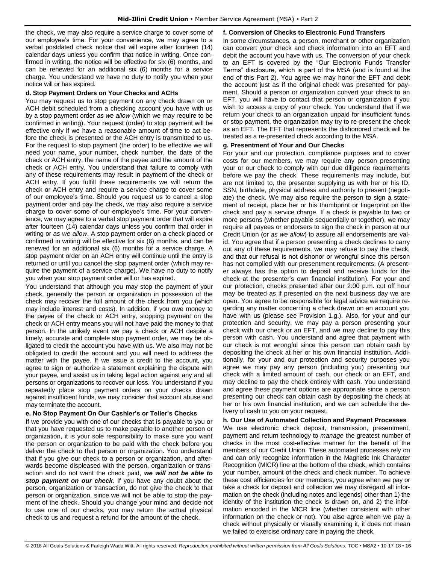the check, we may also require a service charge to cover some of our employee's time. For your convenience, we may agree to a verbal postdated check notice that will expire after fourteen (14) calendar days unless you confirm that notice in writing. Once confirmed in writing, the notice will be effective for six (6) months, and can be renewed for an additional six (6) months for a service charge. You understand we have no duty to notify you when your notice will or has expired.

## **d. Stop Payment Orders on Your Checks and ACHs**

You may request us to stop payment on any check drawn on or ACH debit scheduled from a checking account you have with us by a stop payment order *as we allow* (which we may require to be confirmed in writing). Your request (order) to stop payment will be effective only if we have a reasonable amount of time to act before the check is presented or the ACH entry is transmitted to us. For the request to stop payment (the order) to be effective we will need your name, your number, check number, the date of the check or ACH entry, the name of the payee and the amount of the check or ACH entry. You understand that failure to comply with any of these requirements may result in payment of the check or ACH entry. If you fulfill these requirements we will return the check or ACH entry and require a service charge to cover some of our employee's time. Should you request us to cancel a stop payment order and pay the check, we may also require a service charge to cover some of our employee's time. For your convenience, we may agree to a verbal stop payment order that will expire after fourteen (14) calendar days unless you confirm that order in writing or *as we allow*. A stop payment order on a check placed or confirmed in writing will be effective for six (6) months, and can be renewed for an additional six (6) months for a service charge. A stop payment order on an ACH entry will continue until the entry is returned or until you cancel the stop payment order (which may require the payment of a service charge). We have no duty to notify you when your stop payment order will or has expired.

You understand that although you may stop the payment of your check, generally the person or organization in possession of the check may recover the full amount of the check from you (which may include interest and costs). In addition, if you owe money to the payee of the check or ACH entry, stopping payment on the check or ACH entry means you will not have paid the money to that person. In the unlikely event we pay a check or ACH despite a timely, accurate and complete stop payment order, we may be obligated to credit the account you have with us. We also may not be obligated to credit the account and you will need to address the matter with the payee. If we issue a credit to the account, you agree to sign or authorize a statement explaining the dispute with your payee, and assist us in taking legal action against any and all persons or organizations to recover our loss. You understand if you repeatedly place stop payment orders on your checks drawn against insufficient funds, we may consider that account abuse and may terminate the account.

## **e. No Stop Payment On Our Cashier's or Teller's Checks**

If we provide you with one of our checks that is payable to you or that you have requested us to make payable to another person or organization, it is your sole responsibility to make sure you want the person or organization to be paid with the check before you deliver the check to that person or organization. You understand that if you give our check to a person or organization, and afterwards become displeased with the person, organization or transaction and do not want the check paid, *we will not be able to stop payment on our check.* If you have any doubt about the person, organization or transaction, do not give the check to that person or organization, since we will not be able to stop the payment of the check. Should you change your mind and decide not to use one of our checks, you may return the actual physical check to us and request a refund for the amount of the check.

## **f. Conversion of Checks to Electronic Fund Transfers**

In some circumstances, a person, merchant or other organization can convert your check and check information into an EFT and debit the account you have with us. The conversion of your check to an EFT is covered by the "Our Electronic Funds Transfer Terms" disclosure, which is part of the MSA (and is found at the end of this Part 2). You agree we may honor the EFT and debit the account just as if the original check was presented for payment. Should a person or organization convert your check to an EFT, you will have to contact that person or organization if you wish to access a copy of your check. You understand that if we return your check to an organization unpaid for insufficient funds or stop payment, the organization may try to re-present the check as an EFT. The EFT that represents the dishonored check will be treated as a re-presented check according to the MSA.

## **g. Presentment of Your and Our Checks**

For your and our protection, compliance purposes and to cover costs for our members, we may require any person presenting your or our check to comply with our due diligence requirements before we pay the check. These requirements may include, but are not limited to, the presenter supplying us with her or his ID, SSN, birthdate, physical address and authority to present (negotiate) the check. We may also require the person to sign a statement of receipt, place her or his thumbprint or fingerprint on the check and pay a service charge. If a check is payable to two or more persons (whether payable sequentially or together), we may require all payees or endorsers to sign the check in person at our Credit Union (or *as we allow*) to assure all endorsements are valid. You agree that if a person presenting a check declines to carry out any of these requirements, we may refuse to pay the check, and that our refusal is not dishonor or wrongful since this person has not complied with our presentment requirements. (A presenter always has the option to deposit and receive funds for the check at the presenter's own financial institution). For your and our protection, checks presented after our 2:00 p.m. cut off hour may be treated as if presented on the next business day we are open. You agree to be responsible for legal advice we require regarding any matter concerning a check drawn on an account you have with us (please see Provision 1.g.). Also, for your and our protection and security, we may pay a person presenting your check with our check or an EFT, and we may decline to pay this person with cash. You understand and agree that payment with our check is not wrongful since this person can obtain cash by depositing the check at her or his own financial institution. Additionally, for your and our protection and security purposes you agree we may pay any person (including you) presenting our check with a limited amount of cash, our check or an EFT, and may decline to pay the check entirely with cash. You understand and agree these payment options are appropriate since a person presenting our check can obtain cash by depositing the check at her or his own financial institution, and we can schedule the delivery of cash to you on your request.

## **h. Our Use of Automated Collection and Payment Processes**

We use electronic check deposit, transmission, presentment, payment and return technology to *manage* the greatest number of checks in the most cost-effective manner for the benefit of the members of our Credit Union. These automated processes rely on and can only recognize information in the Magnetic Ink Character Recognition (MICR) line at the bottom of the check, which contains your number, amount of the check and check number. To achieve these cost efficiencies for our members, you agree when we pay or take a check for deposit and collection we may disregard all information on the check (including notes and legends) other than 1) the identity of the institution the check is drawn on, and 2) the information encoded in the MICR line (whether consistent with other information on the check or not). You also agree when we pay a check without physically or visually examining it, it does not mean we failed to exercise ordinary care in paying the check.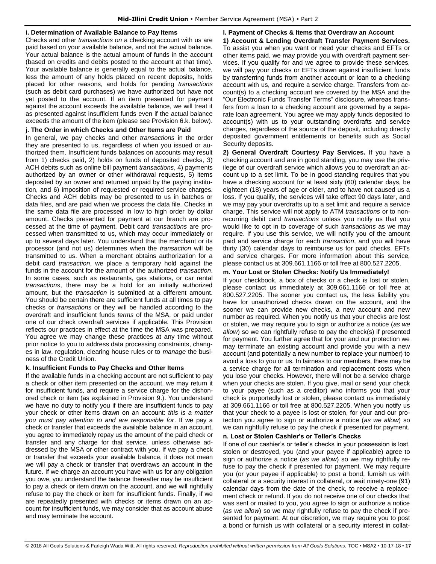## **i. Determination of Available Balance to Pay Items**

Checks and other *transactions on* a checking account with us are paid based on your available balance, and not the actual balance. Your actual balance is the actual amount of funds in the account (based on credits and debits posted to the account at that time). Your available balance is generally equal to the actual balance, less the amount of any holds placed on recent deposits, holds placed for other reasons, and holds for pending *transactions* (such as debit card purchases) we have authorized but have not yet posted to the account. If an item presented for payment against the account exceeds the available balance, we will treat it as presented against insufficient funds even if the actual balance exceeds the amount of the item (please see Provision 6.k. below).

## **j. The Order in which Checks and Other Items are Paid**

In general, we pay checks and other *transactions* in the order they are presented to us, regardless of when you issued or authorized them. Insufficient funds balances on accounts may result from 1) checks paid, 2) holds on funds of deposited checks, 3) ACH debits such as online bill payment *transactions*, 4) payments authorized by an owner or other withdrawal requests, 5) items deposited by an owner and returned unpaid by the paying institution, and 6) imposition of requested or required service charges. Checks and ACH debits may be presented to us in batches or data files, and are paid when we process the data file. Checks in the same data file are processed in low to high order by dollar amount. Checks presented for payment at our branch are processed at the time of payment. Debit card *transactions* are processed when transmitted to us, which may occur immediately or up to several days later. You understand that the merchant or its processor (and not us) determines when the *transaction* will be transmitted to us. When a merchant obtains authorization for a debit card *transaction*, we place a temporary hold against the funds in the account for the amount of the authorized *transaction*. In some cases, such as restaurants, gas stations, or car rental *transactions*, there may be a hold for an initially authorized amount, but the *transaction* is submitted at a different amount. You should be certain there are sufficient funds at all times to pay checks or *transactions* or they will be handled according to the overdraft and insufficient funds *terms* of the MSA, or paid under one of our check overdraft services if applicable. This Provision reflects our practices in effect at the time the MSA was prepared. You agree we may change these practices at any time without prior notice to you to address data processing constraints, changes in law, regulation, clearing house rules or to *manage* the business of the Credit Union.

## **k. Insufficient Funds to Pay Checks and Other Items**

If the available funds in a checking account are not sufficient to pay a check or other item presented on the account, we may return it for insufficient funds, and require a service charge for the dishonored check or item (as explained in Provision 9.). You understand we have no duty to notify you if there are insufficient funds to pay your check or other items drawn on an account: *this is a matter you must pay attention to and are responsible for*. If we pay a check or transfer that exceeds the available balance in an account, you agree to immediately repay us the amount of the paid check or transfer and any charge for that service, unless otherwise addressed by the MSA or other contract with you. If we pay a check or transfer that exceeds your available balance, it does not mean we will pay a check or transfer that overdraws an account in the future. If we charge an account you have with us for any obligation you owe, you understand the balance thereafter may be insufficient to pay a check or item drawn on the account, and we will rightfully refuse to pay the check or item for insufficient funds. Finally, if we are repeatedly presented with checks or items drawn on an account for insufficient funds, we may consider that as account abuse and may terminate the account.

**l. Payment of Checks & Items that Overdraw an Account 1) Account & Lending Overdraft Transfer Payment Services.** To assist you when you want or need your checks and EFTs or other items paid, we may provide you with overdraft payment services. If you qualify for and we agree to provide these services, we will pay your checks or EFTs drawn against insufficient funds by transferring funds from another account or loan to a checking account with us, and require a service charge. Transfers from account(s) to a checking account are covered by the MSA and the "Our Electronic Funds Transfer Terms" disclosure, whereas transfers from a loan to a checking account are governed by a separate loan agreement. You agree we may apply funds deposited to account(s) with us to your outstanding overdrafts and service charges, regardless of the source of the deposit, including directly

deposited government entitlements or benefits such as Social

Security deposits. **2) General Overdraft Courtesy Pay Services.** If you have a checking account and are in good standing, you may use the privilege of our overdraft service which allows you to overdraft an account up to a set limit. To be in good standing requires that you have a checking account for at least sixty (60) calendar days, be eighteen (18) years of age or older, and to have not caused us a loss. If you qualify, the services will take effect 90 days later, and we may pay your overdrafts up to a set limit and require a service charge. This service will not apply to ATM *transactions* or to nonrecurring debit card *transactions* unless you notify us that you would like to opt in to coverage of such *transactions* as we may require. If you use this service, we will notify you of the amount paid and service charge for each *transaction*, and you will have thirty (30) calendar days to reimburse us for paid checks, EFTs and service charges. For more information about this service, please contact us at 309.661.1166 or toll free at 800.527.2205.

## **m. Your Lost or Stolen Checks: Notify Us Immediately!**

If your checkbook, a box of checks or a check is lost or stolen, please contact us immediately at 309.661.1166 or toll free at 800.527.2205. The sooner you contact us, the less liability you have for unauthorized checks drawn on the account, and the sooner we can provide new checks, a new account and new number as required. When you notify us that your checks are lost or stolen, we may require you to sign or authorize a notice (*as we allow*) so we can rightfully refuse to pay the check(s) if presented for payment. You further agree that for your and our protection we may terminate an existing account and provide you with a new account (and potentially a new number to replace your number) to avoid a loss to you or us. In fairness to our members, there may be a service charge for all termination and replacement costs when you lose your checks. However, there will not be a service charge when your checks are stolen. If you give, mail or send your check to your payee (such as a creditor) who informs you that your check is purportedly lost or stolen, please contact us immediately at 309.661.1166 or toll free at 800.527.2205. When you notify us that your check to a payee is lost or stolen, for your and our protection you agree to sign or authorize a notice (*as we allow*) so we can rightfully refuse to pay the check if presented for payment.

## **n. Lost or Stolen Cashier's or Teller's Checks**

If one of our cashier's or teller's checks in your possession is lost, stolen or destroyed, you (and your payee if applicable) agree to sign or authorize a notice (*as we allow*) so we may rightfully refuse to pay the check if presented for payment. We may require you (or your payee if applicable) to post a bond, furnish us with collateral or a security interest in collateral, or wait ninety-one (91) calendar days from the date of the check, to receive a replacement check or refund. If you do not receive one of our checks that was sent or mailed to you, you agree to sign or authorize a notice (*as we allow*) so we may rightfully refuse to pay the check if presented for payment. At our discretion, we may require you to post a bond or furnish us with collateral or a security interest in collat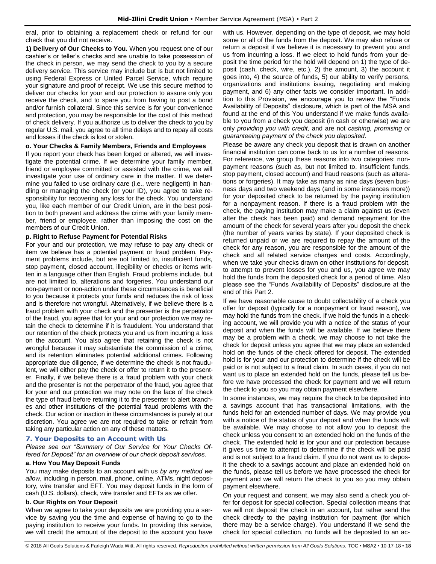eral, prior to obtaining a replacement check or refund for our check that you did not receive.

**1) Delivery of Our Checks to You.** When you request one of our cashier's or teller's checks and are unable to take possession of the check in person, we may send the check to you by a secure delivery service. This service may include but is but not limited to using Federal Express or United Parcel Service, which require your signature and proof of receipt. We use this secure method to deliver our checks for your and our protection to assure only you receive the check, and to spare you from having to post a bond and/or furnish collateral. Since this service is for your convenience and protection, you may be responsible for the cost of this method of check delivery. If you authorize us to deliver the check to you by regular U.S. mail, you agree to all time delays and to repay all costs and losses if the check is lost or stolen.

## **o. Your Checks & Family Members, Friends and Employees**

If you report your check has been forged or altered, we will investigate the potential crime. If we determine your family member, friend or employee committed or assisted with the crime, we will investigate your use of ordinary care in the matter. If we determine you failed to use ordinary care (i.e., were negligent) in handling or managing the check (or your ID), you agree to take responsibility for recovering any loss for the check. You understand you, like each member of our Credit Union, are in the best position to both prevent and address the crime with your family member, friend or employee, rather than imposing the cost on the members of our Credit Union.

## **p. Right to Refuse Payment for Potential Risks**

For your and our protection, we may refuse to pay any check or item we believe has a potential payment or fraud problem. Payment problems include, but are not limited to, insufficient funds, stop payment, closed account, illegibility or checks or items written in a language other than English. Fraud problems include, but are not limited to, alterations and forgeries. You understand our non-payment or non-action under these circumstances is beneficial to you because it protects your funds and reduces the risk of loss and is therefore not wrongful. Alternatively, if we believe there is a fraud problem with your check and the presenter is the perpetrator of the fraud, you agree that for your and our protection we may retain the check to determine if it is fraudulent. You understand that our retention of the check protects you and us from incurring a loss on the account. You also agree that retaining the check is not wrongful because it may substantiate the commission of a crime, and its retention eliminates potential additional crimes. Following appropriate due diligence, if we determine the check is not fraudulent, we will either pay the check or offer to return it to the presenter. Finally, if we believe there is a fraud problem with your check and the presenter is not the perpetrator of the fraud, you agree that for your and our protection we may note on the face of the check the type of fraud before returning it to the presenter to alert branches and other institutions of the potential fraud problems with the check. Our action or inaction in these circumstances is purely at our discretion. You agree we are not required to take or refrain from taking any particular action on any of these matters.

## <span id="page-18-0"></span>**7. Your Deposits to an Account with Us**

*Please see our "Summary of Our Service for Your Checks Offered for Deposit" for an overview of our check deposit services.*

## **a. How You May Deposit Funds**

You may make deposits to an account with us *by any method we allow*, including in person, mail, phone, online, ATMs, night depository, wire transfer and EFT. You may deposit funds in the form of cash (U.S. dollars), check, wire transfer and EFTs as we offer.

## **b. Our Rights on Your Deposit**

When we agree to take your deposits we are providing you a service by saving you the time and expense of having to go to the paying institution to receive your funds. In providing this service, we will credit the amount of the deposit to the account you have with us. However, depending on the type of deposit, we may hold some or all of the funds from the deposit. We may also refuse or return a deposit if we believe it is necessary to prevent you and us from incurring a loss. If we elect to hold funds from your deposit the time period for the hold will depend on 1) the type of deposit (cash, check, wire, etc.), 2) the amount, 3) the account it goes into, 4) the source of funds, 5) our ability to verify persons, organizations and institutions issuing, negotiating and making payment, and 6) any other facts we consider important. In addition to this Provision, we encourage you to review the "Funds Availability of Deposits" disclosure, which is part of the MSA and found at the end of this You understand if we make funds available to you from a check you deposit (in cash or otherwise) we are only *providing you with credit,* and are not *cashing, promising or guaranteeing payment of the check you deposited*.

Please be aware any check you deposit that is drawn on another financial institution can come back to us for a number of reasons. For reference, we group these reasons into two categories: nonpayment reasons (such as, but not limited to, insufficient funds, stop payment, closed account) and fraud reasons (such as alterations or forgeries). It may take as many as nine days (seven business days and two weekend days (and in some instances more)) for your deposited check to be returned by the paying institution for a nonpayment reason. If there is a fraud problem with the check, the paying institution may make a claim against us (even after the check has been paid) and demand repayment for the amount of the check for several years after you deposit the check (the number of years varies by state). If your deposited check is returned unpaid or we are required to repay the amount of the check for any reason, you are responsible for the amount of the check and all related service charges and costs. Accordingly, when we take your checks drawn on other institutions for deposit, to attempt to prevent losses for you and us, you agree we may hold the funds from the deposited check for a period of time. Also please see the "Funds Availability of Deposits" disclosure at the end of this Part 2.

If we have reasonable cause to doubt collectability of a check you offer for deposit (typically for a nonpayment or fraud reason), we may hold the funds from the check. If we hold the funds in a checking account, we will provide you with a notice of the status of your deposit and when the funds will be available. If we believe there may be a problem with a check, we may choose to not take the check for deposit unless you agree that we may place an extended hold on the funds of the check offered for deposit. The extended hold is for your and our protection to determine if the check will be paid or is not subject to a fraud claim. In such cases, if you do not want us to place an extended hold on the funds, please tell us before we have processed the check for payment and we will return the check to you so you may obtain payment elsewhere.

In some instances, we may require the check to be deposited into a savings account that has transactional limitations, with the funds held for an extended number of days. We may provide you with a notice of the status of your deposit and when the funds will be available. We may choose to not allow you to deposit the check unless you consent to an extended hold on the funds of the check. The extended hold is for your and our protection because it gives us time to attempt to determine if the check will be paid and is not subject to a fraud claim. If you do not want us to deposit the check to a savings account and place an extended hold on the funds, please tell us before we have processed the check for payment and we will return the check to you so you may obtain payment elsewhere.

On your request and consent, we may also send a check you offer for deposit for special collection. Special collection means that we will not deposit the check in an account, but rather send the check directly to the paying institution for payment (for which there may be a service charge). You understand if we send the check for special collection, no funds will be deposited to an ac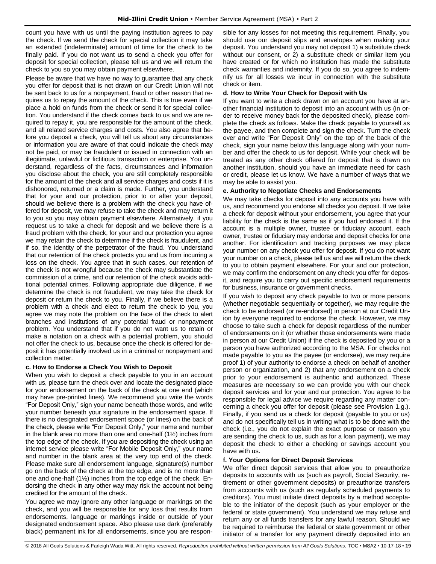count you have with us until the paying institution agrees to pay the check. If we send the check for special collection it may take an extended (indeterminate) amount of time for the check to be finally paid. If you do not want us to send a check you offer for deposit for special collection, please tell us and we will return the check to you so you may obtain payment elsewhere.

Please be aware that we have no way to guarantee that any check you offer for deposit that is not drawn on our Credit Union will not be sent back to us for a nonpayment, fraud or other reason that requires us to repay the amount of the check. This is true even if we place a hold on funds from the check or send it for special collection. You understand if the check comes back to us and we are required to repay it, you are responsible for the amount of the check, and all related service charges and costs. You also agree that before you deposit a check, you will tell us about any circumstances or information you are aware of that could indicate the check may not be paid, or may be fraudulent or issued in connection with an illegitimate, unlawful or fictitious transaction or enterprise. You understand, regardless of the facts, circumstances and information you disclose about the check, you are still completely responsible for the amount of the check and all service charges and costs if it is dishonored, returned or a claim is made. Further, you understand that for your and our protection, prior to or after your deposit, should we believe there is a problem with the check you have offered for deposit, we may refuse to take the check and may return it to you so you may obtain payment elsewhere. Alternatively, if you request us to take a check for deposit and we believe there is a fraud problem with the check, for your and our protection you agree we may retain the check to determine if the check is fraudulent, and if so, the identity of the perpetrator of the fraud. You understand that our retention of the check protects you and us from incurring a loss on the check. You agree that in such cases, our retention of the check is not wrongful because the check may substantiate the commission of a crime, and our retention of the check avoids additional potential crimes. Following appropriate due diligence, if we determine the check is not fraudulent, we may take the check for deposit or return the check to you. Finally, if we believe there is a problem with a check and elect to return the check to you, you agree we may note the problem on the face of the check to alert branches and institutions of any potential fraud or nonpayment problem. You understand that if you do not want us to retain or make a notation on a check with a potential problem, you should not offer the check to us, because once the check is offered for deposit it has potentially involved us in a criminal or nonpayment and collection matter.

## **c. How to Endorse a Check You Wish to Deposit**

When you wish to deposit a check payable to you in an account with us, please turn the check over and locate the designated place for your endorsement on the back of the check at one end (which may have pre-printed lines). We recommend you write the words "For Deposit Only," sign your name beneath those words, and write your number beneath your signature in the endorsement space. If there is no designated endorsement space (or lines) on the back of the check, please write "For Deposit Only," your name and number in the blank area no more than one and one-half (1½) inches from the top edge of the check. If you are depositing the check using an internet service please write "For Mobile Deposit Only," your name and number in the blank area at the very top end of the check. Please make sure all endorsement language, signature(s) number go on the back of the check at the top edge, and is no more than one and one-half (1½) inches from the top edge of the check. Endorsing the check in any other way may risk the account not being credited for the amount of the check.

You agree we may ignore any other language or markings on the check, and you will be responsible for any loss that results from endorsements, language or markings inside or outside of your designated endorsement space. Also please use dark (preferably black) permanent ink for all endorsements, since you are responsible for any losses for not meeting this requirement. Finally, you should use our deposit slips and envelopes when making your deposit. You understand you may not deposit 1) a substitute check without our consent, or 2) a substitute check or similar item you have created or for which no institution has made the substitute check warranties and indemnity. If you do so, you agree to indemnify us for all losses we incur in connection with the substitute check or item.

## **d. How to Write Your Check for Deposit with Us**

If you want to write a check drawn on an account you have at another financial institution to deposit into an account with us (in order to receive money back for the deposited check), please complete the check as follows. Make the check payable to yourself as the payee, and then complete and sign the check. Turn the check over and write "For Deposit Only" on the top of the back of the check, sign your name below this language along with your number and offer the check to us for deposit. While your check will be treated as any other check offered for deposit that is drawn on another institution, should you have an immediate need for cash or credit, please let us know. We have a number of ways that we may be able to assist you.

## **e. Authority to Negotiate Checks and Endorsements**

We may take checks for deposit into any accounts you have with us, and recommend you endorse all checks you deposit. If we take a check for deposit without your endorsement, you agree that your liability for the check is the same as if you had endorsed it. If the account is a multiple owner, trustee or fiduciary account, each owner, trustee or fiduciary may endorse and deposit checks for one another. For identification and tracking purposes we may place your number on any check you offer for deposit. If you do not want your number on a check, please tell us and we will return the check to you to obtain payment elsewhere. For your and our protection, we may confirm the endorsement on any check you offer for deposit, and require you to carry out specific endorsement requirements for business, insurance or government checks.

If you wish to deposit any check payable to two or more persons (whether negotiable sequentially or together), we may require the check to be endorsed (or re-endorsed) in person at our Credit Union by everyone required to endorse the check. However, we may choose to take such a check for deposit regardless of the number of endorsements on it (or whether those endorsements were made in person at our Credit Union) if the check is deposited by you or a person you have authorized according to the MSA. For checks not made payable to you as the payee (or endorsee), we may require proof 1) of your authority to endorse a check on behalf of another person or organization, and 2) that any endorsement on a check prior to your endorsement is authentic and authorized. These measures are necessary so we can provide you with our check deposit services and for your and our protection. You agree to be responsible for legal advice we require regarding any matter concerning a check you offer for deposit (please see Provision 1.g.). Finally, if you send us a check for deposit (payable to you or us) and do not specifically tell us in writing what is to be done with the check (i.e., you do not explain the exact purpose or reason you are sending the check to us, such as for a loan payment), we may deposit the check to either a checking or savings account you have with us.

## **f. Your Options for Direct Deposit Services**

We offer direct deposit services that allow you to preauthorize deposits to accounts with us (such as payroll, Social Security, retirement or other government deposits) or preauthorize transfers from accounts with us (such as regularly scheduled payments to creditors). You must initiate direct deposits by a method acceptable to the initiator of the deposit (such as your employer or the federal or state government). You understand we may refuse and return any or all funds transfers for any lawful reason. Should we be required to reimburse the federal or state government or other initiator of a transfer for any payment directly deposited into an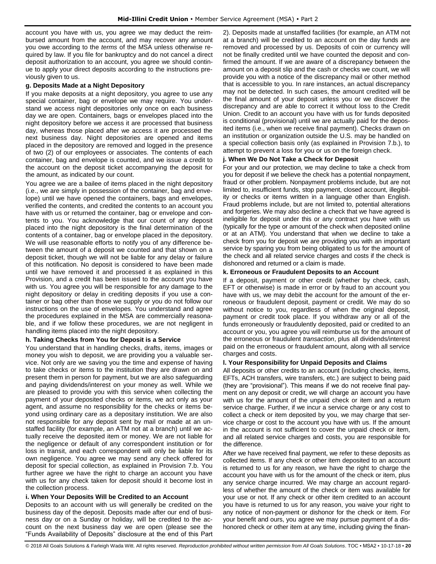account you have with us, you agree we may deduct the reimbursed amount from the account, and may recover any amount you owe according to the *terms* of the MSA unless otherwise required by law. If you file for bankruptcy and do not cancel a direct deposit authorization to an account, you agree we should continue to apply your direct deposits according to the instructions previously given to us.

## **g. Deposits Made at a Night Depository**

If you make deposits at a night depository, you agree to use any special container, bag or envelope we may require. You understand we access night depositories only once on each business day we are open. Containers, bags or envelopes placed into the night depository before we access it are processed that business day, whereas those placed after we access it are processed the next business day. Night depositories are opened and items placed in the depository are removed and logged in the presence of two (2) of our employees or associates. The contents of each container, bag and envelope is counted, and we issue a credit to the account on the deposit ticket accompanying the deposit for the amount, as indicated by our count.

You agree we are a bailee of items placed in the night depository (i.e., we are simply in possession of the container, bag and envelope) until we have opened the containers, bags and envelopes, verified the contents, and credited the contents to an account you have with us or returned the container, bag or envelope and contents to you. You acknowledge that our count of any deposit placed into the night depository is the final determination of the contents of a container, bag or envelope placed in the depository. We will use reasonable efforts to notify you of any difference between the amount of a deposit we counted and that shown on a deposit ticket, though we will not be liable for any delay or failure of this notification. No deposit is considered to have been made until we have removed it and processed it as explained in this Provision, and a credit has been issued to the account you have with us. You agree you will be responsible for any damage to the night depository or delay in crediting deposits if you use a container or bag other than those we supply or you do not follow our instructions on the use of envelopes. You understand and agree the procedures explained in the MSA are commercially reasonable, and if we follow these procedures, we are not negligent in handling items placed into the night depository.

## **h. Taking Checks from You for Deposit is a Service**

You understand that in handling checks, drafts, items, images or money you wish to deposit, we are providing you a valuable service. Not only are we saving you the time and expense of having to take checks or items to the institution they are drawn on and present them in person for payment, but we are also safeguarding and paying dividends/interest on your money as well. While we are pleased to provide you with this service when collecting the payment of your deposited checks or items, we act only as your agent, and assume no responsibility for the checks or items beyond using ordinary care as a depositary institution. We are also not responsible for any deposit sent by mail or made at an unstaffed facility (for example, an ATM not at a branch) until we actually receive the deposited item or money. We are not liable for the negligence or default of any correspondent institution or for loss in transit, and each correspondent will only be liable for its own negligence. You agree we may send any check offered for deposit for special collection, as explained in Provision 7.b. You further agree we have the right to charge an account you have with us for any check taken for deposit should it become lost in the collection process.

## **i. When Your Deposits Will be Credited to an Account**

Deposits to an account with us will generally be credited on the business day of the deposit. Deposits made after our end of business day or on a Sunday or holiday, will be credited to the account on the next business day we are open (please see the "Funds Availability of Deposits" disclosure at the end of this Part

2). Deposits made at unstaffed facilities (for example, an ATM not at a branch) will be credited to an account on the day funds are removed and processed by us. Deposits of coin or currency will not be finally credited until we have counted the deposit and confirmed the amount. If we are aware of a discrepancy between the amount on a deposit slip and the cash or checks we count, we will provide you with a notice of the discrepancy mail or other method that is accessible to you. In rare instances, an actual discrepancy may not be detected. In such cases, the amount credited will be the final amount of your deposit unless you or we discover the discrepancy and are able to correct it without loss to the Credit Union. Credit to an account you have with us for funds deposited is conditional (provisional) until we are actually paid for the deposited items (i.e., when we receive final payment). Checks drawn on an institution or organization outside the U.S. may be handled on a special collection basis only (as explained in Provision 7.b.), to attempt to prevent a loss for you or us on the foreign check.

## **j. When We Do Not Take a Check for Deposit**

For your and our protection, we may decline to take a check from you for deposit if we believe the check has a potential nonpayment, fraud or other problem. Nonpayment problems include, but are not limited to, insufficient funds, stop payment, closed account, illegibility or checks or items written in a language other than English. Fraud problems include, but are not limited to, potential alterations and forgeries. We may also decline a check that we have agreed is ineligible for deposit under this or any contract you have with us (typically for the type or amount of the check when deposited online or at an ATM). You understand that when we decline to take a check from you for deposit we are providing you with an important service by sparing you from being obligated to us for the amount of the check and all related service charges and costs if the check is dishonored and returned or a claim is made.

## **k. Erroneous or Fraudulent Deposits to an Account**

If a deposit, payment or other credit (whether by check, cash, EFT or otherwise) is made in error or by fraud to an account you have with us, we may debit the account for the amount of the erroneous or fraudulent deposit, payment or credit. We may do so without notice to you, regardless of when the original deposit, payment or credit took place. If you withdraw any or all of the funds erroneously or fraudulently deposited, paid or credited to an account or you, you agree you will reimburse us for the amount of the erroneous or fraudulent *transaction*, plus all dividends/interest paid on the erroneous or fraudulent amount, along with all service charges and costs.

## **l. Your Responsibility for Unpaid Deposits and Claims**

All deposits or other credits to an account (including checks, items, EFTs, ACH transfers, wire transfers, etc.) are subject to being paid (they are "provisional"). This means if we do not receive final payment on any deposit or credit, we will charge an account you have with us for the amount of the unpaid check or item and a return service charge. Further, if we incur a service charge or any cost to collect a check or item deposited by you, we may charge that service charge or cost to the account you have with us. If the amount in the account is not sufficient to cover the unpaid check or item, and all related service charges and costs, you are responsible for the difference.

After we have received final payment, we refer to these deposits as collected items. If any check or other item deposited to an account is returned to us for any reason, we have the right to charge the account you have with us for the amount of the check or item, plus any service charge incurred. We may charge an account regardless of whether the amount of the check or item was available for your use or not. If any check or other item credited to an account you have is returned to us for any reason, you waive your right to any notice of non-payment or dishonor for the check or item. For your benefit and ours, you agree we may pursue payment of a dishonored check or other item at any time, including giving the finan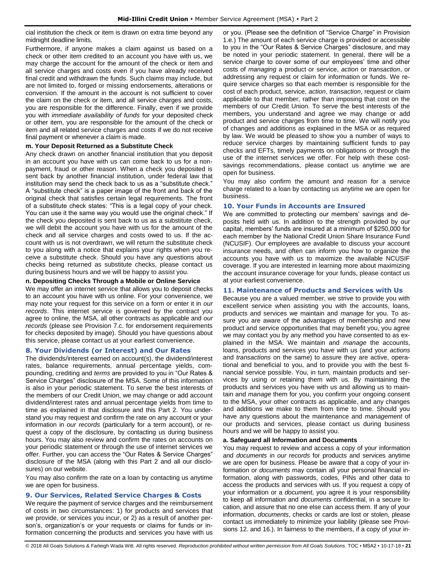cial institution the check or item is drawn on extra time beyond any midnight deadline limits.

Furthermore, if anyone makes a claim against us based on a check or other item credited to an account you have with us, we may charge the account for the amount of the check or item and all service charges and costs even if you have already received final credit and withdrawn the funds. Such claims may include, but are not limited to, forged or missing endorsements, alterations or conversion. If the amount in the account is not sufficient to cover the claim on the check or item, and all service charges and costs, you are responsible for the difference. Finally, even if we provide you with *immediate availability of funds* for your deposited check or other item, you are responsible for the amount of the check or item and all related service charges and costs if we do not receive final payment or whenever a claim is made.

## **m. Your Deposit Returned as a Substitute Check**

Any check drawn on another financial institution that you deposit in an account you have with us can come back to us for a nonpayment, fraud or other reason. When a check you deposited is sent back by another financial institution, under federal law that institution may send the check back to us as a "substitute check." A "substitute check" is a paper image of the front and back of the original check that satisfies certain legal requirements. The front of a substitute check states: "This is a legal copy of your check. You can use it the same way you would use the original check." If the check you deposited is sent back to us as a substitute check, we will debit the account you have with us for the amount of the check and all service charges and costs owed to us. If the account with us is not overdrawn, we will return the substitute check to you along with a notice that explains your rights when you receive a substitute check. Should you have any questions about checks being returned as substitute checks, please contact us during business hours and we will be happy to assist you.

## **n. Depositing Checks Through a Mobile or Online Service**

We may offer an internet service that allows you to deposit checks to an account you have with us online. For your convenience, we may note your request for this service on a form or enter it in *our records*. This internet service is governed by the contract you agree to online, the MSA, all other contracts as applicable and *our records* (please see Provision 7.c. for endorsement requirements for checks deposited by image). Should you have questions about this service, please contact us at your earliest convenience.

## <span id="page-21-0"></span>**8. Your Dividends (or Interest) and Our Rates**

The dividends/interest earned on account(s), the dividend/interest rates, balance requirements, annual percentage yields, compounding, crediting and *terms* are provided to you in "Our Rates & Service Charges" disclosure of the MSA. Some of this information is also in your periodic statement. To serve the best interests of the members of our Credit Union, we may change or add account dividend/interest rates and annual percentage yields from time to time as explained in that disclosure and this Part 2. You understand you may request and confirm the rate on any account or your information in *our records* (particularly for a term account), or request a copy of the disclosure, by contacting us during business hours. You may also review and confirm the rates on accounts on your periodic statement or through the use of internet services we offer. Further, you can access the "Our Rates & Service Charges" disclosure of the MSA (along with this Part 2 and all our disclosures) on our website.

You may also confirm the rate on a loan by contacting us anytime we are open for business.

## <span id="page-21-1"></span>**9. Our Services, Related Service Charges & Costs**

We require the payment of service charges and the reimbursement of costs in two circumstances: 1) for products and services that we provide, or services you incur, or 2) as a result of another person's, organization's or your requests or claims for funds or information concerning the products and services you have with us or you. (Please see the definition of "Service Charge" in Provision 1.e.) The amount of each service charge is provided or accessible to you in the "Our Rates & Service Charges" disclosure, and may be noted in your periodic statement. In general, there will be a service charge to cover some of our employees' time and other costs of *managing* a product or service, *action* or *transaction*, or addressing any request or claim for information or funds. We require service charges so that each member is responsible for the cost of each product, service, *action*, *transaction*, request or claim applicable to that member, rather than imposing that cost on the members of our Credit Union. To serve the best interests of the members, you understand and agree we may change or add product and service charges from time to time. We will notify you of changes and additions as explained in the MSA or as required by law. We would be pleased to show you a number of ways to reduce service charges by maintaining sufficient funds to pay checks and EFTs, timely payments on obligations or through the use of the internet services we offer. For help with these costsavings recommendations, please contact us anytime we are open for business.

You may also confirm the amount and reason for a service charge related to a loan by contacting us anytime we are open for business.

## <span id="page-21-2"></span>**10. Your Funds in Accounts are Insured**

We are committed to protecting our members' savings and deposits held with us. In addition to the strength provided by our capital, members' funds are insured at a minimum of \$250,000 for each member by the National Credit Union Share Insurance Fund (NCUSIF). Our employees are available to discuss your account insurance needs, and often can inform you how to organize the accounts you have with us to maximize the available NCUSIF coverage. If you are interested in learning more about maximizing the account insurance coverage for your funds, please contact us at your earliest convenience.

## <span id="page-21-3"></span>**11. Maintenance of Products and Services with Us**

Because you are a valued member, we strive to provide you with excellent service when assisting you with the accounts, loans, products and services we maintain and *manage* for you. To assure you are aware of the advantages of membership and new product and service opportunities that may benefit you, you agree we may contact you by any method you have consented to as explained in the MSA. We maintain and *manage* the accounts, loans, products and services you have with us (and your *actions* and *transactions* on the same) to assure they are active, operational and beneficial to you, and to provide you with the best financial service possible. You, in turn, maintain products and services by using or retaining them with us. By maintaining the products and services you have with us and allowing us to maintain and *manage* them for you, you confirm your ongoing consent to the MSA, your other contracts as applicable, and any changes and additions we make to them from time to time. Should you have any questions about the maintenance and *management* of our products and services, please contact us during business hours and we will be happy to assist you.

## **a. Safeguard all Information and Documents**

You may request to review and access a copy of your information and *documents* in *our records* for products and services anytime we are open for business. Please be aware that a copy of your information or *documents* may contain all your personal financial information, along with passwords, codes, PINs and other data to access the products and services with us. If you request a copy of your information or a *document*, you agree it is your responsibility to keep all information and *documents* confidential, in a secure location, and assure that no one else can access them. If any of your information, *documents*, checks or cards are lost or stolen, please contact us immediately to minimize your liability (please see Provisions 12. and 16.). In fairness to the members, if a copy of your in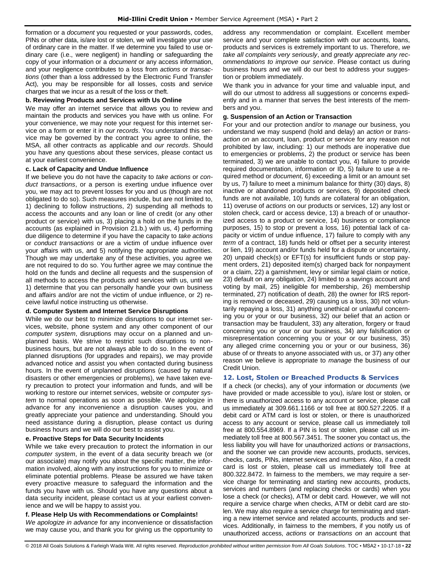formation or a *document* you requested or your passwords, codes, PINs or other data, is/are lost or stolen, we will investigate your use of ordinary care in the matter. If we determine you failed to use ordinary care (i.e., were negligent) in handling or safeguarding the copy of your information or a *document* or any access information, and your negligence contributes to a loss from *actions* or *transactions* (other than a loss addressed by the Electronic Fund Transfer Act), you may be responsible for all losses, costs and service charges that we incur as a result of the loss or theft.

## **b. Reviewing Products and Services with Us Online**

We may offer an internet service that allows you to review and maintain the products and services you have with us online. For your convenience, we may note your request for this internet service on a form or enter it in *our records*. You understand this service may be governed by the contract you agree to online, the MSA, all other contracts as applicable and *our records*. Should you have any questions about these services, please contact us at your earliest convenience.

## **c. Lack of Capacity and Undue Influence**

If we believe you do not have the capacity to *take actions* or *conduct transactions*, or a person is exerting undue influence over you, we may act to prevent losses for you and us (though are not obligated to do so). Such measures include, but are not limited to, 1) declining to follow instructions, 2) suspending all methods to access the accounts and any loan or line of credit (or any other product or service) with us, 3) placing a hold on the funds in the accounts (as explained in Provision 21.b.) with us, 4) performing due diligence to determine if you have the capacity to *take actions* or *conduct transactions* or are a victim of undue influence over your affairs with us, and 5) notifying the appropriate authorities. Though we may undertake any of these activities, you agree we are not required to do so. You further agree we may continue the hold on the funds and decline all requests and the suspension of all methods to access the products and services with us, until we 1) determine that you can personally handle your own business and affairs and/or are not the victim of undue influence, or 2) receive lawful notice instructing us otherwise.

## **d. Computer System and Internet Service Disruptions**

While we do our best to minimize disruptions to our internet services, website, phone system and any other component of our *computer system*, disruptions may occur on a planned and unplanned basis. We strive to restrict such disruptions to nonbusiness hours, but are not always able to do so. In the event of planned disruptions (for upgrades and repairs), we may provide advanced notice and assist you when contacted during business hours. In the event of unplanned disruptions (caused by natural disasters or other emergencies or problems), we have taken every precaution to protect your information and funds, and will be working to restore our internet services, website or *computer system* to normal operations as soon as possible. We apologize in advance for any inconvenience a disruption causes you, and greatly appreciate your patience and understanding. Should you need assistance during a disruption, please contact us during business hours and we will do our best to assist you.

## **e. Proactive Steps for Data Security Incidents**

While we take every precaution to protect the information in our *computer system*, in the event of a data security breach we (or our associate) may notify you about the specific matter, the information involved, along with any instructions for you to minimize or eliminate potential problems. Please be assured we have taken every proactive measure to safeguard the information and the funds you have with us. Should you have any questions about a data security incident, please contact us at your earliest convenience and we will be happy to assist you.

## **f. Please Help Us with Recommendations or Complaints!**

*We apologize in advance* for any inconvenience or dissatisfaction we may cause you, and thank you for giving us the opportunity to address any recommendation or complaint. Excellent member service and your complete satisfaction with our accounts, loans, products and services is extremely important to us. Therefore, *we take all complaints very seriously*, and *greatly appreciate any recommendations to improve our service*. Please contact us during business hours and we will do our best to address your suggestion or problem immediately.

We thank you in advance for your time and valuable input, and will do our utmost to address all suggestions or concerns expediently and in a manner that serves the best interests of the members and you.

## **g. Suspension of an Action or Transaction**

For your and our protection and/or to *manage* our business, you understand we may suspend (hold and delay) an *action* or *transaction on* an account, loan, product or service for any reason not prohibited by law, including: 1) our methods are inoperative due to emergencies or problems, 2) the product or service has been terminated, 3) we are unable to contact you, 4) failure to provide required documentation, information or ID, 5) failure to use a required method or *document*, 6) exceeding a limit or an amount set by us, 7) failure to meet a minimum balance for thirty (30) days, 8) inactive or abandoned products or services, 9) deposited check funds are not available, 10) funds are collateral for an obligation, 11) overuse of *actions* on our products or services, 12) any lost or stolen check, card or access device, 13) a breach of or unauthorized access to a product or service, 14) business or compliance purposes, 15) to stop or prevent a loss, 16) potential lack of capacity or victim of undue influence, 17) failure to comply with any *term* of a contract, 18) funds held or offset per a security interest or lien, 19) account and/or funds held for a dispute or uncertainty, 20) unpaid check(s) or EFT(s) for insufficient funds or stop payment orders, 21) deposited item(s) charged back for nonpayment or a claim, 22) a garnishment, levy or similar legal claim or notice, 23) default on any obligation, 24) limited to a savings account and voting by mail, 25) ineligible for membership, 26) membership terminated, 27) notification of death, 28) the owner for IRS reporting is removed or deceased, 29) causing us a loss, 30) not voluntarily repaying a loss, 31) anything unethical or unlawful concerning you or your or our business, 32) our belief that an action or transaction may be fraudulent, 33) any alteration, forgery or fraud concerning you or your or our business, 34) any falsification or misrepresentation concerning you or your or our business, 35) any alleged crime concerning you or your or our business, 36) abuse of or threats to anyone associated with us, or 37) any other reason we believe is appropriate to *manage* the business of our Credit Union.

## <span id="page-22-0"></span>**12. Lost, Stolen or Breached Products & Services**

If a check (or checks), any of your information or *documents* (we have provided or made accessible to you), is/are lost or stolen, or there is unauthorized access to any account or service, please call us immediately at 309.661.1166 or toll free at 800.527.2205. If a debit card or ATM card is lost or stolen, or there is unauthorized access to any account or service, please call us immediately toll free at 800.554.8969. If a PIN is lost or stolen, please call us immediately toll free at 800.567.3451. The sooner you contact us, the less liability you will have for unauthorized *actions* or *transactions*, and the sooner we can provide new accounts, products, services, checks, cards, PINs, internet services and numbers. Also, if a credit card is lost or stolen, please call us immediately toll free at 800.322.8472. In fairness to the members, we may require a service charge for terminating and starting new accounts, products, services and numbers (and replacing checks or cards) when you lose a check (or checks), ATM or debit card. However, we will not require a service charge when checks, ATM or debit card are stolen. We may also require a service charge for terminating and starting a new internet service and related accounts, products and services. Additionally, in fairness to the members, if you notify us of unauthorized access, *actions* or *transactions on* an account that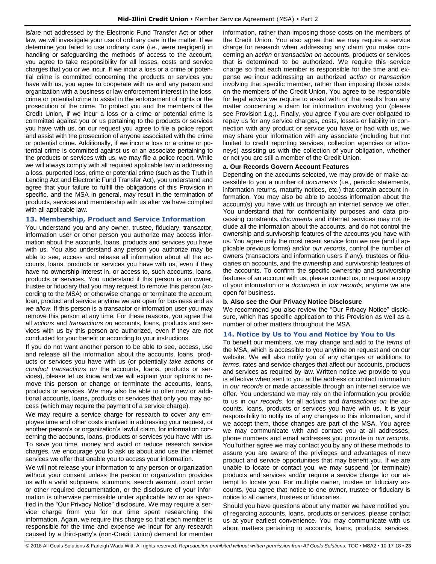is/are not addressed by the Electronic Fund Transfer Act or other law, we will investigate your use of ordinary care in the matter. If we determine you failed to use ordinary care (i.e., were negligent) in handling or safeguarding the methods of access to the account, you agree to take responsibility for all losses, costs and service charges that you or we incur. If we incur a loss or a crime or potential crime is committed concerning the products or services you have with us, you agree to cooperate with us and any person and organization with a business or law enforcement interest in the loss, crime or potential crime to assist in the enforcement of rights or the prosecution of the crime. To protect you and the members of the Credit Union, if we incur a loss or a crime or potential crime is committed against you or us pertaining to the products or services you have with us, on our request you agree to file a police report and assist with the prosecution of anyone associated with the crime or potential crime. Additionally, if we incur a loss or a crime or potential crime is committed against us or an associate pertaining to the products or services with us, we may file a police report. While we will always comply with all required applicable law in addressing a loss, purported loss, crime or potential crime (such as the Truth in Lending Act and Electronic Fund Transfer Act), you understand and agree that your failure to fulfill the obligations of this Provision in specific, and the MSA in general, may result in the termination of products, services and membership with us after we have complied with all applicable law.

## <span id="page-23-0"></span>**13. Membership, Product and Service Information**

You understand you and any owner, trustee, fiduciary, transactor, information user or other person you authorize may access information about the accounts, loans, products and services you have with us. You also understand any person you authorize may be able to see, access and release all information about all the accounts, loans, products or services you have with us, even if they have no ownership interest in, or access to, such accounts, loans, products or services. You understand if this person is an owner, trustee or fiduciary that you may request to remove this person (according to the MSA) or otherwise change or terminate the account, loan, product and service anytime we are open for business and as *we allow*. If this person is a transactor or information user you may remove this person at any time. For these reasons, you agree that all *actions* and *transactions on* accounts, loans, products and services with us by this person are authorized, even if they are not conducted for your benefit or according to your instructions.

If you do not want another person to be able to see, access, use and release all the information about the accounts, loans, products or services you have with us (or potentially *take actions* or *conduct transactions on* the accounts, loans, products or services), please let us know and we will explain your options to remove this person or change or terminate the accounts, loans, products or services. We may also be able to offer new or additional accounts, loans, products or services that only you may access (which may require the payment of a service charge).

We may require a service charge for research to cover any employee time and other costs involved in addressing your request, or another person's or organization's lawful claim, for information concerning the accounts, loans, products or services you have with us. To save you time, money and avoid or reduce research service charges, we encourage you to ask us about and use the internet services we offer that enable you to access your information.

We will not release your information to any person or organization without your consent unless the person or organization provides us with a valid subpoena, summons, search warrant, court order or other required documentation, or the disclosure of your information is otherwise permissible under applicable law or as specified in the "Our Privacy Notice" disclosure. We may require a service charge from you for our time spent researching the information. Again, we require this charge so that each member is responsible for the time and expense we incur for any research caused by a third-party's (non-Credit Union) demand for member information, rather than imposing those costs on the members of the Credit Union. You also agree that we may require a service charge for research when addressing any claim you make concerning an *action* or *transaction on* accounts, products or services that is determined to be authorized. We require this service charge so that each member is responsible for the time and expense we incur addressing an authorized *action* or *transaction* involving that specific member, rather than imposing those costs on the members of the Credit Union. You agree to be responsible for legal advice we require to assist with or that results from any matter concerning a claim for information involving you (please see Provision 1.g.). Finally, you agree if you are ever obligated to repay us for any service charges, costs, losses or liability in connection with any product or service you have or had with us, we may share your information with any associate (including but not limited to credit reporting services, collection agencies or attorneys) assisting us with the collection of your obligation, whether or not you are still a member of the Credit Union.

## **a. Our Records Govern Account Features**

Depending on the accounts selected, we may provide or make accessible to you a number of *documents* (i.e., periodic statements, information returns, maturity notices, etc.) that contain account information. You may also be able to access information about the account(s) you have with us through an internet service we offer. You understand that for confidentiality purposes and data processing constraints, *documents* and internet services may not include all the information about the accounts, and do not control the ownership and survivorship features of the accounts you have with us. You agree only the most recent service form we use (and if applicable previous forms) and/or *our records*, control the number of owners (transactors and information users if any), trustees or fiduciaries on accounts, and the ownership and survivorship features of the accounts. To confirm the specific ownership and survivorship features of an account with us, please contact us, or request a copy of your information or a *document* in *our records*, anytime we are open for business.

## **b. Also see the Our Privacy Notice Disclosure**

We recommend you also review the "Our Privacy Notice" disclosure, which has specific application to this Provision as well as a number of other matters throughout the MSA.

## <span id="page-23-1"></span>**14. Notice by Us to You and Notice by You to Us**

To benefit our members, we may change and add to the *terms* of the MSA, which is accessible to you anytime on request and on our website. We will also notify you of any changes or additions to *terms*, rates and service charges that affect our accounts, products and services as required by law. Written notice we provide to you is effective when sent to you at the address or contact information in *our records* or made accessible through an internet service we offer. You understand we may rely on the information you provide to us in *our records*, for all *actions* and *transactions on* the accounts, loans, products or services you have with us. It is your responsibility to notify us of any changes to this information, and if we accept them, those changes are part of the MSA. You agree we may communicate with and contact you at all addresses, phone numbers and email addresses you provide in *our records*. You further agree we may contact you by any of these methods to assure you are aware of the privileges and advantages of new product and service opportunities that may benefit you. If we are unable to locate or contact you, we may suspend (or terminate) products and services and/or require a service charge for our attempt to locate you. For multiple owner, trustee or fiduciary accounts, you agree that notice to one owner, trustee or fiduciary is notice to all owners, trustees or fiduciaries.

Should you have questions about any matter we have notified you of regarding accounts, loans, products or services, please contact us at your earliest convenience. You may communicate with us about matters pertaining to accounts, loans, products, services,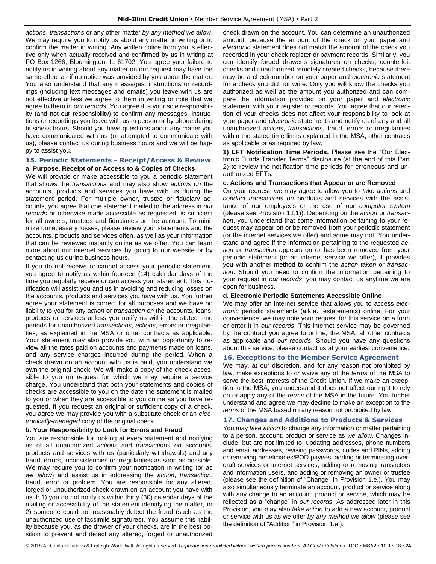*actions*, *transactions* or any other matter *by any method we allow*. We may require you to notify us about any matter in writing or to confirm the matter in writing. Any written notice from you is effective only when actually received and confirmed by us in writing at PO Box 1266, Bloomington, IL 61702. You agree your failure to notify us in writing about any matter on our request may have the same effect as if no notice was provided by you about the matter. You also understand that any messages, instructions or recordings (including text messages and emails) you leave with us are not effective unless we agree to them in writing or note that we agree to them in *our records*. You agree it is your sole responsibility (and not our responsibility) to confirm any messages, instructions or recordings you leave with us in person or by phone during business hours. Should you have questions about any matter you have communicated with us (or attempted to communicate with us), please contact us during business hours and we will be happy to assist you.

## <span id="page-24-0"></span>**15. Periodic Statements - Receipt/Access & Review a. Purpose, Receipt of or Access to & Copies of Checks**

We will provide or make accessible to you a periodic statement that shows the *transactions* and may also show *actions on* the accounts, products and services you have with us during the statement period. For multiple owner, trustee or fiduciary accounts, you agree that one statement mailed to the address in *our records* or otherwise made accessible as requested, is sufficient for all owners, trustees and fiduciaries on the account. To minimize unnecessary losses, please review your statements and the accounts, products and services often, as well as your information that can be reviewed instantly online as we offer. You can learn more about our internet services by going to our website or by contacting us during business hours.

If you do not receive or cannot access your periodic statement, you agree to notify us within fourteen (14) calendar days of the time you regularly receive or can access your statement. This notification will assist you and us in avoiding and reducing losses on the accounts, products and services you have with us. You further agree your statement is correct for all purposes and we have no liability to you for any *action* or *transaction on* the accounts, loans, products or services unless you notify us within the stated time periods for unauthorized *transactions*, *actions*, errors or irregularities, as explained in the MSA or other contracts as applicable. Your statement may also provide you with an opportunity to review all the rates paid on accounts and payments made on loans, and any service charges incurred during the period. When a check drawn on an account with us is paid, you understand we own the original check. We will make a copy of the check accessible to you on request for which we may require a service charge. You understand that both your statements and copies of checks are accessible to you on the date the statement is mailed to you or when they are accessible to you online as you have requested. If you request an original or sufficient copy of a check, you agree we may provide you with a substitute check or an *electronically-managed* copy of the original check.

## **b. Your Responsibility to Look for Errors and Fraud**

You are responsible for looking at every statement and notifying us of all unauthorized *actions* and *transactions on* accounts, products and services with us (particularly withdrawals) and any fraud, errors, inconsistencies or irregularities as soon as possible. We may require you to confirm your notification in writing (or as *we allow*) and assist us in addressing the *action*, *transaction*, fraud, error or problem. You are responsible for any altered, forged or unauthorized check drawn on an account you have with us if: 1) you do not notify us within thirty (30) calendar days of the mailing or accessibility of the statement identifying the matter, or 2) someone could not reasonably detect the fraud (such as the unauthorized use of facsimile signatures). You assume this liability because you, as the drawer of your checks, are in the best position to prevent and detect any altered, forged or unauthorized

check drawn on the account. You can determine an unauthorized amount, because the amount of the check on your paper and *electronic* statement does not match the amount of the check you recorded in your check register or payment records. Similarly, you can identify forged drawer's signatures on checks, counterfeit checks and unauthorized remotely created checks, because there may be a check number on your paper and *electronic* statement for a check you did not write. Only you will know the checks you authorized as well as the amount you authorized and can compare the information provided on your paper and *electronic* statement with your register or records. You agree that our retention of your checks does not affect your responsibility to look at your paper and *electronic* statements and notify us of any and all unauthorized *actions*, *transactions*, fraud, errors or irregularities within the stated time limits explained in the MSA, other contracts as applicable or as required by law.

**1) EFT Notification Time Periods.** Please see the "Our Electronic Funds Transfer Terms" disclosure (at the end of this Part 2) to review the notification time periods for erroneous and unauthorized EFTs.

## **c. Actions and Transactions that Appear or are Removed**

On your request, we may agree to allow you to *take actions* and *conduct transactions on* products and services with the assistance of our employees or the use of our *computer system* (please see Provision 1.f.1)). Depending on the *action* or *transaction*, you understand that some information pertaining to your request may appear on or be removed from your periodic statement (or the internet services we offer) and some may not. You understand and agree if the information pertaining to the requested *action* or *transaction* appears on or has been removed from your periodic statement (or an internet service we offer), it provides you with another method to confirm the *action taken* or *transaction*. Should you need to confirm the information pertaining to your request in *our records*, you may contact us anytime we are open for business.

## **d. Electronic Periodic Statements Accessible Online**

We may offer an internet service that allows you to access *electronic* periodic statements (a.k.a., estatements) online. For your convenience, we may note your request for this service on a form or enter it in *our records*. This internet service may be governed by the contract you agree to online, the MSA, all other contracts as applicable and *our records*. Should you have any questions about this service, please contact us at your earliest convenience.

## <span id="page-24-1"></span>**16. Exceptions to the Member Service Agreement**

We may, at our discretion, and for any reason not prohibited by law, make exceptions to or waive any of the *terms* of the MSA to serve the best interests of the Credit Union. If we make an exception to the MSA, you understand it does not affect our right to rely on or apply any of the *terms* of the MSA in the future. You further understand and agree we may decline to make an exception to the *terms* of the MSA based on any reason not prohibited by law.

## <span id="page-24-2"></span>**17. Changes and Additions to Products & Services**

You may *take action* to change any information or matter pertaining to a person, account, product or service as *we allow*. Changes include, but are not limited to, updating addresses, phone numbers and email addresses, revising passwords, codes and PINs, adding or removing beneficiaries/POD payees, adding or terminating overdraft services or internet services, adding or removing transactors and information users, and adding or removing an owner or trustee (please see the definition of "Change" in Provision 1.e.). You may also simultaneously terminate an account, product or service along with any change to an account, product or service, which may be reflected as a "change" in *our records*. As addressed later in this Provision, you may also *take action* to add a new account, product or service with us as we offer *by any method we allow* (please see the definition of "Addition" in Provision 1.e.).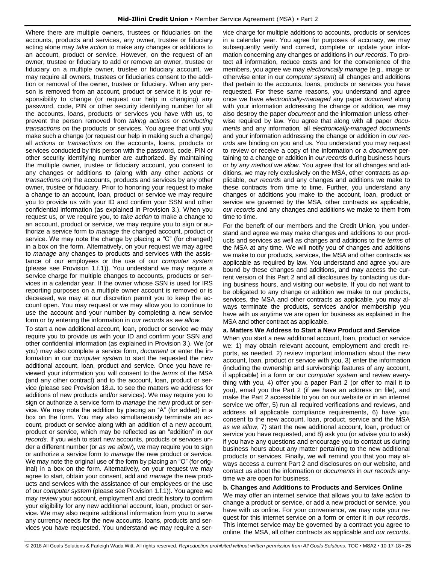Where there are multiple owners, trustees or fiduciaries on the accounts, products and services, any owner, trustee or fiduciary acting alone may *take action* to make any changes or additions to an account, product or service. However, on the request of an owner, trustee or fiduciary to add or remove an owner, trustee or fiduciary on a multiple owner, trustee or fiduciary account, we may require all owners, trustees or fiduciaries consent to the addition or removal of the owner, trustee or fiduciary. When any person is removed from an account, product or service it is your responsibility to change (or request our help in changing) any password, code, PIN or other security identifying number for all the accounts, loans, products or services you have with us, to prevent the person removed from *taking actions* or *conducting transactions on* the products or services. You agree that until you make such a change (or request our help in making such a change) all *actions* or *transactions on* the accounts, loans, products or services conducted by this person with the password, code, PIN or other security identifying number are authorized. By maintaining the multiple owner, trustee or fiduciary account, you consent to any changes or additions to (along with any other *actions* or *transactions on*) the accounts, products and services by any other owner, trustee or fiduciary. Prior to honoring your request to make a change to an account, loan, product or service we may require you to provide us with your ID and confirm your SSN and other confidential information (as explained in Provision 3.). When you request us, or we require you, to *take action* to make a change to an account, product or service, we may require you to sign or authorize a service form to *manage* the changed account, product or service. We may note the change by placing a "C" (for changed) in a box on the form. Alternatively, on your request we may agree to *manage* any changes to products and services with the assistance of our employees or the use of our *computer system*  (please see Provision 1.f.1)). You understand we may require a service charge for multiple changes to accounts, products or services in a calendar year. If the owner whose SSN is used for IRS reporting purposes on a multiple owner account is removed or is deceased, we may at our discretion permit you to keep the account open. You may request or we may allow you to continue to use the account and your number by completing a new service form or by entering the information in *our records* as *we allow*.

To start a new additional account, loan, product or service we may require you to provide us with your ID and confirm your SSN and other confidential information (as explained in Provision 3.). We (or you) may also complete a service form, *document* or enter the information in our *computer system* to start the requested the new additional account, loan, product and service. Once you have reviewed your information you will consent to the *terms* of the MSA (and any other contract) and to the account, loan, product or service (please see Provision 18.a. to see the matters we address for additions of new products and/or services). We may require you to sign or authorize a service form to *manage* the new product or service. We may note the addition by placing an "A" (for added) in a box on the form. You may also simultaneously terminate an account, product or service along with an addition of a new account, product or service, which may be reflected as an "addition" in *our records*. If you wish to start new accounts, products or services under a different number (or *as we allow*), we may require you to sign or authorize a service form to *manage* the new product or service. We may note the original use of the form by placing an "O" (for original) in a box on the form. Alternatively, on your request we may agree to start, obtain your consent, add and *manage* the new products and services with the assistance of our employees or the use of our *computer system* (please see Provision 1.f.1)). You agree we may review your account, employment and credit history to confirm your eligibility for any new additional account, loan, product or service. We may also require additional information from you to serve any currency needs for the new accounts, loans, products and services you have requested. You understand we may require a service charge for multiple additions to accounts, products or services in a calendar year. You agree for purposes of accuracy, we may subsequently verify and correct, complete or update your information concerning any changes or additions in *our records*. To protect all information, reduce costs and for the convenience of the members, you agree we may *electronically manage* (e.g., image or otherwise enter in our *computer system*) all changes and additions that pertain to the accounts, loans, products or services you have requested. For these same reasons, you understand and agree once we have *electronically-managed* any paper *document* along with your information addressing the change or addition*,* we may also destroy the paper *document* and the information unless otherwise required by law. You agree that along with all paper *documents* and any information*,* all *electronically-managed documents* and your information addressing the change or addition in *our records* are binding on you and us. You understand you may request to review or receive a copy of the information or a *document* pertaining to a change or addition in *our records* during business hours or *by any method we allow*. You agree that for all changes and additions, we may rely exclusively on the MSA, other contracts as applicable, *our records* and any changes and additions we make to these contracts from time to time. Further, you understand any changes or additions you make to the account, loan, product or service are governed by the MSA, other contracts as applicable, *our records* and any changes and additions we make to them from time to time.

For the benefit of our members and the Credit Union, you understand and agree we may make changes and additions to our products and services as well as changes and additions to the *terms* of the MSA at any time. We will notify you of changes and additions we make to our products, services, the MSA and other contracts as applicable as required by law. You understand and agree you are bound by these changes and additions, and may access the current version of this Part 2 and all disclosures by contacting us during business hours, and visiting our website. If you do not want to be obligated to any change or addition we make to our products, services, the MSA and other contracts as applicable, you may always terminate the products, services and/or membership you have with us anytime we are open for business as explained in the MSA and other contract as applicable.

## **a. Matters We Address to Start a New Product and Service**

When you start a new additional account, loan, product or service we: 1) may obtain relevant account, employment and credit reports, as needed, 2) review important information about the new account, loan, product or service with you, 3) enter the information (including the ownership and survivorship features of any account, if applicable) in a form or our *computer system* and review everything with you, 4) offer you a paper Part 2 (or offer to mail it to you), email you the Part 2 (if we have an address on file), and make the Part 2 accessible to you on our website or in an internet service we offer, 5) run all required verifications and reviews, and address all applicable compliance requirements, 6) have you consent to the new account, loan, product, service and the MSA *as we allow*, 7) start the new additional account, loan, product or service you have requested, and 8) ask you (or advise you to ask) if you have any questions and encourage you to contact us during business hours about any matter pertaining to the new additional products or services. Finally, we will remind you that you may always access a current Part 2 and disclosures on our website, and contact us about the information or *documents* in *our records* anytime we are open for business.

## **b. Changes and Additions to Products and Services Online**

We may offer an internet service that allows you to *take action* to change a product or service, or add a new product or service, you have with us online. For your convenience, we may note your request for this internet service on a form or enter it in *our records*. This internet service may be governed by a contract you agree to online, the MSA, all other contracts as applicable and *our records*.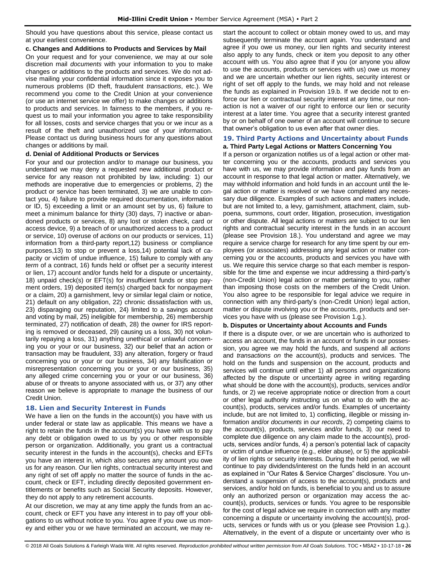Should you have questions about this service, please contact us at your earliest convenience.

## **c. Changes and Additions to Products and Services by Mail**

On your request and for your convenience, we may at our sole discretion mail *documents* with your information to you to make changes or additions to the products and services. We do not advise mailing your confidential information since it exposes you to numerous problems (ID theft, fraudulent *transactions*, etc.). We recommend you come to the Credit Union at your convenience (or use an internet service we offer) to make changes or additions to products and services. In fairness to the members, if you request us to mail your information you agree to take responsibility for all losses, costs and service charges that you or we incur as a result of the theft and unauthorized use of your information. Please contact us during business hours for any questions about changes or additions by mail.

## **d. Denial of Additional Products or Services**

For your and our protection and/or to *manage* our business, you understand we may deny a requested new additional product or service for any reason not prohibited by law, including: 1) our methods are inoperative due to emergencies or problems, 2) the product or service has been terminated, 3) we are unable to contact you, 4) failure to provide required documentation, information or ID, 5) exceeding a limit or an amount set by us, 6) failure to meet a minimum balance for thirty (30) days, 7) inactive or abandoned products or services, 8) any lost or stolen check, card or access device, 9) a breach of or unauthorized access to a product or service, 10) overuse of *actions* on our products or services, 11) information from a third-party report,12) business or compliance purposes,13) to stop or prevent a loss,14) potential lack of capacity or victim of undue influence, 15) failure to comply with any *term* of a contract, 16) funds held or offset per a security interest or lien, 17) account and/or funds held for a dispute or uncertainty, 18) unpaid check(s) or EFT(s) for insufficient funds or stop payment orders, 19) deposited item(s) charged back for nonpayment or a claim, 20) a garnishment, levy or similar legal claim or notice, 21) default on any obligation, 22) chronic dissatisfaction with us, 23) disparaging our reputation, 24) limited to a savings account and voting by mail, 25) ineligible for membership, 26) membership terminated, 27) notification of death, 28) the owner for IRS reporting is removed or deceased, 29) causing us a loss, 30) not voluntarily repaying a loss, 31) anything unethical or unlawful concerning you or your or our business, 32) our belief that an action or transaction may be fraudulent, 33) any alteration, forgery or fraud concerning you or your or our business, 34) any falsification or misrepresentation concerning you or your or our business, 35) any alleged crime concerning you or your or our business, 36) abuse of or threats to anyone associated with us, or 37) any other reason we believe is appropriate to *manage* the business of our Credit Union.

## <span id="page-26-0"></span>**18. Lien and Security Interest in Funds**

We have a lien on the funds in the account(s) you have with us under federal or state law as applicable. This means we have a right to retain the funds in the account(s) you have with us to pay any debt or obligation owed to us by you or other responsible person or organization. Additionally, you grant us a contractual security interest in the funds in the account(s), checks and EFTs you have an interest in, which also secures any amount you owe us for any reason. Our lien rights, contractual security interest and any right of set off apply no matter the source of funds in the account, check or EFT, including directly deposited government entitlements or benefits such as Social Security deposits. However, they do not apply to any retirement accounts.

At our discretion, we may at any time apply the funds from an account, check or EFT you have any interest in to pay off your obligations to us without notice to you. You agree if you owe us money and either you or we have terminated an account, we may restart the account to collect or obtain money owed to us, and may subsequently terminate the account again. You understand and agree if you owe us money, our lien rights and security interest also apply to any funds, check or item you deposit to any other account with us. You also agree that if you (or anyone you allow to use the accounts, products or services with us) owe us money and we are uncertain whether our lien rights, security interest or right of set off apply to the funds, we may hold and not release the funds as explained in Provision 19.b. If we decide not to enforce our lien or contractual security interest at any time, our nonaction is not a waiver of our right to enforce our lien or security interest at a later time. You agree that a security interest granted by or on behalf of one owner of an account will continue to secure that owner's obligation to us even after that owner dies.

## <span id="page-26-1"></span>**19. Third Party Actions and Uncertainty about Funds a. Third Party Legal Actions or Matters Concerning You**

If a person or organization notifies us of a legal action or other matter concerning you or the accounts, products and services you have with us, we may provide information and pay funds from an account in response to that legal action or matter. Alternatively, we may withhold information and hold funds in an account until the legal action or matter is resolved or we have completed any necessary due diligence. Examples of such actions and matters include, but are not limited to, a levy, garnishment, attachment, claim, subpoena, summons, court order, litigation, prosecution, investigation or other dispute. All legal actions or matters are subject to our lien rights and contractual security interest in the funds in an account (please see Provision 18.). You understand and agree we may require a service charge for research for any time spent by our employees (or associates) addressing any legal action or matter concerning you or the accounts, products and services you have with us. We require this service charge so that each member is responsible for the time and expense we incur addressing a third-party's (non-Credit Union) legal action or matter pertaining to you, rather than imposing those costs on the members of the Credit Union. You also agree to be responsible for legal advice we require in connection with any third-party's (non-Credit Union) legal action, matter or dispute involving you or the accounts, products and services you have with us (please see Provision 1.g.).

## **b. Disputes or Uncertainty about Accounts and Funds**

If there is a dispute over, or we are uncertain who is authorized to access an account, the funds in an account or funds in our possession, you agree we may hold the funds, and suspend all *actions* and *transactions on* the account(s), products and services. The hold on the funds and suspension on the account, products and services will continue until either 1) all persons and organizations affected by the dispute or uncertainty agree in writing regarding what should be done with the account(s), products, services and/or funds, or 2) we receive appropriate notice or direction from a court or other legal authority instructing us on what to do with the account(s), products, services and/or funds. Examples of uncertainty include, but are not limited to, 1) conflicting, illegible or missing information and/or *documents* in *our records*, 2) competing claims to the account(s), products, services and/or funds, 3) our need to complete due diligence on any claim made to the account(s), products, services and/or funds, 4) a person's potential lack of capacity or victim of undue influence (e.g., elder abuse), or 5) the applicability of lien rights or security interests. During the hold period, we will continue to pay dividends/interest on the funds held in an account as explained in "Our Rates & Service Charges" disclosure. You understand a suspension of access to the account(s), products and services, and/or hold on funds, is beneficial to you and us to assure only an authorized person or organization may access the account(s), products, services or funds. You agree to be responsible for the cost of legal advice we require in connection with any matter concerning a dispute or uncertainty involving the account(s), products, services or funds with us or you (please see Provision 1.g.). Alternatively, in the event of a dispute or uncertainty over who is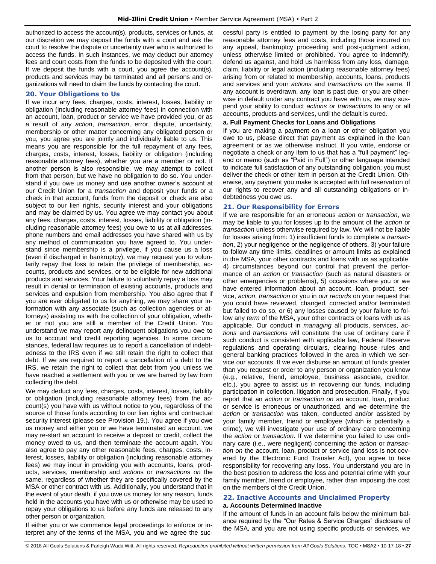authorized to access the account(s), products, services or funds, at our discretion we may deposit the funds with a court and ask the court to resolve the dispute or uncertainty over who is authorized to access the funds. In such instances, we may deduct our attorney fees and court costs from the funds to be deposited with the court. If we deposit the funds with a court, you agree the account(s), products and services may be terminated and all persons and organizations will need to claim the funds by contacting the court.

## <span id="page-27-0"></span>**20. Your Obligations to Us**

If we incur any fees, charges, costs, interest, losses, liability or obligation (including reasonable attorney fees) in connection with an account, loan, product or service we have provided you, or as a result of any *action*, *transaction*, error, dispute, uncertainty, membership or other matter concerning any obligated person or you, you agree you are jointly and individually liable to us. This means you are responsible for the full repayment of any fees, charges, costs, interest, losses, liability or obligation (including reasonable attorney fees), whether you are a member or not. If another person is also responsible, we may attempt to collect from that person, but we have no obligation to do so. You understand if you owe us money and use another owner's account at our Credit Union for a *transaction* and deposit your funds or a check in that account, funds from the deposit or check are also subject to our lien rights, security interest and your obligations and may be claimed by us. You agree we may contact you about any fees, charges, costs, interest, losses, liability or obligation (including reasonable attorney fees) you owe to us at all addresses, phone numbers and email addresses you have shared with us by any method of communication you have agreed to. You understand since membership is a privilege, if you cause us a loss (even if discharged in bankruptcy), we may request you to voluntarily repay that loss to retain the privilege of membership, accounts, products and services, or to be eligible for new additional products and services. Your failure to voluntarily repay a loss may result in denial or termination of existing accounts, products and services and expulsion from membership. You also agree that if you are ever obligated to us for anything, we may share your information with any associate (such as collection agencies or attorneys) assisting us with the collection of your obligation, whether or not you are still a member of the Credit Union. You understand we may report any delinquent obligations you owe to us to account and credit reporting agencies. In some circumstances, federal law requires us to report a cancellation of indebtedness to the IRS even if we still retain the right to collect that debt. If we are required to report a cancellation of a debt to the IRS, we retain the right to collect that debt from you unless we have reached a settlement with you or we are barred by law from collecting the debt.

We may deduct any fees, charges, costs, interest, losses, liability or obligation (including reasonable attorney fees) from the account(s) you have with us without notice to you, regardless of the source of those funds according to our lien rights and contractual security interest (please see Provision 19.). You agree if you owe us money and either you or we have terminated an account, we may re-start an account to receive a deposit or credit, collect the money owed to us, and then terminate the account again. You also agree to pay any other reasonable fees, charges, costs, interest, losses, liability or obligation (including reasonable attorney fees) we may incur in providing you with accounts, loans, products, services, membership and *action*s or *transaction*s *on* the same, regardless of whether they are specifically covered by the MSA or other contract with us. Additionally, you understand that in the event of your death, if you owe us money for any reason, funds held in the accounts you have with us or otherwise may be used to repay your obligations to us before any funds are released to any other person or organization.

If either you or we commence legal proceedings to enforce or interpret any of the *terms* of the MSA, you and we agree the successful party is entitled to payment by the losing party for any reasonable attorney fees and costs, including those incurred on any appeal, bankruptcy proceeding and post-judgment action, unless otherwise limited or prohibited. You agree to indemnify, defend us against, and hold us harmless from any loss, damage, claim, liability or legal action (including reasonable attorney fees) arising from or related to membership, accounts, loans, products and services and your *actions* and *transactions on* the same. If any account is overdrawn, any loan is past due, or you are otherwise in default under any contract you have with us, we may suspend your ability to conduct *actions or transactions* to any or all accounts, products and services, until the default is cured.

## **a. Full Payment Checks for Loans and Obligations**

If you are making a payment on a loan or other obligation you owe to us, please direct that payment as explained in the loan agreement or as we otherwise instruct. If you write, endorse or negotiate a check or any item to us that has a "full payment" legend or memo (such as "Paid in Full") or other language intended to indicate full satisfaction of any outstanding obligation, you must deliver the check or other item in person at the Credit Union. Otherwise, any payment you make is accepted with full reservation of our rights to recover any and all outstanding obligations or indebtedness you owe us.

## <span id="page-27-1"></span>**21. Our Responsibility for Errors**

If we are responsible for an erroneous *action* or *transaction*, we may be liable to you for losses up to the amount of the *action* or *transaction* unless otherwise required by law. We will not be liable for losses arising from: 1) insufficient funds to complete a *transaction*, 2) your negligence or the negligence of others, 3) your failure to follow any time limits, deadlines or amount limits as explained in the MSA, your other contracts and loans with us as applicable, 4) circumstances beyond our control that prevent the performance of an *action* or *transaction* (such as natural disasters or other emergencies or problems), 5) occasions where you or we have entered information about an account, loan, product, service, *action*, *transaction* or you in *our records* on your request that you could have reviewed, changed, corrected and/or terminated but failed to do so, or 6) any losses caused by your failure to follow any *term* of the MSA, your other contracts or loans with us as applicable. Our conduct in *managing* all products, services, *actions* and *transactions* will constitute the use of ordinary care if such conduct is consistent with applicable law, Federal Reserve regulations and operating circulars, clearing house rules and general banking practices followed in the area in which we service our accounts. If we ever disburse an amount of funds greater than you request or order to any person or organization you know (e.g., relative, friend, employee, business associate, creditor, etc.), you agree to assist us in recovering our funds, including participation in collection, litigation and prosecution. Finally, if you report that an *action* or *transaction on* an account, loan, product or service is erroneous or unauthorized, and we determine the *action* or *transaction* was taken, conducted and/or assisted by your family member, friend or employee (which is potentially a crime), we will investigate your use of ordinary care concerning the *action* or *transaction*. If we determine you failed to use ordinary care (i.e., were negligent) concerning the *action* or *transaction on* the account, loan, product or service (and loss is not covered by the Electronic Fund Transfer Act), you agree to take responsibility for recovering any loss. You understand you are in the best position to address the loss and potential crime with your family member, friend or employee, rather than imposing the cost on the members of the Credit Union.

## <span id="page-27-2"></span>**22. Inactive Accounts and Unclaimed Property a. Accounts Determined Inactive**

If the amount of funds in an account falls below the minimum balance required by the "Our Rates & Service Charges" disclosure of the MSA, and you are not using specific products or services, we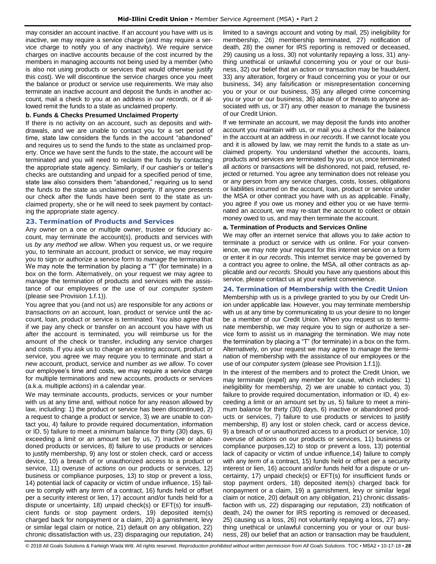may consider an account inactive. If an account you have with us is inactive, we may require a service charge (and may require a service charge to notify you of any inactivity). We require service charges on inactive accounts because of the cost incurred by the members in managing accounts not being used by a member (who is also not using products or services that would otherwise justify this cost). We will discontinue the service charges once you meet the balance or product or service use requirements. We may also terminate an inactive account and deposit the funds in another account, mail a check to you at an address in *our records*, or if allowed remit the funds to a state as unclaimed property.

## **b. Funds & Checks Presumed Unclaimed Property**

If there is no activity on an account, such as deposits and withdrawals, and we are unable to contact you for a set period of time, state law considers the funds in the account "abandoned" and requires us to send the funds to the state as unclaimed property. Once we have sent the funds to the state, the account will be terminated and you will need to reclaim the funds by contacting the appropriate state agency. Similarly, if our cashier's or teller's checks are outstanding and unpaid for a specified period of time, state law also considers them "abandoned," requiring us to send the funds to the state as unclaimed property. If anyone presents our check after the funds have been sent to the state as unclaimed property, she or he will need to seek payment by contacting the appropriate state agency.

## <span id="page-28-0"></span>**23. Termination of Products and Services**

Any owner on a one or multiple owner, trustee or fiduciary account, may terminate the account(s), products and services with us *by any method we allow*. When you request us, or we require you, to terminate an account, product or service, we may require you to sign or authorize a service form to *manage* the termination. We may note the termination by placing a "T" (for terminate) in a box on the form. Alternatively, on your request we may agree to *manage* the termination of products and services with the assistance of our employees or the use of our *computer system* (please see Provision 1.f.1)).

You agree that you (and not us) are responsible for any *actions* or *transactions on* an account, loan, product or service until the account, loan, product or service is terminated. You also agree that if we pay any check or transfer on an account you have with us after the account is terminated, you will reimburse us for the amount of the check or transfer, including any service charges and costs. If you ask us to change an existing account, product or service, you agree we may require you to terminate and start a new account, product, service and number *as we allow*. To cover our employee's time and costs, we may require a service charge for multiple terminations and new accounts, products or services (a.k.a. multiple *actions*) in a calendar year.

We may terminate accounts, products, services or your number with us at any time and, without notice for any reason allowed by law, including: 1) the product or service has been discontinued, 2) a request to change a product or service, 3) we are unable to contact you, 4) failure to provide required documentation, information or ID, 5) failure to meet a minimum balance for thirty (30) days, 6) exceeding a limit or an amount set by us, 7) inactive or abandoned products or services, 8) failure to use products or services to justify membership, 9) any lost or stolen check, card or access device, 10) a breach of or unauthorized access to a product or service, 11) overuse of *actions* on our products or services, 12) business or compliance purposes, 13) to stop or prevent a loss, 14) potential lack of capacity or victim of undue influence, 15) failure to comply with any *term* of a contract, 16) funds held or offset per a security interest or lien, 17) account and/or funds held for a dispute or uncertainty, 18) unpaid check(s) or EFT(s) for insufficient funds or stop payment orders, 19) deposited item(s) charged back for nonpayment or a claim, 20) a garnishment, levy or similar legal claim or notice, 21) default on any obligation, 22) chronic dissatisfaction with us, 23) disparaging our reputation, 24)

limited to a savings account and voting by mail, 25) ineligibility for membership, 26) membership terminated, 27) notification of death, 28) the owner for IRS reporting is removed or deceased, 29) causing us a loss, 30) not voluntarily repaying a loss, 31) anything unethical or unlawful concerning you or your or our business, 32) our belief that an action or transaction may be fraudulent, 33) any alteration, forgery or fraud concerning you or your or our business, 34) any falsification or misrepresentation concerning you or your or our business, 35) any alleged crime concerning you or your or our business, 36) abuse of or threats to anyone associated with us, or 37) any other reason to *manage* the business of our Credit Union.

If we terminate an account, we may deposit the funds into another account you maintain with us, or mail you a check for the balance in the account at an address in *our records*. If we cannot locate you and it is allowed by law, we may remit the funds to a state as unclaimed property. You understand whether the accounts, loans, products and services are terminated by you or us, once terminated all *actions* or *transactions* will be dishonored, not paid, refused, rejected or returned. You agree any termination does not release you or any person from any service charges, costs, losses, obligations or liabilities incurred on the account, loan, product or service under the MSA or other contract you have with us as applicable. Finally, you agree if you owe us money and either you or we have terminated an account, we may re-start the account to collect or obtain money owed to us, and may then terminate the account.

## **a. Termination of Products and Services Online**

We may offer an internet service that allows you to *take action* to terminate a product or service with us online. For your convenience, we may note your request for this internet service on a form or enter it in *our records*. This internet service may be governed by a contract you agree to online, the MSA, all other contracts as applicable and *our records*. Should you have any questions about this service, please contact us at your earliest convenience.

## <span id="page-28-1"></span>**24. Termination of Membership with the Credit Union**

Membership with us is a privilege granted to you by our Credit Union under applicable law. However, you may terminate membership with us at any time by communicating to us your desire to no longer be a member of our Credit Union. When you request us to terminate membership, we may require you to sign or authorize a service form to assist us in *managing* the termination. We may note the termination by placing a "T" (for terminate) in a box on the form. Alternatively, on your request we may agree to *manage* the termination of membership with the assistance of our employees or the use of our *computer system* (please see Provision 1.f.1)).

In the interest of the members and to protect the Credit Union, we may terminate (expel) any member for cause, which includes: 1) ineligibility for membership, 2) we are unable to contact you, 3) failure to provide required documentation, information or ID, 4) exceeding a limit or an amount set by us, 5) failure to meet a minimum balance for thirty (30) days, 6) inactive or abandoned products or services, 7) failure to use products or services to justify membership, 8) any lost or stolen check, card or access device, 9) a breach of or unauthorized access to a product or service, 10) overuse of *actions* on our products or services, 11) business or compliance purposes,12) to stop or prevent a loss, 13) potential lack of capacity or victim of undue influence,14) failure to comply with any *term* of a contract, 15) funds held or offset per a security interest or lien, 16) account and/or funds held for a dispute or uncertainty, 17) unpaid check(s) or EFT(s) for insufficient funds or stop payment orders, 18) deposited item(s) charged back for nonpayment or a claim, 19) a garnishment, levy or similar legal claim or notice, 20) default on any obligation, 21) chronic dissatisfaction with us, 22) disparaging our reputation, 23) notification of death, 24) the owner for IRS reporting is removed or deceased, 25) causing us a loss, 26) not voluntarily repaying a loss, 27) anything unethical or unlawful concerning you or your or our business, 28) our belief that an action or transaction may be fraudulent,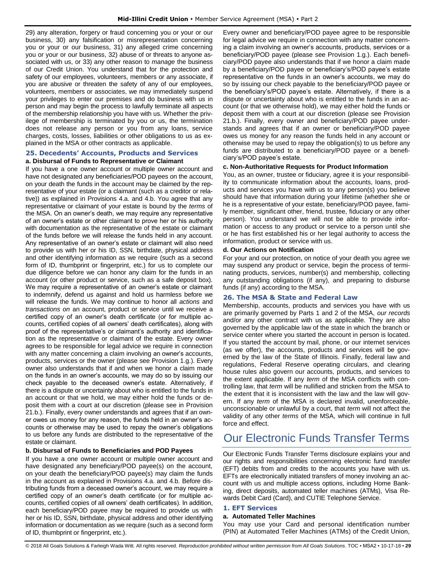29) any alteration, forgery or fraud concerning you or your or our business, 30) any falsification or misrepresentation concerning you or your or our business, 31) any alleged crime concerning you or your or our business, 32) abuse of or threats to anyone associated with us, or 33) any other reason to *manage* the business of our Credit Union. You understand that for the protection and safety of our employees, volunteers, members or any associate, if you are abusive or threaten the safety of any of our employees, volunteers, members or associates, we may immediately suspend your privileges to enter our premises and do business with us in person and may begin the process to lawfully terminate all aspects of the membership relationship you have with us. Whether the privilege of membership is terminated by you or us, the termination does not release any person or you from any loans, service charges, costs, losses, liabilities or other obligations to us as explained in the MSA or other contracts as applicable.

## <span id="page-29-0"></span>**25. Decedents' Accounts, Products and Services**

## **a. Disbursal of Funds to Representative or Claimant**

If you have a one owner account or multiple owner account and have not designated any beneficiaries/POD payees on the account, on your death the funds in the account may be claimed by the representative of your estate (or a claimant (such as a creditor or relative)) as explained in Provisions 4.a. and 4.b. You agree that any representative or claimant of your estate is bound by the *terms* of the MSA. On an owner's death, we may require any representative of an owner's estate or other claimant to prove her or his authority with documentation as the representative of the estate or claimant of the funds before we will release the funds held in any account. Any representative of an owner's estate or claimant will also need to provide us with her or his ID, SSN, birthdate, physical address and other identifying information as we require (such as a second form of ID, thumbprint or fingerprint, etc.) for us to complete our due diligence before we can honor any claim for the funds in an account (or other product or service, such as a safe deposit box). We may require a representative of an owner's estate or claimant to indemnify, defend us against and hold us harmless before we will release the funds. We may continue to honor all *actions* and *transactions on* an account, product or service until we receive a certified copy of an owner's death certificate (or for multiple accounts, certified copies of all owners' death certificates), along with proof of the representative's or claimant's authority and identification as the representative or claimant of the estate. Every owner agrees to be responsible for legal advice we require in connection with any matter concerning a claim involving an owner's accounts, products, services or the owner (please see Provision 1.g.). Every owner also understands that if and when we honor a claim made on the funds in an owner's accounts, we may do so by issuing our check payable to the deceased owner's estate. Alternatively, if there is a dispute or uncertainty about who is entitled to the funds in an account or that we hold, we may either hold the funds or deposit them with a court at our discretion (please see in Provision 21.b.). Finally, every owner understands and agrees that if an owner owes us money for any reason, the funds held in an owner's accounts or otherwise may be used to repay the owner's obligations to us before any funds are distributed to the representative of the estate or claimant.

## **b. Disbursal of Funds to Beneficiaries and POD Payees**

If you have a one owner account or multiple owner account and have designated any beneficiary/POD payee(s) on the account, on your death the beneficiary/POD payee(s) may claim the funds in the account as explained in Provisions 4.a. and 4.b. Before distributing funds from a deceased owner's account, we may require a certified copy of an owner's death certificate (or for multiple accounts, certified copies of all owners' death certificates). In addition, each beneficiary/POD payee may be required to provide us with her or his ID, SSN, birthdate, physical address and other identifying information or documentation as we require (such as a second form of ID, thumbprint or fingerprint, etc.).

Every owner and beneficiary/POD payee agree to be responsible for legal advice we require in connection with any matter concerning a claim involving an owner's accounts, products, services or a beneficiary/POD payee (please see Provision 1.g.). Each beneficiary/POD payee also understands that if we honor a claim made by a beneficiary/POD payee or beneficiary's/POD payee's estate representative on the funds in an owner's accounts, we may do so by issuing our check payable to the beneficiary/POD payee or the beneficiary's/POD payee's estate. Alternatively, if there is a dispute or uncertainty about who is entitled to the funds in an account (or that we otherwise hold), we may either hold the funds or deposit them with a court at our discretion (please see Provision 21.b.). Finally, every owner and beneficiary/POD payee understands and agrees that if an owner or beneficiary/POD payee owes us money for any reason the funds held in any account or otherwise may be used to repay the obligation(s) to us before any funds are distributed to a beneficiary/POD payee or a beneficiary's/POD payee's estate.

#### **c. Non-Authoritative Requests for Product Information**

You, as an owner, trustee or fiduciary, agree it is your responsibility to communicate information about the accounts, loans, products and services you have with us to any person(s) you believe should have that information during your lifetime (whether she or he is a representative of your estate, beneficiary/POD payee, family member, significant other, friend, trustee, fiduciary or any other person). You understand we will not be able to provide information or access to any product or service to a person until she or he has first established his or her legal authority to access the information, product or service with us.

## **d. Our Actions on Notification**

For your and our protection, on notice of your death you agree we may suspend any product or service, begin the process of terminating products, services, number(s) and membership, collecting any outstanding obligations (if any), and preparing to disburse funds (if any) according to the MSA.

## <span id="page-29-1"></span>**26. The MSA & State and Federal Law**

Membership, accounts, products and services you have with us are primarily governed by Parts 1 and 2 of the MSA, *our records* and/or any other contract with us as applicable. They are also governed by the applicable law of the state in which the branch or service center where you started the account in person is located. If you started the account by mail, phone, or our internet services (as we offer), the accounts, products and services will be governed by the law of the State of Illinois. Finally, federal law and regulations, Federal Reserve operating circulars, and clearing house rules also govern our accounts, products, and services to the extent applicable. If any *term* of the MSA conflicts with controlling law, that *term* will be nullified and stricken from the MSA to the extent that it is inconsistent with the law and the law will govern. If any *term* of the MSA is declared invalid, unenforceable, unconscionable or unlawful by a court, that *term* will not affect the validity of any other *terms* of the MSA, which will continue in full force and effect.

# <span id="page-29-2"></span>Our Electronic Funds Transfer Terms

Our Electronic Funds Transfer Terms disclosure explains your and our rights and responsibilities concerning electronic fund transfer (EFT) debits from and credits to the accounts you have with us. EFTs are electronically initiated transfers of money involving an account with us and multiple access options, including Home Banking, direct deposits, automated teller machines (ATMs), Visa Rewards Debit Card (Card), and CUTIE Telephone Service.

## <span id="page-29-3"></span>**1. EFT Services**

## **a. Automated Teller Machines**

You may use your Card and personal identification number (PIN) at Automated Teller Machines (ATMs) of the Credit Union,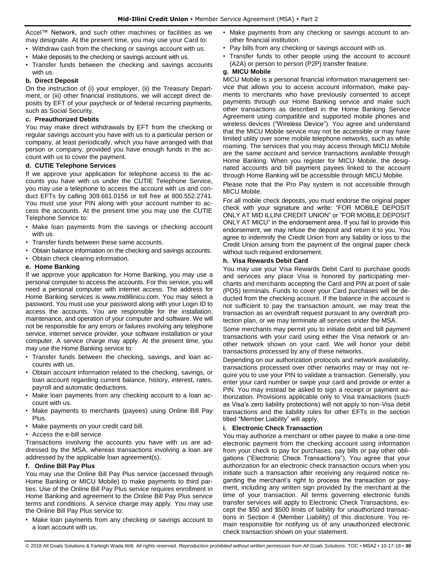Accel™ Network, and such other machines or facilities as we may designate. At the present time, you may use your Card to:

- Withdraw cash from the checking or savings account with us.
- Make deposits to the checking or savings account with us.
- Transfer funds between the checking and savings accounts with us.

## **b. Direct Deposit**

On the instruction of (i) your employer, (ii) the Treasury Department, or (iii) other financial institutions, we will accept direct deposits by EFT of your paycheck or of federal recurring payments, such as Social Security.

## **c. Preauthorized Debits**

You may make direct withdrawals by EFT from the checking or regular savings account you have with us to a particular person or company, at least periodically, which you have arranged with that person or company, provided you have enough funds in the account with us to cover the payment.

## **d. CUTIE Telephone Services**

If we approve your application for telephone access to the accounts you have with us under the CUTIE Telephone Service, you may use a telephone to access the account with us and conduct EFTs by calling 309.661.0156 or toll free at 800.552.2741. You must use your PIN along with your account number to access the accounts. At the present time you may use the CUTIE Telephone Service to:

- Make loan payments from the savings or checking account with us.
- Transfer funds between these same accounts.
- Obtain balance information on the checking and savings accounts.
- Obtain check clearing information.

## **e. Home Banking**

If we approve your application for Home Banking, you may use a personal computer to access the accounts. For this service, you will need a personal computer with internet access. The address for Home Banking services is www.midillinicu.com. You may select a password. You must use your password along with your Login ID to access the accounts. You are responsible for the installation, maintenance, and operation of your computer and software. We will not be responsible for any errors or failures involving any telephone service, internet service provider, your software installation or your computer. A service charge may apply. At the present time, you may use the Home Banking service to:

- Transfer funds between the checking, savings, and loan accounts with us.
- Obtain account information related to the checking, savings, or loan account regarding current balance, history, interest, rates, payroll and automatic deductions.
- Make loan payments from any checking account to a loan account with us.
- Make payments to merchants (payees) using Online Bill Pay Plus.
- Make payments on your credit card bill.
- Access the e-bill service.

Transactions involving the accounts you have with us are addressed by the MSA, whereas transactions involving a loan are addressed by the applicable loan agreement(s).

## **f. Online Bill Pay Plus**

You may use the Online Bill Pay Plus service (accessed through Home Banking or MICU Mobile) to make payments to third parties. Use of the Online Bill Pay Plus service requires enrollment in Home Banking and agreement to the Online Bill Pay Plus service terms and conditions. A service charge may apply. You may use the Online Bill Pay Plus service to:

• Make loan payments from any checking or savings account to a loan account with us.

- Make payments from any checking or savings account to another financial institution.
- Pay bills from any checking or savings account with us.
- Transfer funds to other people using the account to account (A2A) or person to person (P2P) transfer feature.

## **g. MICU Mobile**

MICU Mobile is a personal financial information management service that allows you to access account information, make payments to merchants who have previously consented to accept payments through our Home Banking service and make such other transactions as described in the Home Banking Service Agreement using compatible and supported mobile phones and wireless devices ("Wireless Device"). You agree and understand that the MICU Mobile service may not be accessible or may have limited utility over some mobile telephone networks, such as while roaming. The services that you may access through MICU Mobile are the same account and service transactions available through Home Banking. When you register for MICU Mobile, the designated accounts and bill payment payees linked to the account through Home Banking will be accessible through MICU Mobile.

Please note that the Pro Pay system is not accessible through MICU Mobile.

For all mobile check deposits, you must endorse the original paper check with your signature and write: "FOR MOBILE DEPOSIT ONLY AT MID ILLINI CREDIT UNION" or "FOR MOBILE DEPOSIT ONLY AT MICU" in the endorsement area. If you fail to provide this endorsement, we may refuse the deposit and return it to you. You agree to indemnify the Credit Union from any liability or loss to the Credit Union arising from the payment of the original paper check without such required endorsement.

## **h. Visa Rewards Debit Card**

You may use your Visa Rewards Debit Card to purchase goods and services any place Visa is honored by participating merchants and merchants accepting the Card and PIN at point of sale (POS) terminals. Funds to cover your Card purchases will be deducted from the checking account. If the balance in the account is not sufficient to pay the transaction amount, we may treat the transaction as an overdraft request pursuant to any overdraft protection plan, or we may terminate all services under the MSA.

Some merchants may permit you to initiate debit and bill payment transactions with your card using either the Visa network or another network shown on your card. We will honor your debit transactions processed by any of these networks.

Depending on our authorization protocols and network availability, transactions processed over other networks may or may not require you to use your PIN to validate a transaction. Generally, you enter your card number or swipe your card and provide or enter a PIN. You may instead be asked to sign a receipt or payment authorization. Provisions applicable only to Visa transactions (such as Visa's zero liability protections) will not apply to non-Visa debit transactions and the liability rules for other EFTs in the section titled "Member Liability" will apply.

## **i. Electronic Check Transaction**

You may authorize a merchant or other payee to make a one-time electronic payment from the checking account using information from your check to pay for purchases, pay bills or pay other obligations ("Electronic Check Transactions"). You agree that your authorization for an electronic check transaction occurs when you initiate such a transaction after receiving any required notice regarding the merchant's right to process the transaction or payment, including any written sign provided by the merchant at the time of your transaction. All terms governing electronic funds transfer services will apply to Electronic Check Transactions, except the \$50 and \$500 limits of liability for unauthorized transactions in Section 4 (Member Liability) of this disclosure. You remain responsible for notifying us of any unauthorized electronic check transaction shown on your statement.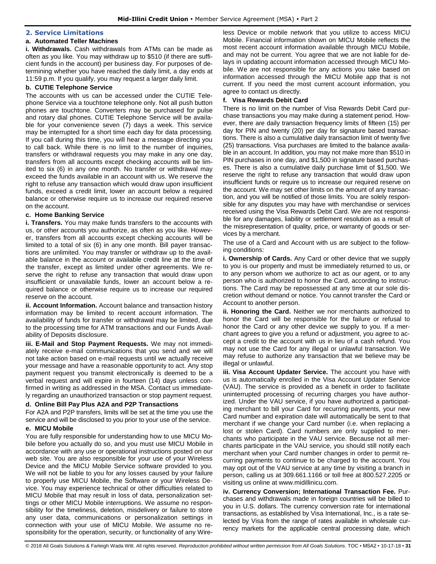## <span id="page-31-0"></span>**2. Service Limitations**

## **a. Automated Teller Machines**

**i. Withdrawals.** Cash withdrawals from ATMs can be made as often as you like. You may withdraw up to \$510 (if there are sufficient funds in the account) per business day. For purposes of determining whether you have reached the daily limit, a day ends at 11:59 p.m. If you qualify, you may request a larger daily limit.

## **b. CUTIE Telephone Service**

The accounts with us can be accessed under the CUTIE Telephone Service via a touchtone telephone only. Not all push button phones are touchtone. Converters may be purchased for pulse and rotary dial phones. CUTIE Telephone Service will be available for your convenience seven (7) days a week. This service may be interrupted for a short time each day for data processing. If you call during this time, you will hear a message directing you to call back. While there is no limit to the number of inquiries, transfers or withdrawal requests you may make in any one day, transfers from all accounts except checking accounts will be limited to six (6) in any one month. No transfer or withdrawal may exceed the funds available in an account with us. We reserve the right to refuse any transaction which would draw upon insufficient funds, exceed a credit limit, lower an account below a required balance or otherwise require us to increase our required reserve on the account.

## **c. Home Banking Service**

**i. Transfers.** You may make funds transfers to the accounts with us, or other accounts you authorize, as often as you like. However, transfers from all accounts except checking accounts will be limited to a total of six (6) in any one month. Bill payer transactions are unlimited. You may transfer or withdraw up to the available balance in the account or available credit line at the time of the transfer, except as limited under other agreements. We reserve the right to refuse any transaction that would draw upon insufficient or unavailable funds, lower an account below a required balance or otherwise require us to increase our required reserve on the account.

**ii. Account Information.** Account balance and transaction history information may be limited to recent account information. The availability of funds for transfer or withdrawal may be limited, due to the processing time for ATM transactions and our Funds Availability of Deposits disclosure.

**iii. E-Mail and Stop Payment Requests.** We may not immediately receive e-mail communications that you send and we will not take action based on e-mail requests until we actually receive your message and have a reasonable opportunity to act. Any stop payment request you transmit electronically is deemed to be a verbal request and will expire in fourteen (14) days unless confirmed in writing as addressed in the MSA. Contact us immediately regarding an unauthorized transaction or stop payment request.

## **d. Online Bill Pay Plus A2A and P2P Transactions**

For A2A and P2P transfers, limits will be set at the time you use the service and will be disclosed to you prior to your use of the service.

## **e. MICU Mobile**

You are fully responsible for understanding how to use MICU Mobile before you actually do so, and you must use MICU Mobile in accordance with any use or operational instructions posted on our web site. You are also responsible for your use of your Wireless Device and the MICU Mobile Service software provided to you. We will not be liable to you for any losses caused by your failure to properly use MICU Mobile, the Software or your Wireless Device. You may experience technical or other difficulties related to MICU Mobile that may result in loss of data, personalization settings or other MICU Mobile interruptions. We assume no responsibility for the timeliness, deletion, misdelivery or failure to store any user data, communications or personalization settings in connection with your use of MICU Mobile. We assume no responsibility for the operation, security, or functionality of any Wireless Device or mobile network that you utilize to access MICU Mobile. Financial information shown on MICU Mobile reflects the most recent account information available through MICU Mobile, and may not be current. You agree that we are not liable for delays in updating account information accessed through MICU Mobile. We are not responsible for any actions you take based on information accessed through the MICU Mobile app that is not current. If you need the most current account information, you agree to contact us directly.

## **f. Visa Rewards Debit Card**

There is no limit on the number of Visa Rewards Debit Card purchase transactions you may make during a statement period. However, there are daily transaction frequency limits of fifteen (15) per day for PIN and twenty (20) per day for signature based transactions. There is also a cumulative daily transaction limit of twenty five (25) transactions. Visa purchases are limited to the balance available in an account. In addition, you may not make more than \$510 in PIN purchases in one day, and \$1,500 in signature based purchases. There is also a cumulative daily purchase limit of \$1,500. We reserve the right to refuse any transaction that would draw upon insufficient funds or require us to increase our required reserve on the account. We may set other limits on the amount of any transaction, and you will be notified of those limits. You are solely responsible for any disputes you may have with merchandise or services received using the Visa Rewards Debit Card. We are not responsible for any damages, liability or settlement resolution as a result of the misrepresentation of quality, price, or warranty of goods or services by a merchant.

The use of a Card and Account with us are subject to the following conditions:

**i. Ownership of Cards.** Any Card or other device that we supply to you is our property and must be immediately returned to us, or to any person whom we authorize to act as our agent, or to any person who is authorized to honor the Card, according to instructions. The Card may be repossessed at any time at our sole discretion without demand or notice. You cannot transfer the Card or Account to another person.

**ii. Honoring the Card.** Neither we nor merchants authorized to honor the Card will be responsible for the failure or refusal to honor the Card or any other device we supply to you. If a merchant agrees to give you a refund or adjustment, you agree to accept a credit to the account with us in lieu of a cash refund. You may not use the Card for any illegal or unlawful transaction. We may refuse to authorize any transaction that we believe may be illegal or unlawful.

**iii. Visa Account Updater Service.** The account you have with us is automatically enrolled in the Visa Account Updater Service (VAU). The service is provided as a benefit in order to facilitate uninterrupted processing of recurring charges you have authorized. Under the VAU service, if you have authorized a participating merchant to bill your Card for recurring payments, your new Card number and expiration date will automatically be sent to that merchant if we change your Card number (i.e. when replacing a lost or stolen Card). Card numbers are only supplied to merchants who participate in the VAU service. Because not all merchants participate in the VAU service, you should still notify each merchant when your Card number changes in order to permit recurring payments to continue to be charged to the account. You may opt out of the VAU service at any time by visiting a branch in person, calling us at 309.661.1166 or toll free at 800.527.2205 or visiting us online at www.midillinicu.com.

**iv. Currency Conversion; International Transaction Fee.** Purchases and withdrawals made in foreign countries will be billed to you in U.S. dollars. The currency conversion rate for international transactions, as established by Visa International, Inc., is a rate selected by Visa from the range of rates available in wholesale currency markets for the applicable central processing date, which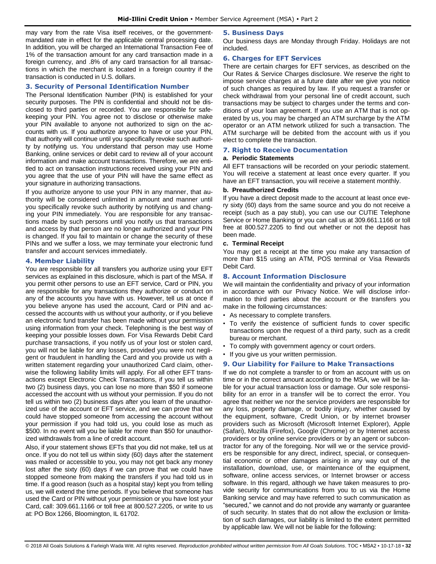may vary from the rate Visa itself receives, or the governmentmandated rate in effect for the applicable central processing date. In addition, you will be charged an International Transaction Fee of 1% of the transaction amount for any card transaction made in a foreign currency, and .8% of any card transaction for all transactions in which the merchant is located in a foreign country if the transaction is conducted in U.S. dollars.

## <span id="page-32-0"></span>**3. Security of Personal Identification Number**

The Personal Identification Number (PIN) is established for your security purposes. The PIN is confidential and should not be disclosed to third parties or recorded. You are responsible for safekeeping your PIN. You agree not to disclose or otherwise make your PIN available to anyone not authorized to sign on the accounts with us. If you authorize anyone to have or use your PIN, that authority will continue until you specifically revoke such authority by notifying us. You understand that person may use Home Banking, online services or debit card to review all of your account information and make account transactions. Therefore, we are entitled to act on transaction instructions received using your PIN and you agree that the use of your PIN will have the same effect as your signature in authorizing transactions.

If you authorize anyone to use your PIN in any manner, that authority will be considered unlimited in amount and manner until you specifically revoke such authority by notifying us and changing your PIN immediately. You are responsible for any transactions made by such persons until you notify us that transactions and access by that person are no longer authorized and your PIN is changed. If you fail to maintain or change the security of these PINs and we suffer a loss, we may terminate your electronic fund transfer and account services immediately.

## <span id="page-32-1"></span>**4. Member Liability**

You are responsible for all transfers you authorize using your EFT services as explained in this disclosure, which is part of the MSA. If you permit other persons to use an EFT service, Card or PIN, you are responsible for any transactions they authorize or conduct on any of the accounts you have with us. However, tell us at once if you believe anyone has used the account, Card or PIN and accessed the accounts with us without your authority, or if you believe an electronic fund transfer has been made without your permission using information from your check. Telephoning is the best way of keeping your possible losses down. For Visa Rewards Debit Card purchase transactions, if you notify us of your lost or stolen card, you will not be liable for any losses, provided you were not negligent or fraudulent in handling the Card and you provide us with a written statement regarding your unauthorized Card claim, otherwise the following liability limits will apply. For all other EFT transactions except Electronic Check Transactions, if you tell us within two (2) business days, you can lose no more than \$50 if someone accessed the account with us without your permission. If you do not tell us within two (2) business days after you learn of the unauthorized use of the account or EFT service, and we can prove that we could have stopped someone from accessing the account without your permission if you had told us, you could lose as much as \$500. In no event will you be liable for more than \$50 for unauthorized withdrawals from a line of credit account.

Also, if your statement shows EFTs that you did not make, tell us at once. If you do not tell us within sixty (60) days after the statement was mailed or accessible to you, you may not get back any money lost after the sixty (60) days if we can prove that we could have stopped someone from making the transfers if you had told us in time. If a good reason (such as a hospital stay) kept you from telling us, we will extend the time periods. If you believe that someone has used the Card or PIN without your permission or you have lost your Card, call: 309.661.1166 or toll free at 800.527.2205, or write to us at: PO Box 1266, Bloomington, IL 61702.

## <span id="page-32-2"></span>**5. Business Days**

Our business days are Monday through Friday. Holidays are not included.

## <span id="page-32-3"></span>**6. Charges for EFT Services**

There are certain charges for EFT services, as described on the Our Rates & Service Charges disclosure. We reserve the right to impose service charges at a future date after we give you notice of such changes as required by law. If you request a transfer or check withdrawal from your personal line of credit account, such transactions may be subject to charges under the terms and conditions of your loan agreement. If you use an ATM that is not operated by us, you may be charged an ATM surcharge by the ATM operator or an ATM network utilized for such a transaction. The ATM surcharge will be debited from the account with us if you elect to complete the transaction.

## <span id="page-32-4"></span>**7. Right to Receive Documentation**

## **a. Periodic Statements**

All EFT transactions will be recorded on your periodic statement. You will receive a statement at least once every quarter. If you have an EFT transaction, you will receive a statement monthly.

## **b. Preauthorized Credits**

If you have a direct deposit made to the account at least once every sixty (60) days from the same source and you do not receive a receipt (such as a pay stub), you can use our CUTIE Telephone Service or Home Banking or you can call us at 309.661.1166 or toll free at 800.527.2205 to find out whether or not the deposit has been made.

## **c. Terminal Receipt**

You may get a receipt at the time you make any transaction of more than \$15 using an ATM, POS terminal or Visa Rewards Debit Card.

## <span id="page-32-5"></span>**8. Account Information Disclosure**

We will maintain the confidentiality and privacy of your information in accordance with our Privacy Notice. We will disclose information to third parties about the account or the transfers you make in the following circumstances:

- As necessary to complete transfers.
- To verify the existence of sufficient funds to cover specific transactions upon the request of a third party, such as a credit bureau or merchant.
- To comply with government agency or court orders.
- If you give us your written permission.

## <span id="page-32-6"></span>**9. Our Liability for Failure to Make Transactions**

If we do not complete a transfer to or from an account with us on time or in the correct amount according to the MSA, we will be liable for your actual transaction loss or damage. Our sole responsibility for an error in a transfer will be to correct the error. You agree that neither we nor the service providers are responsible for any loss, property damage, or bodily injury, whether caused by the equipment, software, Credit Union, or by internet browser providers such as Microsoft (Microsoft Internet Explorer), Apple (Safari), Mozilla (Firefox), Google (Chrome) or by Internet access providers or by online service providers or by an agent or subcontractor for any of the foregoing. Nor will we or the service providers be responsible for any direct, indirect, special, or consequential economic or other damages arising in any way out of the installation, download, use, or maintenance of the equipment, software, online access services, or Internet browser or access software. In this regard, although we have taken measures to provide security for communications from you to us via the Home Banking service and may have referred to such communication as "secured," we cannot and do not provide any warranty or guarantee of such security. In states that do not allow the exclusion or limitation of such damages, our liability is limited to the extent permitted by applicable law. We will not be liable for the following: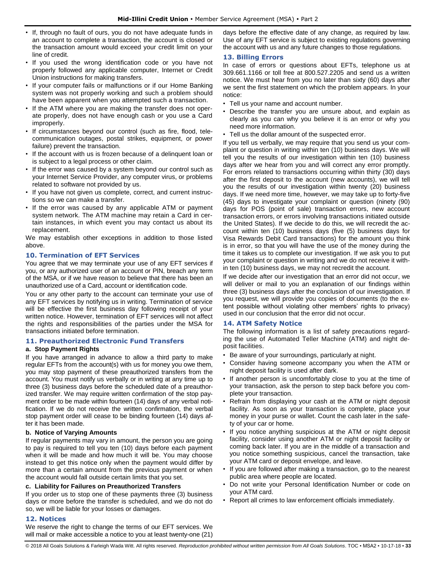- If, through no fault of ours, you do not have adequate funds in an account to complete a transaction, the account is closed or the transaction amount would exceed your credit limit on your line of credit.
- If you used the wrong identification code or you have not properly followed any applicable computer, Internet or Credit Union instructions for making transfers.
- If your computer fails or malfunctions or if our Home Banking system was not properly working and such a problem should have been apparent when you attempted such a transaction.
- If the ATM where you are making the transfer does not operate properly, does not have enough cash or you use a Card improperly.
- If circumstances beyond our control (such as fire, flood, telecommunication outages, postal strikes, equipment, or power failure) prevent the transaction.
- If the account with us is frozen because of a delinquent loan or is subject to a legal process or other claim.
- If the error was caused by a system beyond our control such as your Internet Service Provider, any computer virus, or problems related to software not provided by us.
- If you have not given us complete, correct, and current instructions so we can make a transfer.
- If the error was caused by any applicable ATM or payment system network. The ATM machine may retain a Card in certain instances, in which event you may contact us about its replacement.

We may establish other exceptions in addition to those listed above.

## <span id="page-33-0"></span>**10. Termination of EFT Services**

You agree that we may terminate your use of any EFT services if you, or any authorized user of an account or PIN, breach any term of the MSA, or if we have reason to believe that there has been an unauthorized use of a Card, account or identification code.

You or any other party to the account can terminate your use of any EFT services by notifying us in writing. Termination of service will be effective the first business day following receipt of your written notice. However, termination of EFT services will not affect the rights and responsibilities of the parties under the MSA for transactions initiated before termination.

## <span id="page-33-1"></span>**11. Preauthorized Electronic Fund Transfers**

## **a. Stop Payment Rights**

If you have arranged in advance to allow a third party to make regular EFTs from the account(s) with us for money you owe them, you may stop payment of these preauthorized transfers from the account. You must notify us verbally or in writing at any time up to three (3) business days before the scheduled date of a preauthorized transfer. We may require written confirmation of the stop payment order to be made within fourteen (14) days of any verbal notification. If we do not receive the written confirmation, the verbal stop payment order will cease to be binding fourteen (14) days after it has been made.

## **b. Notice of Varying Amounts**

If regular payments may vary in amount, the person you are going to pay is required to tell you ten (10) days before each payment when it will be made and how much it will be. You may choose instead to get this notice only when the payment would differ by more than a certain amount from the previous payment or when the account would fall outside certain limits that you set.

## **c. Liability for Failures on Preauthorized Transfers**

If you order us to stop one of these payments three (3) business days or more before the transfer is scheduled, and we do not do so, we will be liable for your losses or damages.

## <span id="page-33-2"></span>**12. Notices**

We reserve the right to change the terms of our EFT services. We will mail or make accessible a notice to you at least twenty-one (21) days before the effective date of any change, as required by law. Use of any EFT service is subject to existing regulations governing the account with us and any future changes to those regulations.

## <span id="page-33-3"></span>**13. Billing Errors**

In case of errors or questions about EFTs, telephone us at 309.661.1166 or toll free at 800.527.2205 and send us a written notice. We must hear from you no later than sixty (60) days after we sent the first statement on which the problem appears. In your notice:

- Tell us your name and account number.
- Describe the transfer you are unsure about, and explain as clearly as you can why you believe it is an error or why you need more information.
- Tell us the dollar amount of the suspected error.

If you tell us verbally, we may require that you send us your complaint or question in writing within ten (10) business days. We will tell you the results of our investigation within ten (10) business days after we hear from you and will correct any error promptly. For errors related to transactions occurring within thirty (30) days after the first deposit to the account (new accounts), we will tell you the results of our investigation within twenty (20) business days. If we need more time, however, we may take up to forty-five (45) days to investigate your complaint or question (ninety (90) days for POS (point of sale) transaction errors, new account transaction errors, or errors involving transactions initiated outside the United States). If we decide to do this, we will recredit the account within ten (10) business days (five (5) business days for Visa Rewards Debit Card transactions) for the amount you think is in error, so that you will have the use of the money during the time it takes us to complete our investigation. If we ask you to put your complaint or question in writing and we do not receive it within ten (10) business days, we may not recredit the account.

If we decide after our investigation that an error did not occur, we will deliver or mail to you an explanation of our findings within three (3) business days after the conclusion of our investigation. If you request, we will provide you copies of documents (to the extent possible without violating other members' rights to privacy) used in our conclusion that the error did not occur.

## <span id="page-33-4"></span>**14. ATM Safety Notice**

The following information is a list of safety precautions regarding the use of Automated Teller Machine (ATM) and night deposit facilities.

- Be aware of your surroundings, particularly at night.
- Consider having someone accompany you when the ATM or night deposit facility is used after dark.
- If another person is uncomfortably close to you at the time of your transaction, ask the person to step back before you complete your transaction.
- Refrain from displaying your cash at the ATM or night deposit facility. As soon as your transaction is complete, place your money in your purse or wallet. Count the cash later in the safety of your car or home.
- If you notice anything suspicious at the ATM or night deposit facility, consider using another ATM or night deposit facility or coming back later. If you are in the middle of a transaction and you notice something suspicious, cancel the transaction, take your ATM card or deposit envelope, and leave.
- If you are followed after making a transaction, go to the nearest public area where people are located.
- Do not write your Personal Identification Number or code on your ATM card.
- Report all crimes to law enforcement officials immediately.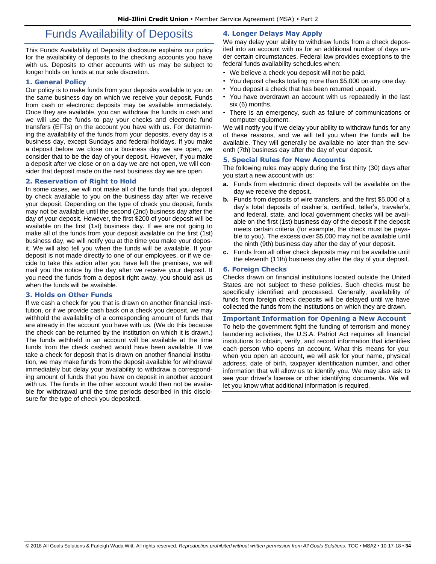# Funds Availability of Deposits

<span id="page-34-0"></span>This Funds Availability of Deposits disclosure explains our policy for the availability of deposits to the checking accounts you have with us. Deposits to other accounts with us may be subject to longer holds on funds at our sole discretion.

## <span id="page-34-1"></span>**1. General Policy**

Our policy is to make funds from your deposits available to you on the same business day on which we receive your deposit. Funds from cash or electronic deposits may be available immediately. Once they are available, you can withdraw the funds in cash and we will use the funds to pay your checks and electronic fund transfers (EFTs) on the account you have with us. For determining the availability of the funds from your deposits, every day is a business day, except Sundays and federal holidays. If you make a deposit before we close on a business day we are open, we consider that to be the day of your deposit. However, if you make a deposit after we close or on a day we are not open, we will consider that deposit made on the next business day we are open.

## <span id="page-34-2"></span>**2. Reservation of Right to Hold**

In some cases, we will not make all of the funds that you deposit by check available to you on the business day after we receive your deposit. Depending on the type of check you deposit, funds may not be available until the second (2nd) business day after the day of your deposit. However, the first \$200 of your deposit will be available on the first (1st) business day. If we are not going to make all of the funds from your deposit available on the first (1st) business day, we will notify you at the time you make your deposit. We will also tell you when the funds will be available. If your deposit is not made directly to one of our employees, or if we decide to take this action after you have left the premises, we will mail you the notice by the day after we receive your deposit. If you need the funds from a deposit right away, you should ask us when the funds will be available.

## <span id="page-34-3"></span>**3. Holds on Other Funds**

<span id="page-34-4"></span>If we cash a check for you that is drawn on another financial institution, or if we provide cash back on a check you deposit, we may withhold the availability of a corresponding amount of funds that are already in the account you have with us. (We do this because the check can be returned by the institution on which it is drawn.) The funds withheld in an account will be available at the time funds from the check cashed would have been available. If we take a check for deposit that is drawn on another financial institution, we may make funds from the deposit available for withdrawal immediately but delay your availability to withdraw a corresponding amount of funds that you have on deposit in another account with us. The funds in the other account would then not be available for withdrawal until the time periods described in this disclosure for the type of check you deposited.

## **4. Longer Delays May Apply**

We may delay your ability to withdraw funds from a check deposited into an account with us for an additional number of days under certain circumstances. Federal law provides exceptions to the federal funds availability schedules when:

- We believe a check you deposit will not be paid.
- You deposit checks totaling more than \$5,000 on any one day.
- You deposit a check that has been returned unpaid.
- You have overdrawn an account with us repeatedly in the last six (6) months.
- There is an emergency, such as failure of communications or computer equipment.

We will notify you if we delay your ability to withdraw funds for any of these reasons, and we will tell you when the funds will be available. They will generally be available no later than the seventh (7th) business day after the day of your deposit.

## <span id="page-34-5"></span>**5. Special Rules for New Accounts**

The following rules may apply during the first thirty (30) days after you start a new account with us:

- **a.** Funds from electronic direct deposits will be available on the day we receive the deposit.
- **b.** Funds from deposits of wire transfers, and the first \$5,000 of a day's total deposits of cashier's, certified, teller's, traveler's, and federal, state, and local government checks will be available on the first (1st) business day of the deposit if the deposit meets certain criteria (for example, the check must be payable to you). The excess over \$5,000 may not be available until the ninth (9th) business day after the day of your deposit.
- **c.** Funds from all other check deposits may not be available until the eleventh (11th) business day after the day of your deposit.

## <span id="page-34-6"></span>**6. Foreign Checks**

Checks drawn on financial institutions located outside the United States are not subject to these policies. Such checks must be specifically identified and processed. Generally, availability of funds from foreign check deposits will be delayed until we have collected the funds from the institutions on which they are drawn.

## <span id="page-34-7"></span>**Important Information for Opening a New Account**

To help the government fight the funding of terrorism and money laundering activities, the U.S.A. Patriot Act requires all financial institutions to obtain, verify, and record information that identifies each person who opens an account. What this means for you: when you open an account, we will ask for your name, physical address, date of birth, taxpayer identification number, and other information that will allow us to identify you. We may also ask to see your driver's license or other identifying documents. We will let you know what additional information is required.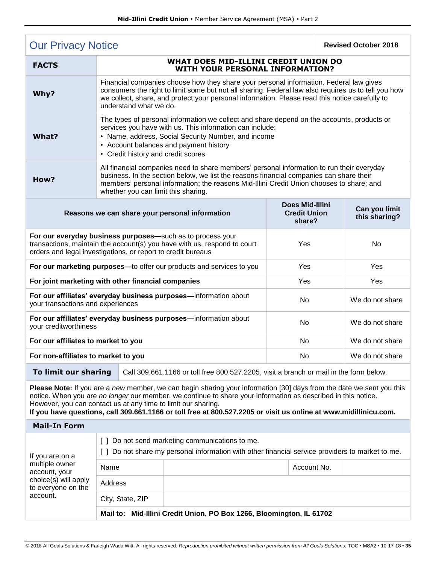<span id="page-35-0"></span>

| <b>Our Privacy Notice</b>                                                                                                                                                                                                                                                                                                                                                                                                  |                                                                                                                                                                                                                                                                                                                           |  |                                                                                        | <b>Revised October 2018</b>                             |                 |                                |
|----------------------------------------------------------------------------------------------------------------------------------------------------------------------------------------------------------------------------------------------------------------------------------------------------------------------------------------------------------------------------------------------------------------------------|---------------------------------------------------------------------------------------------------------------------------------------------------------------------------------------------------------------------------------------------------------------------------------------------------------------------------|--|----------------------------------------------------------------------------------------|---------------------------------------------------------|-----------------|--------------------------------|
| <b>FACTS</b>                                                                                                                                                                                                                                                                                                                                                                                                               | WHAT DOES MID-ILLINI CREDIT UNION DO<br><b>WITH YOUR PERSONAL INFORMATION?</b>                                                                                                                                                                                                                                            |  |                                                                                        |                                                         |                 |                                |
| Why?                                                                                                                                                                                                                                                                                                                                                                                                                       | Financial companies choose how they share your personal information. Federal law gives<br>consumers the right to limit some but not all sharing. Federal law also requires us to tell you how<br>we collect, share, and protect your personal information. Please read this notice carefully to<br>understand what we do. |  |                                                                                        |                                                         |                 |                                |
| What?                                                                                                                                                                                                                                                                                                                                                                                                                      | The types of personal information we collect and share depend on the accounts, products or<br>services you have with us. This information can include:<br>• Name, address, Social Security Number, and income<br>• Account balances and payment history<br>• Credit history and credit scores                             |  |                                                                                        |                                                         |                 |                                |
| How?                                                                                                                                                                                                                                                                                                                                                                                                                       | All financial companies need to share members' personal information to run their everyday<br>business. In the section below, we list the reasons financial companies can share their<br>members' personal information; the reasons Mid-Illini Credit Union chooses to share; and<br>whether you can limit this sharing.   |  |                                                                                        |                                                         |                 |                                |
| Reasons we can share your personal information                                                                                                                                                                                                                                                                                                                                                                             |                                                                                                                                                                                                                                                                                                                           |  |                                                                                        | <b>Does Mid-Illini</b><br><b>Credit Union</b><br>share? |                 | Can you limit<br>this sharing? |
| For our everyday business purposes-such as to process your<br>transactions, maintain the account(s) you have with us, respond to court<br>orders and legal investigations, or report to credit bureaus                                                                                                                                                                                                                     |                                                                                                                                                                                                                                                                                                                           |  | Yes                                                                                    |                                                         | No.             |                                |
|                                                                                                                                                                                                                                                                                                                                                                                                                            |                                                                                                                                                                                                                                                                                                                           |  | For our marketing purposes-to offer our products and services to you                   | Yes                                                     |                 | Yes                            |
| For joint marketing with other financial companies                                                                                                                                                                                                                                                                                                                                                                         |                                                                                                                                                                                                                                                                                                                           |  |                                                                                        | Yes                                                     |                 | Yes                            |
| For our affiliates' everyday business purposes-information about<br>your transactions and experiences                                                                                                                                                                                                                                                                                                                      |                                                                                                                                                                                                                                                                                                                           |  | <b>No</b>                                                                              |                                                         | We do not share |                                |
| For our affiliates' everyday business purposes-information about<br>your creditworthiness                                                                                                                                                                                                                                                                                                                                  |                                                                                                                                                                                                                                                                                                                           |  | No                                                                                     |                                                         | We do not share |                                |
| For our affiliates to market to you                                                                                                                                                                                                                                                                                                                                                                                        |                                                                                                                                                                                                                                                                                                                           |  | <b>No</b>                                                                              |                                                         | We do not share |                                |
| For non-affiliates to market to you                                                                                                                                                                                                                                                                                                                                                                                        |                                                                                                                                                                                                                                                                                                                           |  | No                                                                                     |                                                         | We do not share |                                |
|                                                                                                                                                                                                                                                                                                                                                                                                                            | To limit our sharing                                                                                                                                                                                                                                                                                                      |  | Call 309.661.1166 or toll free 800.527.2205, visit a branch or mail in the form below. |                                                         |                 |                                |
| Please Note: If you are a new member, we can begin sharing your information [30] days from the date we sent you this<br>notice. When you are no longer our member, we continue to share your information as described in this notice.<br>However, you can contact us at any time to limit our sharing.<br>If you have questions, call 309.661.1166 or toll free at 800.527.2205 or visit us online at www.midillinicu.com. |                                                                                                                                                                                                                                                                                                                           |  |                                                                                        |                                                         |                 |                                |
| <b>Mail-In Form</b>                                                                                                                                                                                                                                                                                                                                                                                                        |                                                                                                                                                                                                                                                                                                                           |  |                                                                                        |                                                         |                 |                                |
|                                                                                                                                                                                                                                                                                                                                                                                                                            | [ ] Do not send marketing communications to me.                                                                                                                                                                                                                                                                           |  |                                                                                        |                                                         |                 |                                |
| If you are on a<br>multiple owner<br>account, your<br>choice(s) will apply<br>to everyone on the<br>account.                                                                                                                                                                                                                                                                                                               | [ ] Do not share my personal information with other financial service providers to market to me.                                                                                                                                                                                                                          |  |                                                                                        |                                                         |                 |                                |
|                                                                                                                                                                                                                                                                                                                                                                                                                            | Name                                                                                                                                                                                                                                                                                                                      |  | Account No.                                                                            |                                                         |                 |                                |
|                                                                                                                                                                                                                                                                                                                                                                                                                            | Address                                                                                                                                                                                                                                                                                                                   |  |                                                                                        |                                                         |                 |                                |
|                                                                                                                                                                                                                                                                                                                                                                                                                            | City, State, ZIP                                                                                                                                                                                                                                                                                                          |  |                                                                                        |                                                         |                 |                                |
|                                                                                                                                                                                                                                                                                                                                                                                                                            | Mail to: Mid-Illini Credit Union, PO Box 1266, Bloomington, IL 61702                                                                                                                                                                                                                                                      |  |                                                                                        |                                                         |                 |                                |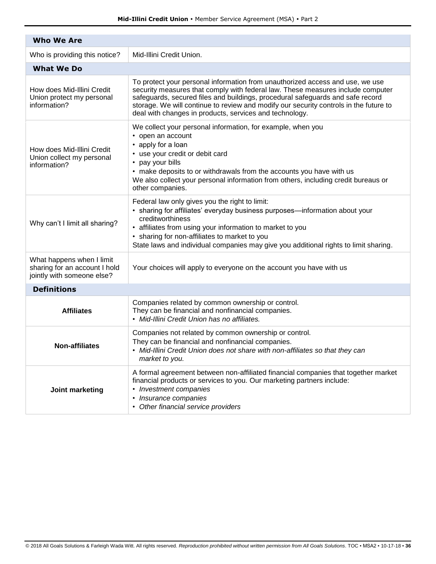| <b>Who We Are</b>                                                                        |                                                                                                                                                                                                                                                                                                                                                                                                        |  |  |  |  |
|------------------------------------------------------------------------------------------|--------------------------------------------------------------------------------------------------------------------------------------------------------------------------------------------------------------------------------------------------------------------------------------------------------------------------------------------------------------------------------------------------------|--|--|--|--|
| Who is providing this notice?                                                            | Mid-Illini Credit Union.                                                                                                                                                                                                                                                                                                                                                                               |  |  |  |  |
| <b>What We Do</b>                                                                        |                                                                                                                                                                                                                                                                                                                                                                                                        |  |  |  |  |
| How does Mid-Illini Credit<br>Union protect my personal<br>information?                  | To protect your personal information from unauthorized access and use, we use<br>security measures that comply with federal law. These measures include computer<br>safeguards, secured files and buildings, procedural safeguards and safe record<br>storage. We will continue to review and modify our security controls in the future to<br>deal with changes in products, services and technology. |  |  |  |  |
| How does Mid-Illini Credit<br>Union collect my personal<br>information?                  | We collect your personal information, for example, when you<br>• open an account<br>• apply for a loan<br>• use your credit or debit card<br>• pay your bills<br>• make deposits to or withdrawals from the accounts you have with us<br>We also collect your personal information from others, including credit bureaus or<br>other companies.                                                        |  |  |  |  |
| Why can't I limit all sharing?                                                           | Federal law only gives you the right to limit:<br>• sharing for affiliates' everyday business purposes-information about your<br>creditworthiness<br>• affiliates from using your information to market to you<br>• sharing for non-affiliates to market to you<br>State laws and individual companies may give you additional rights to limit sharing.                                                |  |  |  |  |
| What happens when I limit<br>sharing for an account I hold<br>jointly with someone else? | Your choices will apply to everyone on the account you have with us                                                                                                                                                                                                                                                                                                                                    |  |  |  |  |
| <b>Definitions</b>                                                                       |                                                                                                                                                                                                                                                                                                                                                                                                        |  |  |  |  |
| <b>Affiliates</b>                                                                        | Companies related by common ownership or control.<br>They can be financial and nonfinancial companies.<br>• Mid-Illini Credit Union has no affiliates.                                                                                                                                                                                                                                                 |  |  |  |  |
| <b>Non-affiliates</b>                                                                    | Companies not related by common ownership or control.<br>They can be financial and nonfinancial companies.<br>• Mid-Illini Credit Union does not share with non-affiliates so that they can<br>market to you.                                                                                                                                                                                          |  |  |  |  |
| Joint marketing                                                                          | A formal agreement between non-affiliated financial companies that together market<br>financial products or services to you. Our marketing partners include:<br>• Investment companies<br>• Insurance companies<br>• Other financial service providers                                                                                                                                                 |  |  |  |  |